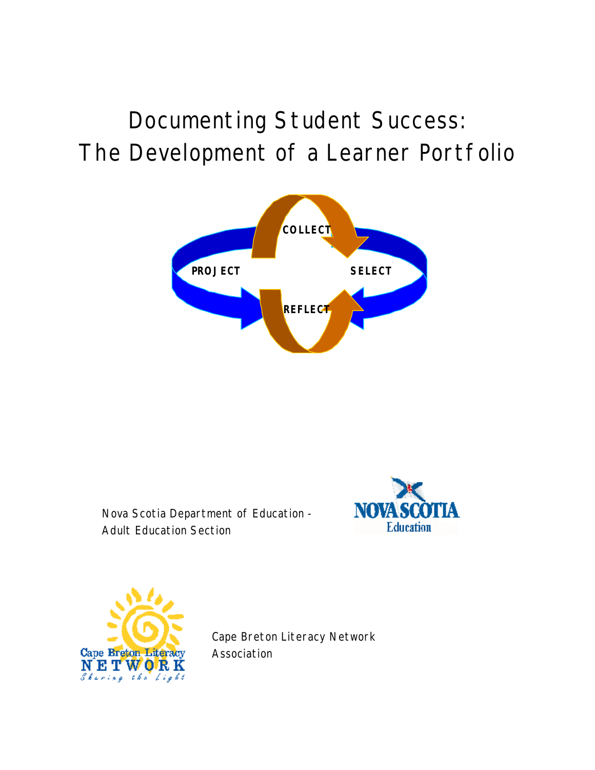# Documenting Student Success: The Development of a Learner Portfolio



Nova Scotia Department of Education - Adult Education Section





Cape Breton Literacy Network Association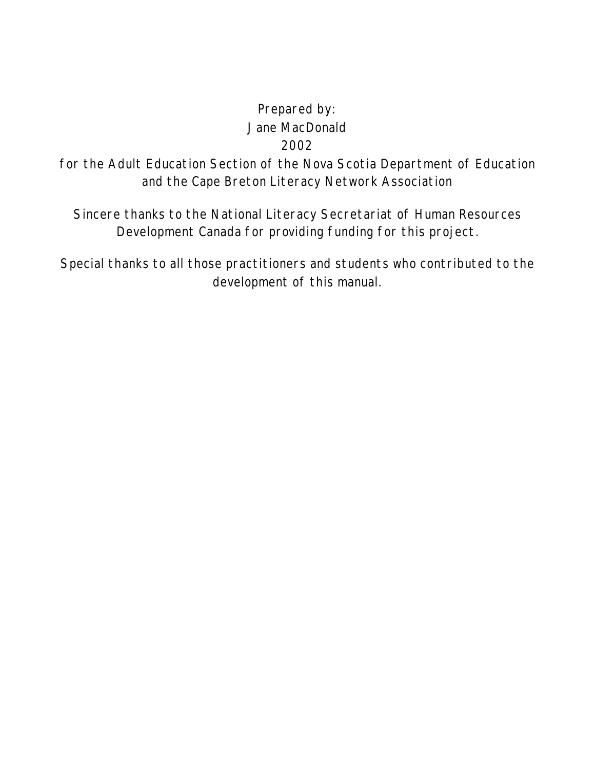# Prepared by: Jane MacDonald 2002

for the Adult Education Section of the Nova Scotia Department of Education and the Cape Breton Literacy Network Association

Sincere thanks to the National Literacy Secretariat of Human Resources Development Canada for providing funding for this project.

Special thanks to all those practitioners and students who contributed to the development of this manual.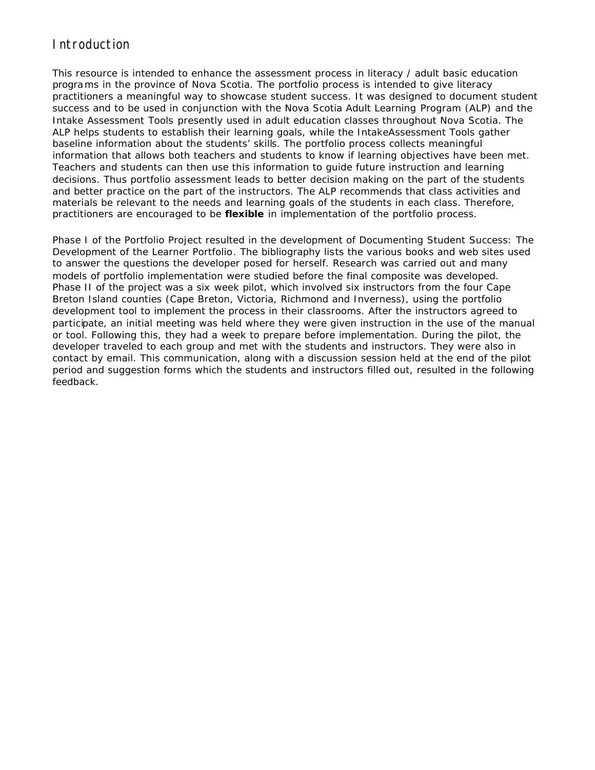### Introduction

This resource is intended to enhance the assessment process in literacy / adult basic education programs in the province of Nova Scotia. The portfolio process is intended to give literacy practitioners a meaningful way to showcase student success. It was designed to document student success and to be used in conjunction with the *Nova Scotia Adult Learning Program* (ALP) and the *Intake Assessment Tools* presently used in adult education classes throughout Nova Scotia. The ALP helps students to establish their learning goals, while the IntakeAssessment Tools gather baseline information about the students' skills. The portfolio process collects meaningful information that allows both teachers and students to know if learning objectives have been met. Teachers and students can then use this information to guide future instruction and learning decisions. Thus portfolio assessment leads to better decision making on the part of the students and better practice on the part of the instructors. The ALP recommends that class activities and materials be relevant to the needs and learning goals of the students in each class. Therefore, practitioners are encouraged to be **flexible** in implementation of the portfolio process.

Phase I of the Portfolio Project resulted in the development of *Documenting Student Success: The Development of the Learner Portfolio*. The bibliography lists the various books and web sites used to answer the questions the developer posed for herself. Research was carried out and many models of portfolio implementation were studied before the final composite was developed. Phase II of the project was a six week pilot, which involved six instructors from the four Cape Breton Island counties (Cape Breton, Victoria, Richmond and Inverness), using the portfolio development tool to implement the process in their classrooms. After the instructors agreed to participate, an initial meeting was held where they were given instruction in the use of the manual or tool. Following this, they had a week to prepare before implementation. During the pilot, the developer traveled to each group and met with the students and instructors. They were also in contact by email. This communication, along with a discussion session held at the end of the pilot period and suggestion forms which the students and instructors filled out, resulted in the following feedback.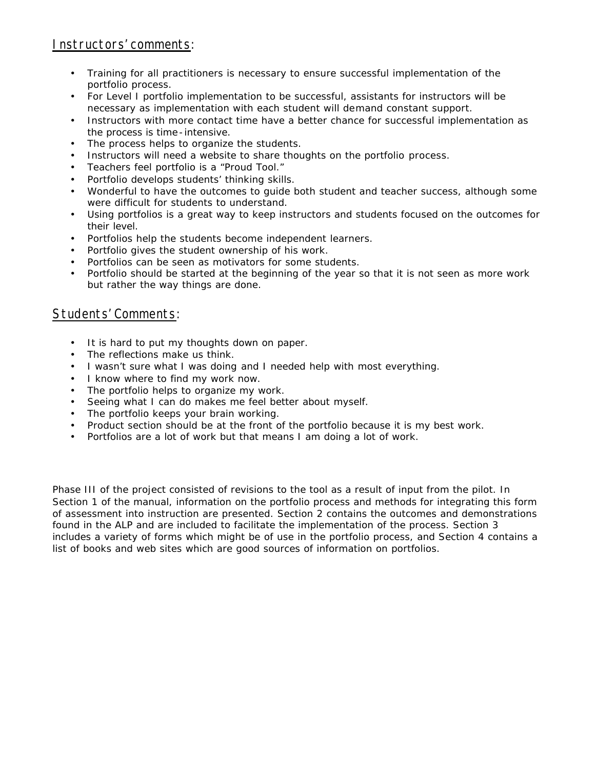### Instructors' comments:

- Training for all practitioners is necessary to ensure successful implementation of the portfolio process.
- For Level I portfolio implementation to be successful, assistants for instructors will be necessary as implementation with each student will demand constant support.
- Instructors with more contact time have a better chance for successful implementation as the process is time -intensive.
- The process helps to organize the students.
- Instructors will need a website to share thoughts on the portfolio process.
- Teachers feel portfolio is a "Proud Tool."
- Portfolio develops students' thinking skills.
- Wonderful to have the outcomes to guide both student and teacher success, although some were difficult for students to understand.
- Using portfolios is a great way to keep instructors and students focused on the outcomes for their level.
- Portfolios help the students become independent learners.
- Portfolio gives the student ownership of his work.
- Portfolios can be seen as motivators for some students.
- Portfolio should be started at the beginning of the year so that it is not seen as more work but rather the way things are done.

#### Students' Comments:

- It is hard to put my thoughts down on paper.
- The reflections make us think.
- I wasn't sure what I was doing and I needed help with most everything.
- I know where to find my work now.
- The portfolio helps to organize my work.
- Seeing what I can do makes me feel better about myself.
- The portfolio keeps your brain working.
- Product section should be at the front of the portfolio because it is my best work.
- Portfolios are a lot of work but that means I am doing a lot of work.

Phase III of the project consisted of revisions to the tool as a result of input from the pilot. In Section 1 of the manual, information on the portfolio process and methods for integrating this form of assessment into instruction are presented. Section 2 contains the outcomes and demonstrations found in the ALP and are included to facilitate the implementation of the process. Section 3 includes a variety of forms which might be of use in the portfolio process, and Section 4 contains a list of books and web sites which are good sources of information on portfolios.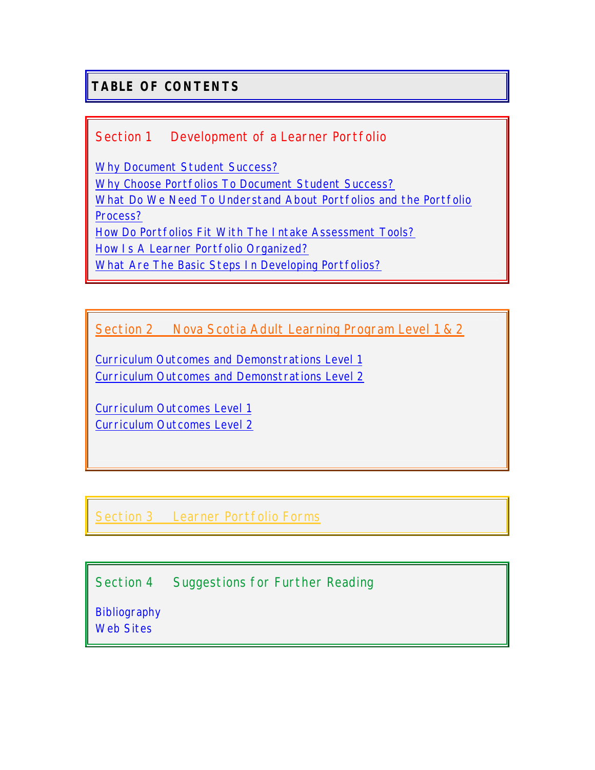# **TABLE OF CONTENTS**

### [Section 1 Development of a Learner Portfolio](#page-5-0)

Why Document Student Success? [Why Choose Portfolios To Document Student Success?](#page-6-0) [What Do We Need To Understand About Portfolios and the Portfolio](#page-8-0)  Process? [How Do Portfolios Fit With The Intake Assessment Tools?](#page-8-0) [How Is A Learner Portfolio Organized?](#page-11-0) [What Are The Basic Steps In Developing Portfolios?](#page-12-0)

[Section 2 Nova Scotia Adult Learning Program Level 1 & 2](#page-16-0)

[Curriculum Outcomes and Demonstrations Level 1](#page-17-0) [Curriculum Outcomes and Demonstrations Level 2](#page-36-0)

[Curriculum Outcomes Level 1](#page-59-0) [Curriculum Outcomes Level 2](#page-62-0)

[Section 3 Learner Portfolio Forms](#page-68-0)

[Section 4 Suggestions for Further Reading](#page-88-0) 

**Bibliography** [Web Sites](#page-89-0)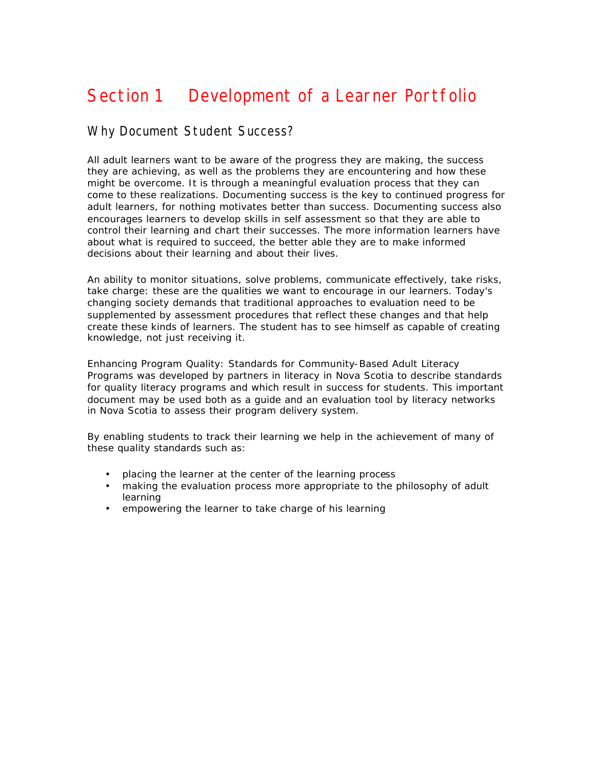# <span id="page-5-0"></span>Section 1 Development of a Learner Portfolio

#### Why Document Student Success?

All adult learners want to be aware of the progress they are making, the success they are achieving, as well as the problems they are encountering and how these might be overcome. It is through a meaningful evaluation process that they can come to these realizations. Documenting success is the key to continued progress for adult learners, for nothing motivates better than success. Documenting success also encourages learners to develop skills in self assessment so that they are able to control their learning and chart their successes. The more information learners have about what is required to succeed, the better able they are to make informed decisions about their learning and about their lives.

An ability to monitor situations, solve problems, communicate effectively, take risks, take charge: these are the qualities we want to encourage in our learners. Today's changing society demands that traditional approaches to evaluation need to be supplemented by assessment procedures that reflect these changes and that help create these kinds of learners. The student has to see himself as capable of creating knowledge, not just receiving it.

*Enhancing Program Quality: Standards for Community-Based Adult Literacy Programs* was developed by partners in literacy in Nova Scotia to describe standards for quality literacy programs and which result in success for students. This important document may be used both as a guide and an evaluation tool by literacy networks in Nova Scotia to assess their program delivery system.

By enabling students to track their learning we help in the achievement of many of these quality standards such as:

- placing the learner at the center of the learning process
- making the evaluation process more appropriate to the philosophy of adult learning
- empowering the learner to take charge of his learning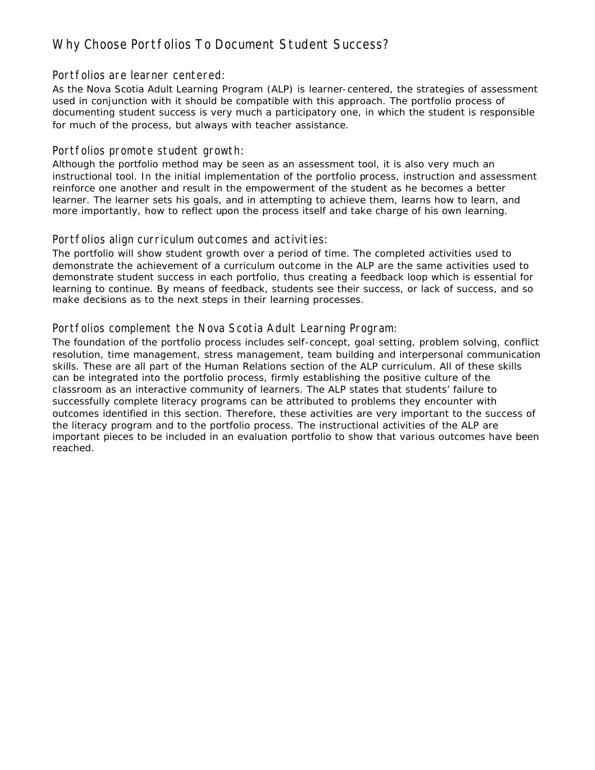# <span id="page-6-0"></span>Why Choose Portfolios To Document Student Success?

#### Portfolios are learner centered:

As the Nova Scotia Adult Learning Program (ALP) is learner-centered, the strategies of assessment used in conjunction with it should be compatible with this approach. The portfolio process of documenting student success is very much a participatory one, in which the student is responsible for much of the process, but always with teacher assistance.

#### Portfolios promote student growth:

Although the portfolio method may be seen as an assessment tool, it is also very much an instructional tool. In the initial implementation of the portfolio process, instruction and assessment reinforce one another and result in the empowerment of the student as he becomes a better learner. The learner sets his goals, and in attempting to achieve them, learns how to learn, and more importantly, how to reflect upon the process itself and take charge of his own learning.

#### Portfolios align curriculum outcomes and activities:

The portfolio will show student growth over a period of time. The completed activities used to demonstrate the achievement of a curriculum outcome in the ALP are the same activities used to demonstrate student success in each portfolio, thus creating a feedback loop which is essential for learning to continue. By means of feedback, students see their success, or lack of success, and so make decisions as to the next steps in their learning processes.

#### Portfolios complement the Nova Scotia Adult Learning Program:

The foundation of the portfolio process includes self-concept, goal setting, problem solving, conflict resolution, time management, stress management, team building and interpersonal communication skills. These are all part of the Human Relations section of the ALP curriculum. All of these skills can be integrated into the portfolio process, firmly establishing the positive culture of the classroom as an interactive community of learners. The ALP states that students' failure to successfully complete literacy programs can be attributed to problems they encounter with outcomes identified in this section. Therefore, these activities are very important to the success of the literacy program and to the portfolio process. The instructional activities of the ALP are important pieces to be included in an evaluation portfolio to show that various outcomes have been reached.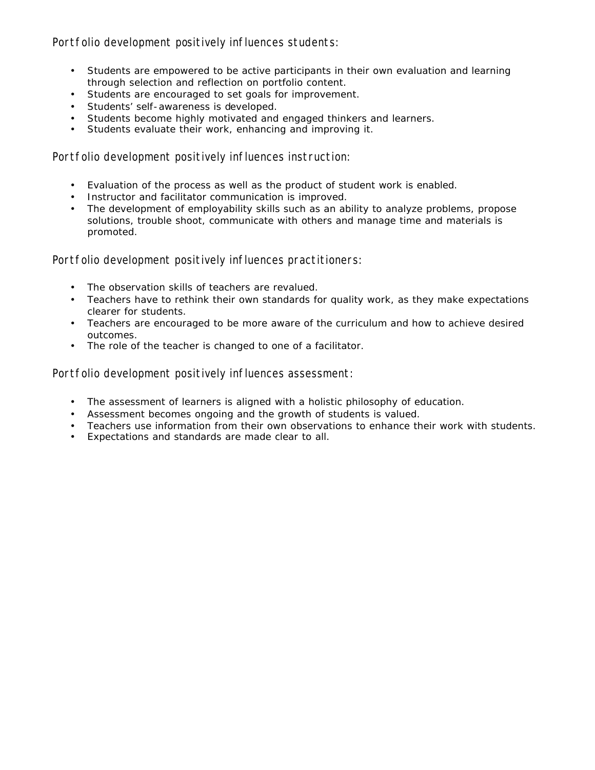Portfolio development positively influences students:

- Students are empowered to be active participants in their own evaluation and learning through selection and reflection on portfolio content.
- Students are encouraged to set goals for improvement.
- Students' self-awareness is developed.
- Students become highly motivated and engaged thinkers and learners.
- Students evaluate their work, enhancing and improving it.

Portfolio development positively influences instruction:

- Evaluation of the process as well as the product of student work is enabled.
- Instructor and facilitator communication is improved.
- The development of employability skills such as an ability to analyze problems, propose solutions, trouble shoot, communicate with others and manage time and materials is promoted.

Portfolio development positively influences practitioners:

- The observation skills of teachers are revalued.
- Teachers have to rethink their own standards for quality work, as they make expectations clearer for students.
- Teachers are encouraged to be more aware of the curriculum and how to achieve desired outcomes.
- The role of the teacher is changed to one of a facilitator.

Portfolio development positively influences assessment:

- The assessment of learners is aligned with a holistic philosophy of education.
- Assessment becomes ongoing and the growth of students is valued.
- Teachers use information from their own observations to enhance their work with students.
- Expectations and standards are made clear to all.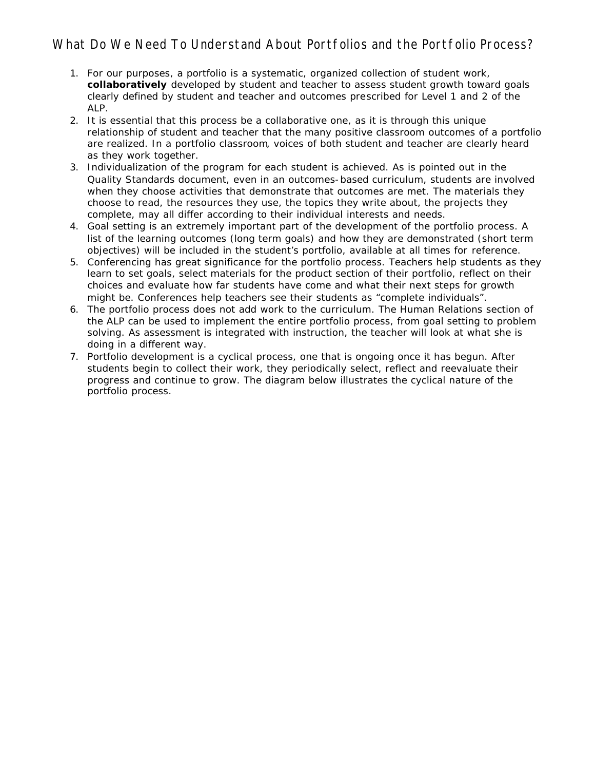# <span id="page-8-0"></span>What Do We Need To Understand About Portfolios and the Portfolio Process?

- 1. For our purposes, a portfolio is a systematic, organized collection of student work, **collaboratively** developed by student and teacher to assess student growth toward goals clearly defined by student and teacher and outcomes prescribed for Level 1 and 2 of the ALP.
- 2. It is essential that this process be a collaborative one, as it is through this unique relationship of student and teacher that the many positive classroom outcomes of a portfolio are realized. In a portfolio classroom, voices of both student and teacher are clearly heard as they work together.
- 3. Individualization of the program for each student is achieved. As is pointed out in the Quality Standards document, even in an outcomes-based curriculum, students are involved when they choose activities that demonstrate that outcomes are met. The materials they choose to read, the resources they use, the topics they write about, the projects they complete, may all differ according to their individual interests and needs.
- 4. Goal setting is an extremely important part of the development of the portfolio process. A list of the learning outcomes (long term goals) and how they are demonstrated (short term objectives) will be included in the student's portfolio, available at all times for reference.
- 5. Conferencing has great significance for the portfolio process. Teachers help students as they learn to set goals, select materials for the product section of their portfolio, reflect on their choices and evaluate how far students have come and what their next steps for growth might be. Conferences help teachers see their students as "complete individuals".
- 6. The portfolio process does not add work to the curriculum. The Human Relations section of the ALP can be used to implement the entire portfolio process, from goal setting to problem solving. As assessment is integrated with instruction, the teacher will look at what she is doing in a different way.
- 7. Portfolio development is a cyclical process, one that is ongoing once it has begun. After students begin to collect their work, they periodically select, reflect and reevaluate their progress and continue to grow. The diagram below illustrates the cyclical nature of the portfolio process.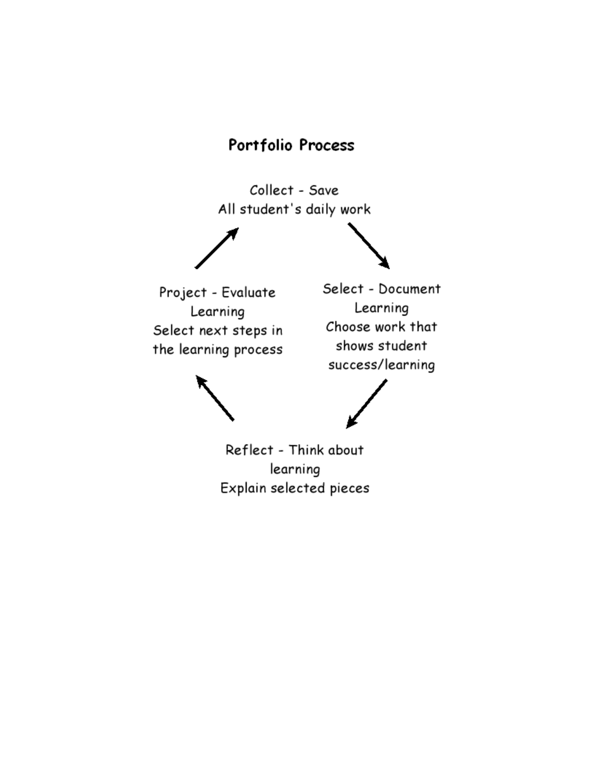# Portfolio Process

Collect - Save All student's daily work

Project - Evaluate Learning Select next steps in the learning process

Select - Document Learning Choose work that shows student success/learning

Reflect - Think about learning Explain selected pieces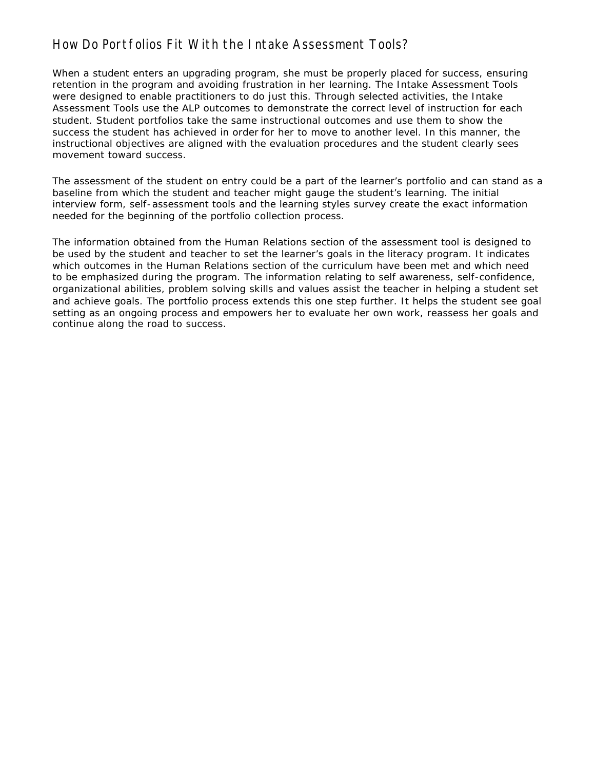# How Do Portfolios Fit With the Intake Assessment Tools?

When a student enters an upgrading program, she must be properly placed for success, ensuring retention in the program and avoiding frustration in her learning. The Intake Assessment Tools were designed to enable practitioners to do just this. Through selected activities, the Intake Assessment Tools use the ALP outcomes to demonstrate the correct level of instruction for each student. Student portfolios take the same instructional outcomes and use them to show the success the student has achieved in order for her to move to another level. In this manner, the instructional objectives are aligned with the evaluation procedures and the student clearly sees movement toward success.

The assessment of the student on entry could be a part of the learner's portfolio and can stand as a baseline from which the student and teacher might gauge the student's learning. The initial interview form, self-assessment tools and the learning styles survey create the exact information needed for the beginning of the portfolio collection process.

The information obtained from the Human Relations section of the assessment tool is designed to be used by the student and teacher to set the learner's goals in the literacy program. It indicates which outcomes in the Human Relations section of the curriculum have been met and which need to be emphasized during the program. The information relating to self awareness, self-confidence, organizational abilities, problem solving skills and values assist the teacher in helping a student set and achieve goals. The portfolio process extends this one step further. It helps the student see goal setting as an ongoing process and empowers her to evaluate her own work, reassess her goals and continue along the road to success.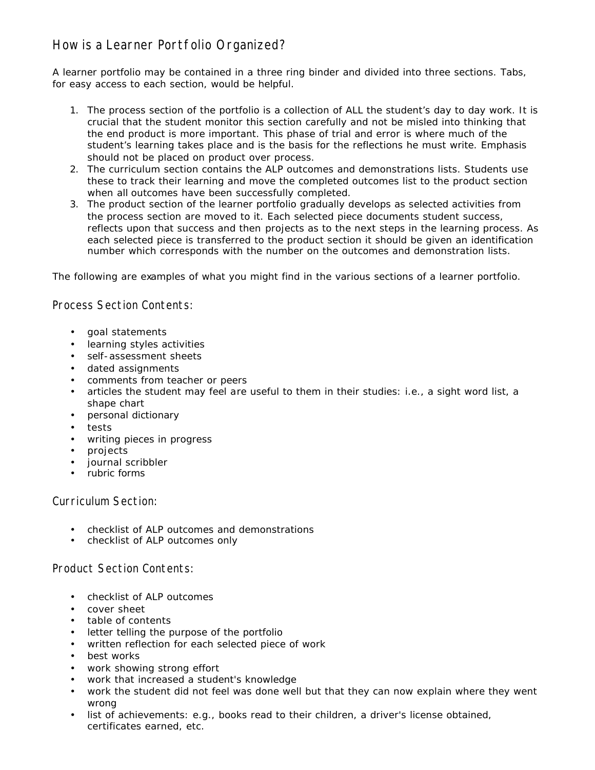# <span id="page-11-0"></span>How is a Learner Portfolio Organized?

A learner portfolio may be contained in a three ring binder and divided into three sections. Tabs, for easy access to each section, would be helpful.

- 1. The process section of the portfolio is a collection of ALL the student's day to day work. It is crucial that the student monitor this section carefully and not be misled into thinking that the end product is more important. This phase of trial and error is where much of the student's learning takes place and is the basis for the reflections he must write. Emphasis should not be placed on product over process.
- 2. The curriculum section contains the ALP outcomes and demonstrations lists. Students use these to track their learning and move the completed outcomes list to the product section when all outcomes have been successfully completed.
- 3. The product section of the learner portfolio gradually develops as selected activities from the process section are moved to it. Each selected piece documents student success, reflects upon that success and then projects as to the next steps in the learning process. As each selected piece is transferred to the product section it should be given an identification number which corresponds with the number on the outcomes and demonstration lists.

The following are examples of what you might find in the various sections of a learner portfolio.

Process Section Contents:

- goal statements
- learning styles activities
- self-assessment sheets
- dated assignments
- comments from teacher or peers
- articles the student may feel are useful to them in their studies: i.e., a sight word list, a shape chart
- personal dictionary
- tests
- writing pieces in progress
- projects
- journal scribbler
- rubric forms

Curriculum Section:

- checklist of ALP outcomes and demonstrations
- checklist of ALP outcomes only

#### Product Section Contents:

- checklist of ALP outcomes
- cover sheet
- table of contents
- letter telling the purpose of the portfolio
- written reflection for each selected piece of work
- best works
- work showing strong effort
- work that increased a student's knowledge
- work the student did not feel was done well but that they can now explain where they went wrong
- list of achievements: e.g., books read to their children, a driver's license obtained, certificates earned, etc.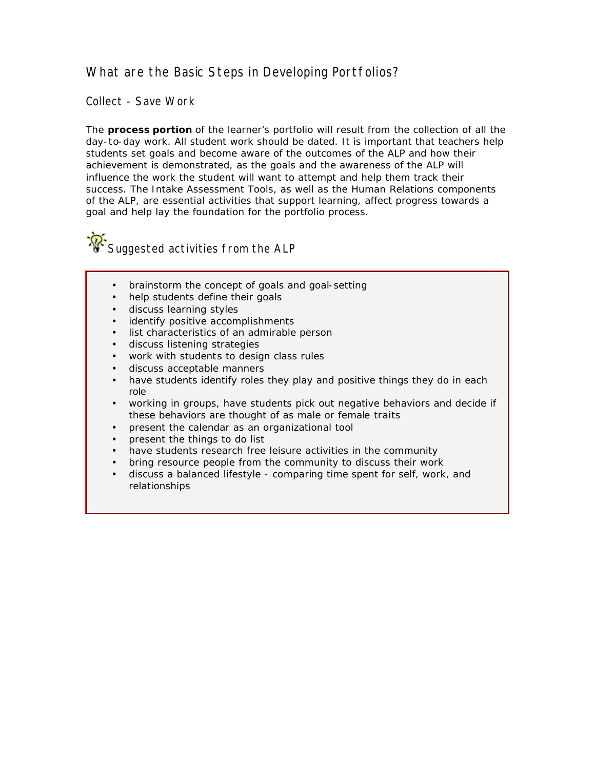# <span id="page-12-0"></span>What are the Basic Steps in Developing Portfolios?

Collect - Save Work

The **process portion** of the learner's portfolio will result from the collection of all the day-to-day work. All student work should be dated. It is important that teachers help students set goals and become aware of the outcomes of the ALP and how their achievement is demonstrated, as the goals and the awareness of the ALP will influence the work the student will want to attempt and help them track their success. The Intake Assessment Tools, as well as the Human Relations components of the ALP, are essential activities that support learning, affect progress towards a goal and help lay the foundation for the portfolio process.

Suggested activities from the ALP

- brainstorm the concept of goals and goal-setting
- help students define their goals
- discuss learning styles
- identify positive accomplishments
- list characteristics of an admirable person
- discuss listening strategies
- work with students to design class rules
- discuss acceptable manners
- have students identify roles they play and positive things they do in each role
- working in groups, have students pick out negative behaviors and decide if these behaviors are thought of as male or female traits
- present the calendar as an organizational tool
- present the things to do list
- have students research free leisure activities in the community
- bring resource people from the community to discuss their work
- discuss a balanced lifestyle comparing time spent for self, work, and relationships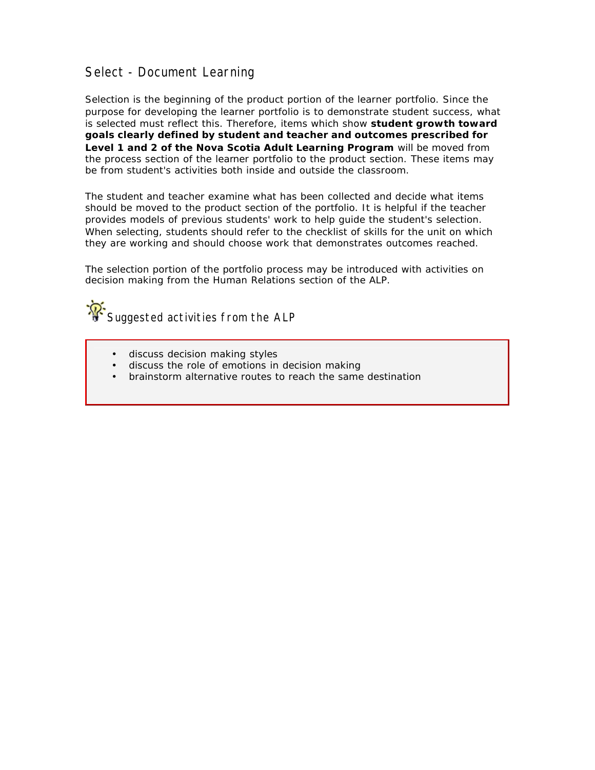### Select - Document Learning

Selection is the beginning of the product portion of the learner portfolio. Since the purpose for developing the learner portfolio is to demonstrate student success, what is selected must reflect this. Therefore, items which show **student growth toward goals clearly defined by student and teacher and outcomes prescribed for Level 1 and 2 of the Nova Scotia Adult Learning Program** will be moved from the process section of the learner portfolio to the product section. These items may be from student's activities both inside and outside the classroom.

The student and teacher examine what has been collected and decide what items should be moved to the product section of the portfolio. It is helpful if the teacher provides models of previous students' work to help guide the student's selection. When selecting, students should refer to the checklist of skills for the unit on which they are working and should choose work that demonstrates outcomes reached.

The selection portion of the portfolio process may be introduced with activities on decision making from the Human Relations section of the ALP.



- discuss decision making styles
- discuss the role of emotions in decision making
- brainstorm alternative routes to reach the same destination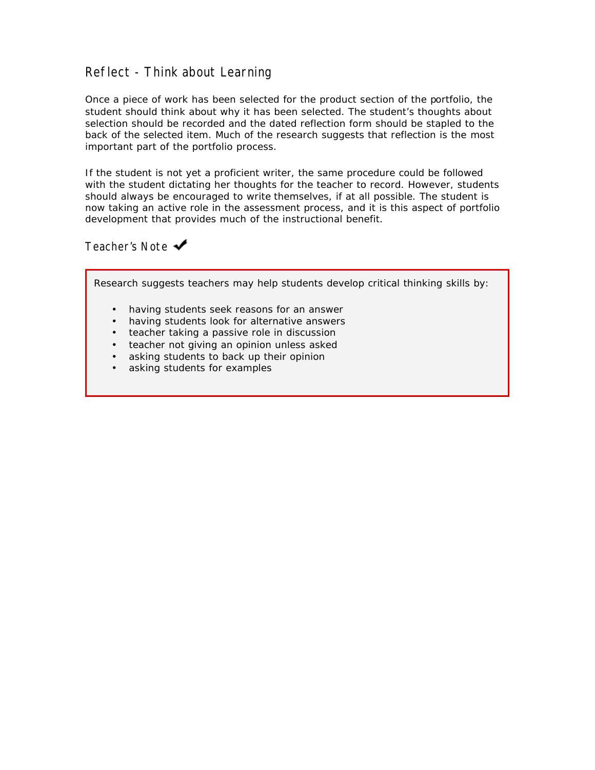### Reflect - Think about Learning

Once a piece of work has been selected for the product section of the portfolio, the student should think about why it has been selected. The student's thoughts about selection should be recorded and the dated reflection form should be stapled to the back of the selected item. Much of the research suggests that reflection is the most important part of the portfolio process.

If the student is not yet a proficient writer, the same procedure could be followed with the student dictating her thoughts for the teacher to record. However, students should always be encouraged to write themselves, if at all possible. The student is now taking an active role in the assessment process, and it is this aspect of portfolio development that provides much of the instructional benefit.

Teacher's Note ◆

Research suggests teachers may help students develop critical thinking skills by:

- having students seek reasons for an answer
- having students look for alternative answers
- teacher taking a passive role in discussion
- teacher not giving an opinion unless asked
- asking students to back up their opinion
- asking students for examples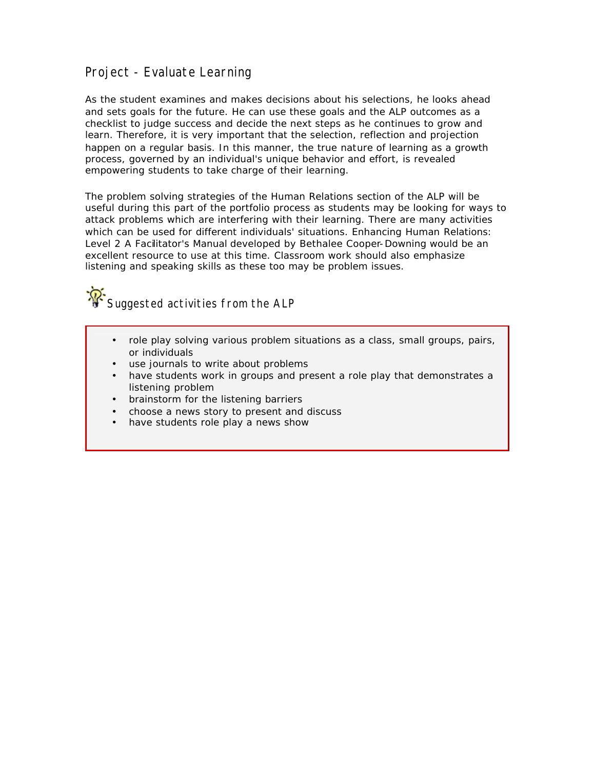### Project - Evaluate Learning

As the student examines and makes decisions about his selections, he looks ahead and sets goals for the future. He can use these goals and the ALP outcomes as a checklist to judge success and decide the next steps as he continues to grow and learn. Therefore, it is very important that the selection, reflection and projection happen on a regular basis. In this manner, the true nature of learning as a growth process, governed by an individual's unique behavior and effort, is revealed empowering students to take charge of their learning.

The problem solving strategies of the Human Relations section of the ALP will be useful during this part of the portfolio process as students may be looking for ways to attack problems which are interfering with their learning. There are many activities which can be used for different individuals' situations. *Enhancing Human Relations: Level 2 A Facilitator's Manual* developed by Bethalee Cooper-Downing would be an excellent resource to use at this time. Classroom work should also emphasize listening and speaking skills as these too may be problem issues.



- role play solving various problem situations as a class, small groups, pairs, or individuals
- use journals to write about problems
- have students work in groups and present a role play that demonstrates a listening problem
- brainstorm for the listening barriers
- choose a news story to present and discuss
- have students role play a news show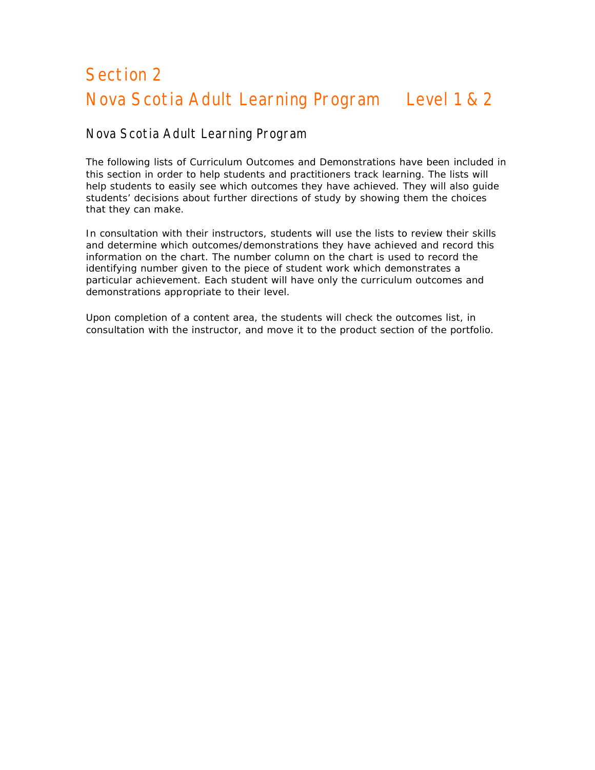# <span id="page-16-0"></span>Section 2 Nova Scotia Adult Learning Program Level 1 & 2

#### Nova Scotia Adult Learning Program

The following lists of Curriculum Outcomes and Demonstrations have been included in this section in order to help students and practitioners track learning. The lists will help students to easily see which outcomes they have achieved. They will also guide students' decisions about further directions of study by showing them the choices that they can make.

In consultation with their instructors, students will use the lists to review their skills and determine which outcomes/demonstrations they have achieved and record this information on the chart. The number column on the chart is used to record the identifying number given to the piece of student work which demonstrates a particular achievement. Each student will have only the curriculum outcomes and demonstrations appropriate to their level.

Upon completion of a content area, the students will check the outcomes list, in consultation with the instructor, and move it to the product section of the portfolio.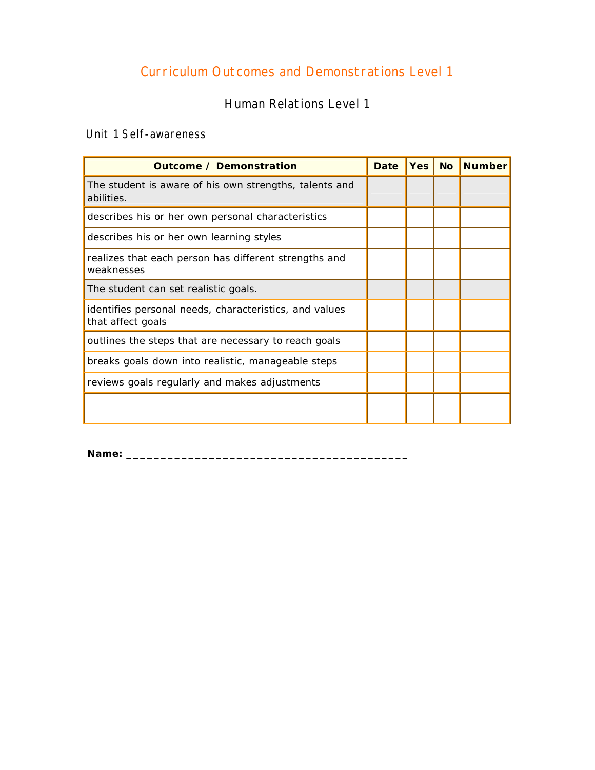# Curriculum Outcomes and Demonstrations Level 1

Human Relations Level 1

<span id="page-17-0"></span>Unit 1 Self-awareness

| <b>Outcome / Demonstration</b>                                              | <b>Date</b> | <b>Yes</b> | <b>No</b> | <b>Number</b> |
|-----------------------------------------------------------------------------|-------------|------------|-----------|---------------|
| The student is aware of his own strengths, talents and<br>abilities.        |             |            |           |               |
| describes his or her own personal characteristics                           |             |            |           |               |
| describes his or her own learning styles                                    |             |            |           |               |
| realizes that each person has different strengths and<br>weaknesses         |             |            |           |               |
| The student can set realistic goals.                                        |             |            |           |               |
| identifies personal needs, characteristics, and values<br>that affect goals |             |            |           |               |
| outlines the steps that are necessary to reach goals                        |             |            |           |               |
| breaks goals down into realistic, manageable steps                          |             |            |           |               |
| reviews goals regularly and makes adjustments                               |             |            |           |               |
|                                                                             |             |            |           |               |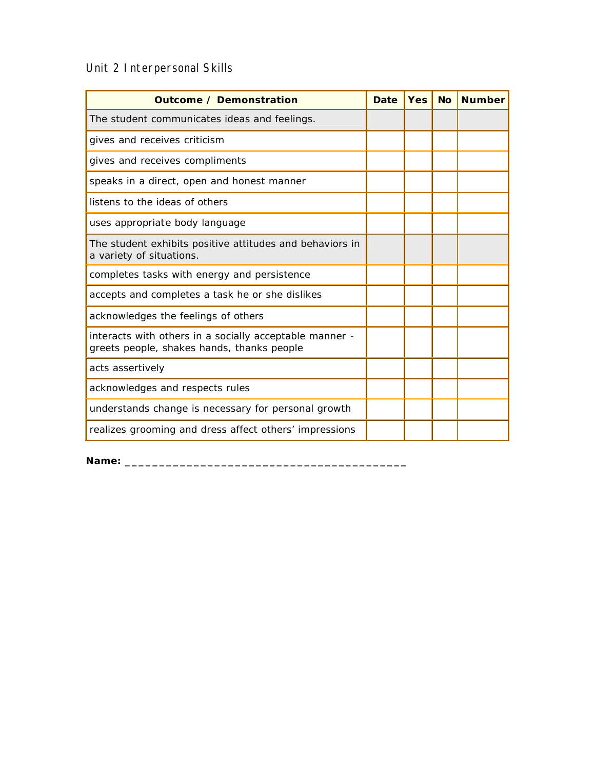# Unit 2 Interpersonal Skills

| <b>Outcome / Demonstration</b>                                                                        | <b>Date</b> | <b>Yes</b> | <b>No</b> | <b>Number</b> |
|-------------------------------------------------------------------------------------------------------|-------------|------------|-----------|---------------|
| The student communicates ideas and feelings.                                                          |             |            |           |               |
| gives and receives criticism                                                                          |             |            |           |               |
| gives and receives compliments                                                                        |             |            |           |               |
| speaks in a direct, open and honest manner                                                            |             |            |           |               |
| listens to the ideas of others                                                                        |             |            |           |               |
| uses appropriate body language                                                                        |             |            |           |               |
| The student exhibits positive attitudes and behaviors in<br>a variety of situations.                  |             |            |           |               |
| completes tasks with energy and persistence                                                           |             |            |           |               |
| accepts and completes a task he or she dislikes                                                       |             |            |           |               |
| acknowledges the feelings of others                                                                   |             |            |           |               |
| interacts with others in a socially acceptable manner -<br>greets people, shakes hands, thanks people |             |            |           |               |
| acts assertively                                                                                      |             |            |           |               |
| acknowledges and respects rules                                                                       |             |            |           |               |
| understands change is necessary for personal growth                                                   |             |            |           |               |
| realizes grooming and dress affect others' impressions                                                |             |            |           |               |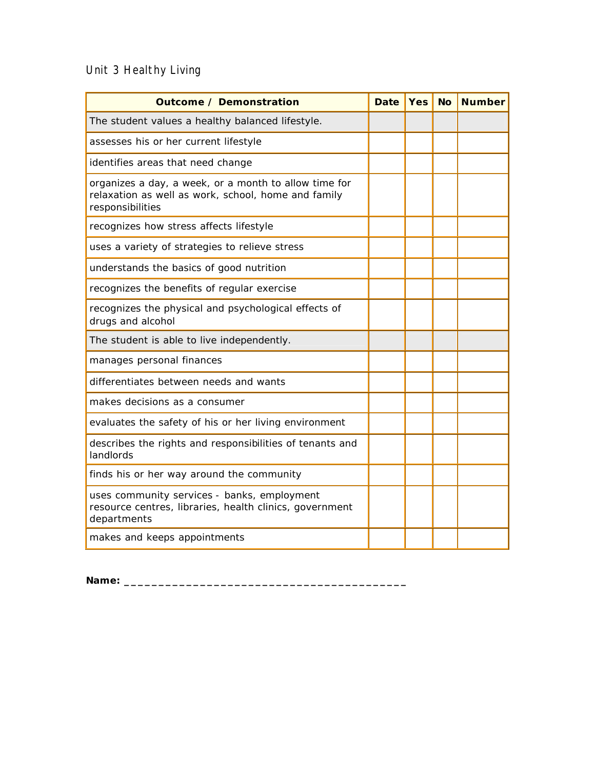# Unit 3 Healthy Living

| <b>Outcome / Demonstration</b>                                                                                                   | <b>Date</b> | <b>Yes</b> | <b>No</b> | <b>Number</b> |
|----------------------------------------------------------------------------------------------------------------------------------|-------------|------------|-----------|---------------|
| The student values a healthy balanced lifestyle.                                                                                 |             |            |           |               |
| assesses his or her current lifestyle                                                                                            |             |            |           |               |
| identifies areas that need change                                                                                                |             |            |           |               |
| organizes a day, a week, or a month to allow time for<br>relaxation as well as work, school, home and family<br>responsibilities |             |            |           |               |
| recognizes how stress affects lifestyle                                                                                          |             |            |           |               |
| uses a variety of strategies to relieve stress                                                                                   |             |            |           |               |
| understands the basics of good nutrition                                                                                         |             |            |           |               |
| recognizes the benefits of regular exercise                                                                                      |             |            |           |               |
| recognizes the physical and psychological effects of<br>drugs and alcohol                                                        |             |            |           |               |
| The student is able to live independently.                                                                                       |             |            |           |               |
| manages personal finances                                                                                                        |             |            |           |               |
| differentiates between needs and wants                                                                                           |             |            |           |               |
| makes decisions as a consumer                                                                                                    |             |            |           |               |
| evaluates the safety of his or her living environment                                                                            |             |            |           |               |
| describes the rights and responsibilities of tenants and<br>landlords                                                            |             |            |           |               |
| finds his or her way around the community                                                                                        |             |            |           |               |
| uses community services - banks, employment<br>resource centres, libraries, health clinics, government<br>departments            |             |            |           |               |
| makes and keeps appointments                                                                                                     |             |            |           |               |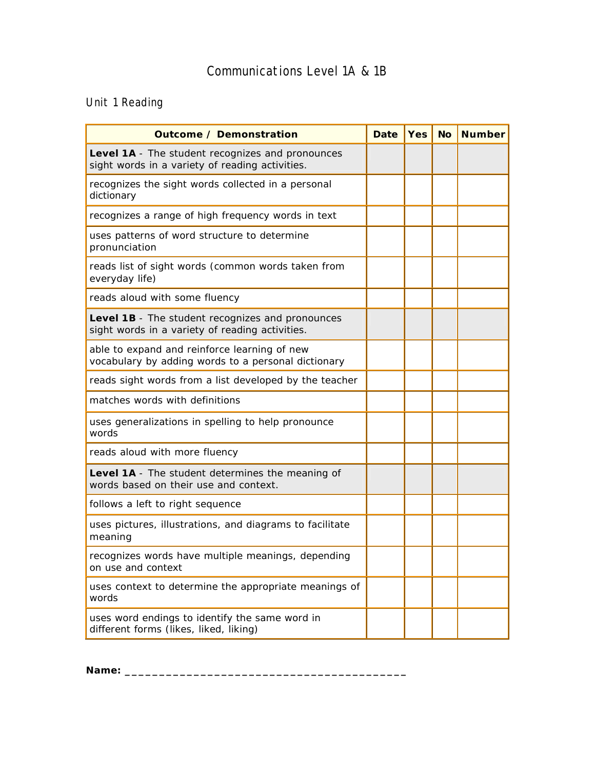# Unit 1 Reading

| <b>Outcome / Demonstration</b>                                                                      | <b>Date</b> | <b>Yes</b> | $\overline{N}$ | <b>Number</b> |
|-----------------------------------------------------------------------------------------------------|-------------|------------|----------------|---------------|
| Level 1A - The student recognizes and pronounces<br>sight words in a variety of reading activities. |             |            |                |               |
| recognizes the sight words collected in a personal<br>dictionary                                    |             |            |                |               |
| recognizes a range of high frequency words in text                                                  |             |            |                |               |
| uses patterns of word structure to determine<br>pronunciation                                       |             |            |                |               |
| reads list of sight words (common words taken from<br>everyday life)                                |             |            |                |               |
| reads aloud with some fluency                                                                       |             |            |                |               |
| Level 1B - The student recognizes and pronounces<br>sight words in a variety of reading activities. |             |            |                |               |
| able to expand and reinforce learning of new<br>vocabulary by adding words to a personal dictionary |             |            |                |               |
| reads sight words from a list developed by the teacher                                              |             |            |                |               |
| matches words with definitions                                                                      |             |            |                |               |
| uses generalizations in spelling to help pronounce<br>words                                         |             |            |                |               |
| reads aloud with more fluency                                                                       |             |            |                |               |
| Level 1A - The student determines the meaning of<br>words based on their use and context.           |             |            |                |               |
| follows a left to right sequence                                                                    |             |            |                |               |
| uses pictures, illustrations, and diagrams to facilitate<br>meaning                                 |             |            |                |               |
| recognizes words have multiple meanings, depending<br>on use and context                            |             |            |                |               |
| uses context to determine the appropriate meanings of<br>words                                      |             |            |                |               |
| uses word endings to identify the same word in<br>different forms (likes, liked, liking)            |             |            |                |               |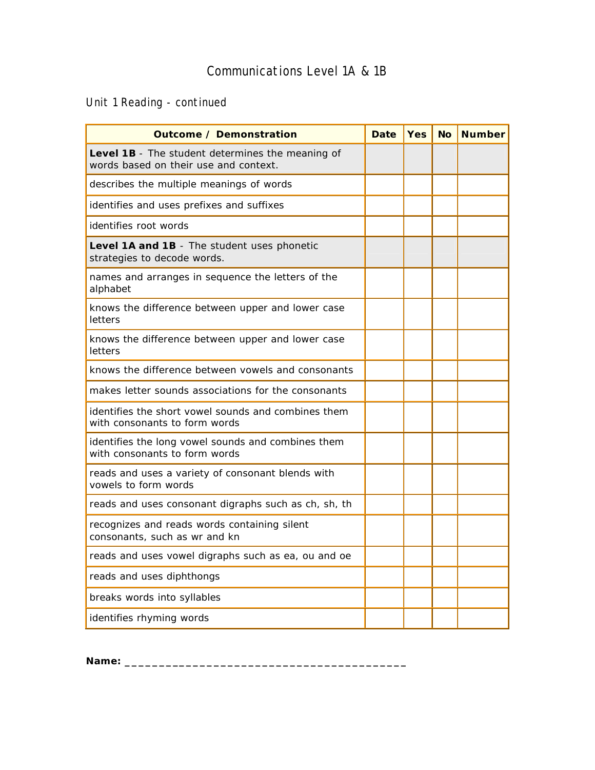Unit 1 Reading - continued

| <b>Outcome / Demonstration</b>                                                            | <b>Date</b> | <b>Yes</b> | <b>No</b> | <b>Number</b> |
|-------------------------------------------------------------------------------------------|-------------|------------|-----------|---------------|
| Level 1B - The student determines the meaning of<br>words based on their use and context. |             |            |           |               |
| describes the multiple meanings of words                                                  |             |            |           |               |
| identifies and uses prefixes and suffixes                                                 |             |            |           |               |
| identifies root words                                                                     |             |            |           |               |
| Level 1A and 1B - The student uses phonetic<br>strategies to decode words.                |             |            |           |               |
| names and arranges in sequence the letters of the<br>alphabet                             |             |            |           |               |
| knows the difference between upper and lower case<br>letters                              |             |            |           |               |
| knows the difference between upper and lower case<br>letters                              |             |            |           |               |
| knows the difference between vowels and consonants                                        |             |            |           |               |
| makes letter sounds associations for the consonants                                       |             |            |           |               |
| identifies the short vowel sounds and combines them<br>with consonants to form words      |             |            |           |               |
| identifies the long vowel sounds and combines them<br>with consonants to form words       |             |            |           |               |
| reads and uses a variety of consonant blends with<br>vowels to form words                 |             |            |           |               |
| reads and uses consonant digraphs such as ch, sh, th                                      |             |            |           |               |
| recognizes and reads words containing silent<br>consonants, such as wr and kn             |             |            |           |               |
| reads and uses vowel digraphs such as ea, ou and oe                                       |             |            |           |               |
| reads and uses diphthongs                                                                 |             |            |           |               |
| breaks words into syllables                                                               |             |            |           |               |
| identifies rhyming words                                                                  |             |            |           |               |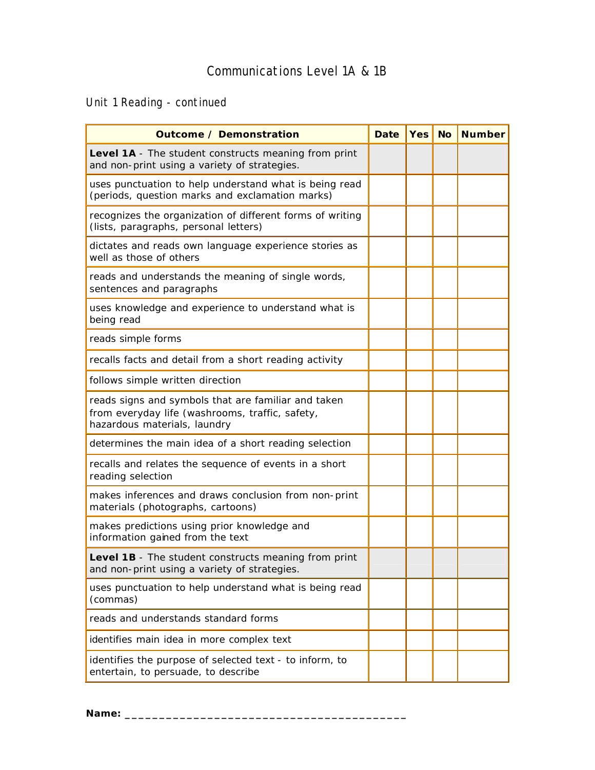Unit 1 Reading - continued

| <b>Outcome / Demonstration</b>                                                                                                         | <b>Date</b> | <b>Yes</b> | No Number |
|----------------------------------------------------------------------------------------------------------------------------------------|-------------|------------|-----------|
| Level 1A - The student constructs meaning from print<br>and non-print using a variety of strategies.                                   |             |            |           |
| uses punctuation to help understand what is being read<br>(periods, question marks and exclamation marks)                              |             |            |           |
| recognizes the organization of different forms of writing<br>(lists, paragraphs, personal letters)                                     |             |            |           |
| dictates and reads own language experience stories as<br>well as those of others                                                       |             |            |           |
| reads and understands the meaning of single words,<br>sentences and paragraphs                                                         |             |            |           |
| uses knowledge and experience to understand what is<br>being read                                                                      |             |            |           |
| reads simple forms                                                                                                                     |             |            |           |
| recalls facts and detail from a short reading activity                                                                                 |             |            |           |
| follows simple written direction                                                                                                       |             |            |           |
| reads signs and symbols that are familiar and taken<br>from everyday life (washrooms, traffic, safety,<br>hazardous materials, laundry |             |            |           |
| determines the main idea of a short reading selection                                                                                  |             |            |           |
| recalls and relates the sequence of events in a short<br>reading selection                                                             |             |            |           |
| makes inferences and draws conclusion from non-print<br>materials (photographs, cartoons)                                              |             |            |           |
| makes predictions using prior knowledge and<br>information gained from the text                                                        |             |            |           |
| Level 1B - The student constructs meaning from print<br>and non-print using a variety of strategies.                                   |             |            |           |
| uses punctuation to help understand what is being read<br>(commas)                                                                     |             |            |           |
| reads and understands standard forms                                                                                                   |             |            |           |
| identifies main idea in more complex text                                                                                              |             |            |           |
| identifies the purpose of selected text - to inform, to<br>entertain, to persuade, to describe                                         |             |            |           |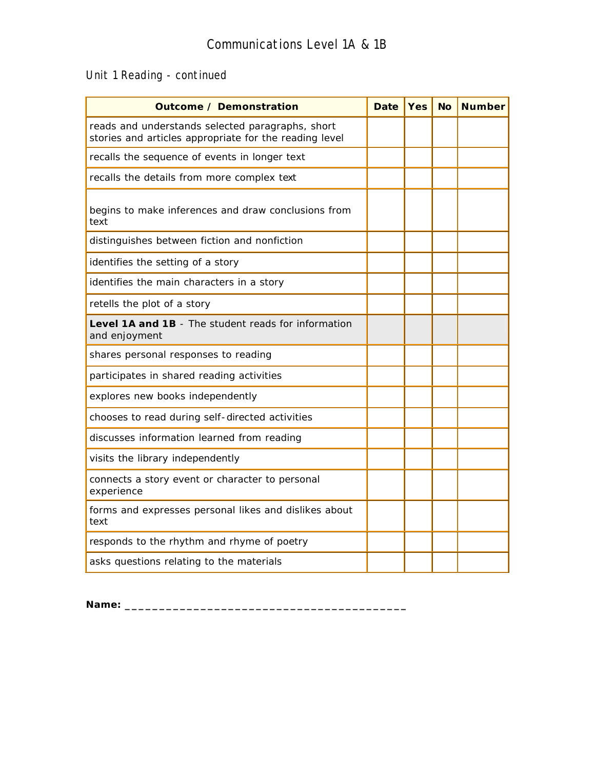# Unit 1 Reading - continued

| <b>Outcome / Demonstration</b>                                                                             | <b>Date</b> | <b>Yes</b> | <b>No</b> | <b>Number</b> |
|------------------------------------------------------------------------------------------------------------|-------------|------------|-----------|---------------|
| reads and understands selected paragraphs, short<br>stories and articles appropriate for the reading level |             |            |           |               |
| recalls the sequence of events in longer text                                                              |             |            |           |               |
| recalls the details from more complex text                                                                 |             |            |           |               |
| begins to make inferences and draw conclusions from<br>text                                                |             |            |           |               |
| distinguishes between fiction and nonfiction                                                               |             |            |           |               |
| identifies the setting of a story                                                                          |             |            |           |               |
| identifies the main characters in a story                                                                  |             |            |           |               |
| retells the plot of a story                                                                                |             |            |           |               |
| Level 1A and 1B - The student reads for information<br>and enjoyment                                       |             |            |           |               |
| shares personal responses to reading                                                                       |             |            |           |               |
| participates in shared reading activities                                                                  |             |            |           |               |
| explores new books independently                                                                           |             |            |           |               |
| chooses to read during self-directed activities                                                            |             |            |           |               |
| discusses information learned from reading                                                                 |             |            |           |               |
| visits the library independently                                                                           |             |            |           |               |
| connects a story event or character to personal<br>experience                                              |             |            |           |               |
| forms and expresses personal likes and dislikes about<br>text                                              |             |            |           |               |
| responds to the rhythm and rhyme of poetry                                                                 |             |            |           |               |
| asks questions relating to the materials                                                                   |             |            |           |               |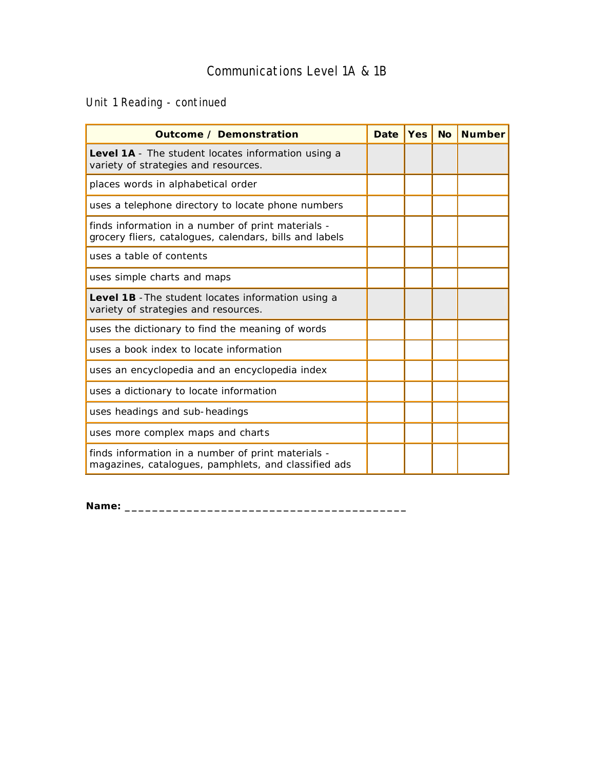Unit 1 Reading - continued

| <b>Outcome / Demonstration</b>                                                                                | <b>Date</b> | <b>Yes</b> | <b>No</b> | <b>Number</b> |
|---------------------------------------------------------------------------------------------------------------|-------------|------------|-----------|---------------|
| Level 1A - The student locates information using a<br>variety of strategies and resources.                    |             |            |           |               |
| places words in alphabetical order                                                                            |             |            |           |               |
| uses a telephone directory to locate phone numbers                                                            |             |            |           |               |
| finds information in a number of print materials -<br>grocery fliers, catalogues, calendars, bills and labels |             |            |           |               |
| uses a table of contents                                                                                      |             |            |           |               |
| uses simple charts and maps                                                                                   |             |            |           |               |
| <b>Level 1B</b> - The student locates information using a<br>variety of strategies and resources.             |             |            |           |               |
| uses the dictionary to find the meaning of words                                                              |             |            |           |               |
| uses a book index to locate information                                                                       |             |            |           |               |
| uses an encyclopedia and an encyclopedia index                                                                |             |            |           |               |
| uses a dictionary to locate information                                                                       |             |            |           |               |
| uses headings and sub-headings                                                                                |             |            |           |               |
| uses more complex maps and charts                                                                             |             |            |           |               |
| finds information in a number of print materials -<br>magazines, catalogues, pamphlets, and classified ads    |             |            |           |               |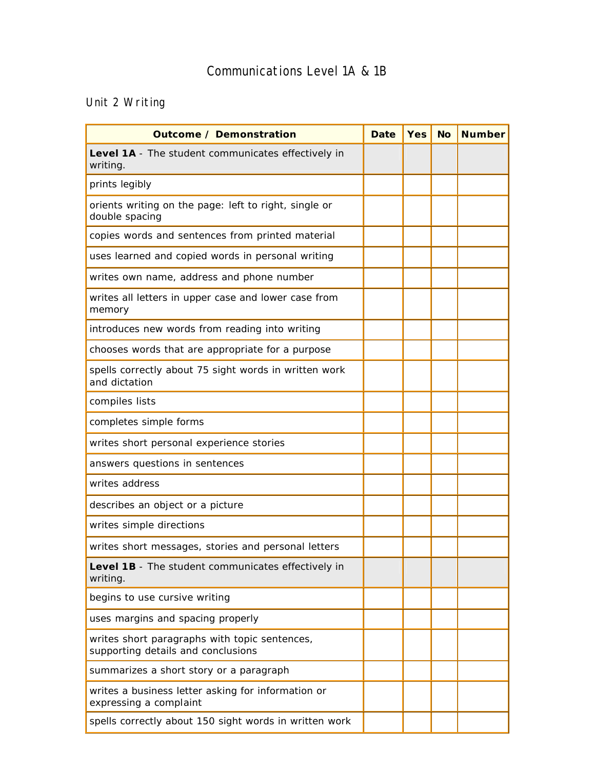# Unit 2 Writing

| <b>Outcome / Demonstration</b>                                                      | <b>Date</b> | <b>Yes</b> | <b>No</b> | <b>Number</b> |
|-------------------------------------------------------------------------------------|-------------|------------|-----------|---------------|
| Level 1A - The student communicates effectively in<br>writing.                      |             |            |           |               |
| prints legibly                                                                      |             |            |           |               |
| orients writing on the page: left to right, single or<br>double spacing             |             |            |           |               |
| copies words and sentences from printed material                                    |             |            |           |               |
| uses learned and copied words in personal writing                                   |             |            |           |               |
| writes own name, address and phone number                                           |             |            |           |               |
| writes all letters in upper case and lower case from<br>memory                      |             |            |           |               |
| introduces new words from reading into writing                                      |             |            |           |               |
| chooses words that are appropriate for a purpose                                    |             |            |           |               |
| spells correctly about 75 sight words in written work<br>and dictation              |             |            |           |               |
| compiles lists                                                                      |             |            |           |               |
| completes simple forms                                                              |             |            |           |               |
| writes short personal experience stories                                            |             |            |           |               |
| answers questions in sentences                                                      |             |            |           |               |
| writes address                                                                      |             |            |           |               |
| describes an object or a picture                                                    |             |            |           |               |
| writes simple directions                                                            |             |            |           |               |
| writes short messages, stories and personal letters                                 |             |            |           |               |
| Level 1B - The student communicates effectively in<br>writing.                      |             |            |           |               |
| begins to use cursive writing                                                       |             |            |           |               |
| uses margins and spacing properly                                                   |             |            |           |               |
| writes short paragraphs with topic sentences,<br>supporting details and conclusions |             |            |           |               |
| summarizes a short story or a paragraph                                             |             |            |           |               |
| writes a business letter asking for information or<br>expressing a complaint        |             |            |           |               |
| spells correctly about 150 sight words in written work                              |             |            |           |               |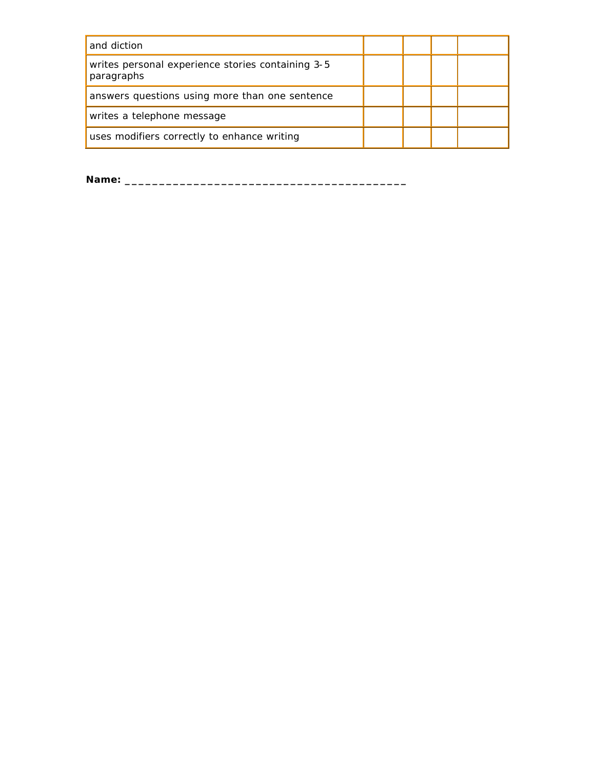| and diction                                                     |  |  |
|-----------------------------------------------------------------|--|--|
| writes personal experience stories containing 3-5<br>paragraphs |  |  |
| answers questions using more than one sentence                  |  |  |
| writes a telephone message                                      |  |  |
| uses modifiers correctly to enhance writing                     |  |  |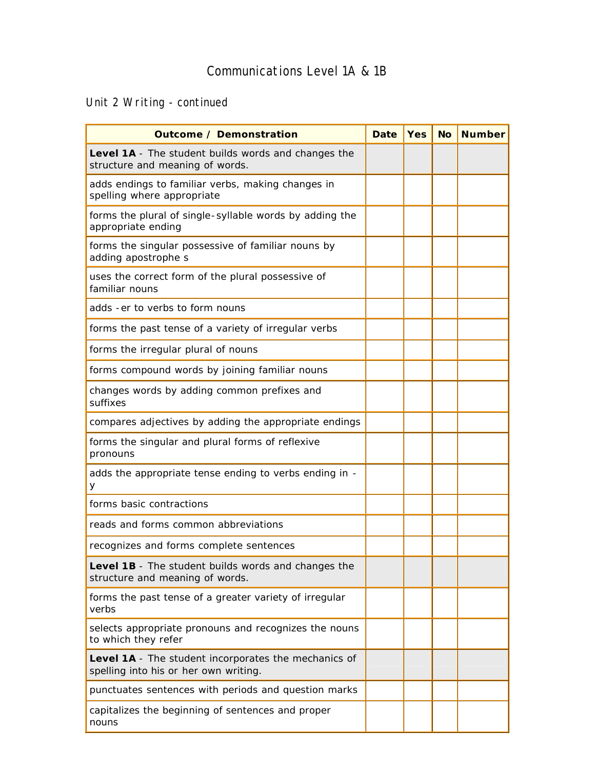Unit 2 Writing - continued

| <b>Outcome / Demonstration</b>                                                                | Date | <b>Yes</b> | <b>No</b> | <b>Number</b> |
|-----------------------------------------------------------------------------------------------|------|------------|-----------|---------------|
| Level 1A - The student builds words and changes the<br>structure and meaning of words.        |      |            |           |               |
| adds endings to familiar verbs, making changes in<br>spelling where appropriate               |      |            |           |               |
| forms the plural of single-syllable words by adding the<br>appropriate ending                 |      |            |           |               |
| forms the singular possessive of familiar nouns by<br>adding apostrophe s                     |      |            |           |               |
| uses the correct form of the plural possessive of<br>familiar nouns                           |      |            |           |               |
| adds - er to verbs to form nouns                                                              |      |            |           |               |
| forms the past tense of a variety of irregular verbs                                          |      |            |           |               |
| forms the irregular plural of nouns                                                           |      |            |           |               |
| forms compound words by joining familiar nouns                                                |      |            |           |               |
| changes words by adding common prefixes and<br>suffixes                                       |      |            |           |               |
| compares adjectives by adding the appropriate endings                                         |      |            |           |               |
| forms the singular and plural forms of reflexive<br>pronouns                                  |      |            |           |               |
| adds the appropriate tense ending to verbs ending in -<br>У                                   |      |            |           |               |
| forms basic contractions                                                                      |      |            |           |               |
| reads and forms common abbreviations                                                          |      |            |           |               |
| recognizes and forms complete sentences                                                       |      |            |           |               |
| Level 1B - The student builds words and changes the<br>structure and meaning of words.        |      |            |           |               |
| forms the past tense of a greater variety of irregular<br>verbs                               |      |            |           |               |
| selects appropriate pronouns and recognizes the nouns<br>to which they refer                  |      |            |           |               |
| Level 1A - The student incorporates the mechanics of<br>spelling into his or her own writing. |      |            |           |               |
| punctuates sentences with periods and question marks                                          |      |            |           |               |
| capitalizes the beginning of sentences and proper<br>nouns                                    |      |            |           |               |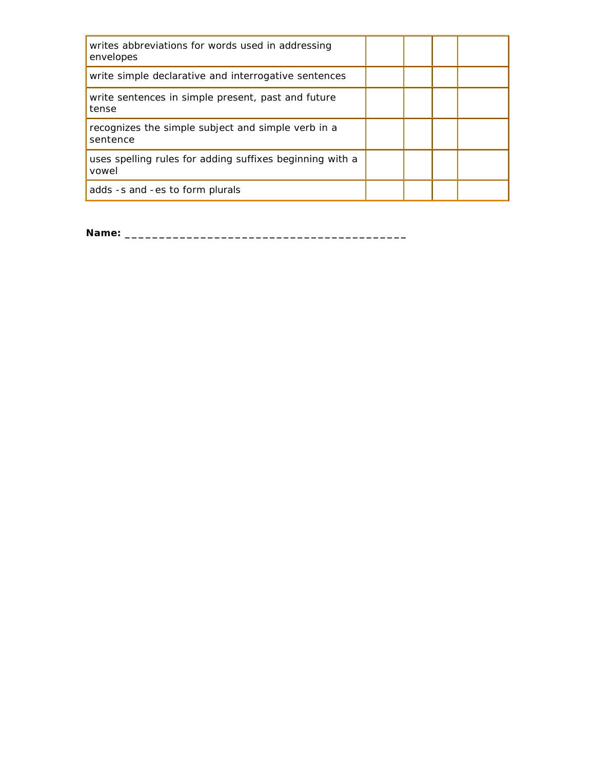| writes abbreviations for words used in addressing<br>envelopes    |  |  |
|-------------------------------------------------------------------|--|--|
| write simple declarative and interrogative sentences              |  |  |
| write sentences in simple present, past and future<br>tense       |  |  |
| recognizes the simple subject and simple verb in a<br>sentence    |  |  |
| uses spelling rules for adding suffixes beginning with a<br>vowel |  |  |
| adds -s and -es to form plurals                                   |  |  |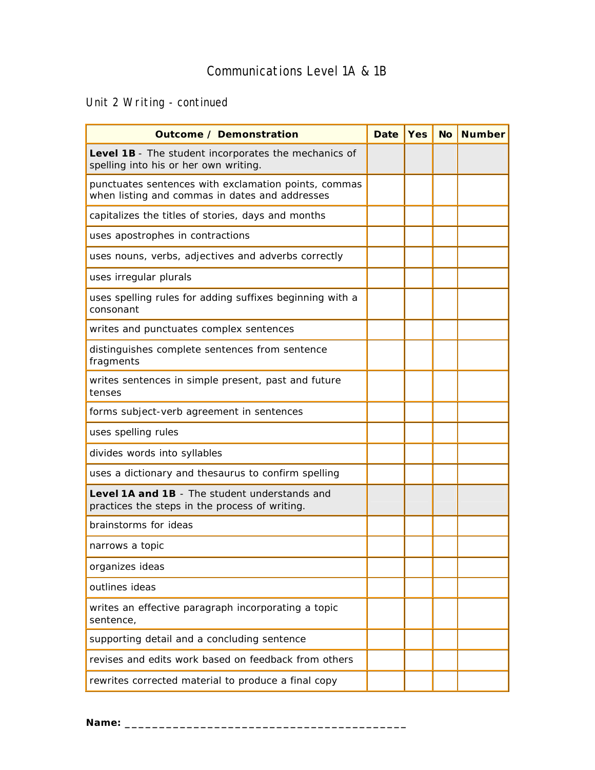# Unit 2 Writing - continued

| <b>Outcome / Demonstration</b>                                                                         | <b>Date</b> | <b>Yes</b> | <b>No</b> | <b>Number</b> |
|--------------------------------------------------------------------------------------------------------|-------------|------------|-----------|---------------|
| Level 1B - The student incorporates the mechanics of<br>spelling into his or her own writing.          |             |            |           |               |
| punctuates sentences with exclamation points, commas<br>when listing and commas in dates and addresses |             |            |           |               |
| capitalizes the titles of stories, days and months                                                     |             |            |           |               |
| uses apostrophes in contractions                                                                       |             |            |           |               |
| uses nouns, verbs, adjectives and adverbs correctly                                                    |             |            |           |               |
| uses irregular plurals                                                                                 |             |            |           |               |
| uses spelling rules for adding suffixes beginning with a<br>consonant                                  |             |            |           |               |
| writes and punctuates complex sentences                                                                |             |            |           |               |
| distinguishes complete sentences from sentence<br>fragments                                            |             |            |           |               |
| writes sentences in simple present, past and future<br>tenses                                          |             |            |           |               |
| forms subject-verb agreement in sentences                                                              |             |            |           |               |
| uses spelling rules                                                                                    |             |            |           |               |
| divides words into syllables                                                                           |             |            |           |               |
| uses a dictionary and thesaurus to confirm spelling                                                    |             |            |           |               |
| Level 1A and 1B - The student understands and<br>practices the steps in the process of writing.        |             |            |           |               |
| brainstorms for ideas                                                                                  |             |            |           |               |
| narrows a topic                                                                                        |             |            |           |               |
| organizes ideas                                                                                        |             |            |           |               |
| outlines ideas                                                                                         |             |            |           |               |
| writes an effective paragraph incorporating a topic<br>sentence,                                       |             |            |           |               |
| supporting detail and a concluding sentence                                                            |             |            |           |               |
| revises and edits work based on feedback from others                                                   |             |            |           |               |
| rewrites corrected material to produce a final copy                                                    |             |            |           |               |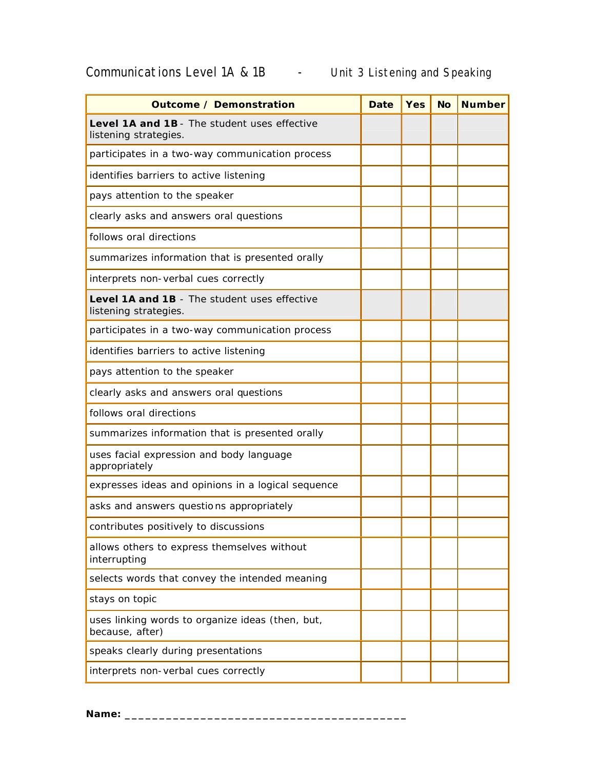# Communications Level 1A & 1B - Unit 3 Listening and Speaking

| <b>Outcome / Demonstration</b>                                        | <b>Date</b> | <b>Yes</b> | <b>No</b> | <b>Number</b> |
|-----------------------------------------------------------------------|-------------|------------|-----------|---------------|
| Level 1A and 1B - The student uses effective<br>listening strategies. |             |            |           |               |
| participates in a two-way communication process                       |             |            |           |               |
| identifies barriers to active listening                               |             |            |           |               |
| pays attention to the speaker                                         |             |            |           |               |
| clearly asks and answers oral questions                               |             |            |           |               |
| follows oral directions                                               |             |            |           |               |
| summarizes information that is presented orally                       |             |            |           |               |
| interprets non-verbal cues correctly                                  |             |            |           |               |
| Level 1A and 1B - The student uses effective<br>listening strategies. |             |            |           |               |
| participates in a two-way communication process                       |             |            |           |               |
| identifies barriers to active listening                               |             |            |           |               |
| pays attention to the speaker                                         |             |            |           |               |
| clearly asks and answers oral questions                               |             |            |           |               |
| follows oral directions                                               |             |            |           |               |
| summarizes information that is presented orally                       |             |            |           |               |
| uses facial expression and body language<br>appropriately             |             |            |           |               |
| expresses ideas and opinions in a logical sequence                    |             |            |           |               |
| asks and answers questions appropriately                              |             |            |           |               |
| contributes positively to discussions                                 |             |            |           |               |
| allows others to express themselves without<br>interrupting           |             |            |           |               |
| selects words that convey the intended meaning                        |             |            |           |               |
| stays on topic                                                        |             |            |           |               |
| uses linking words to organize ideas (then, but,<br>because, after)   |             |            |           |               |
| speaks clearly during presentations                                   |             |            |           |               |
| interprets non-verbal cues correctly                                  |             |            |           |               |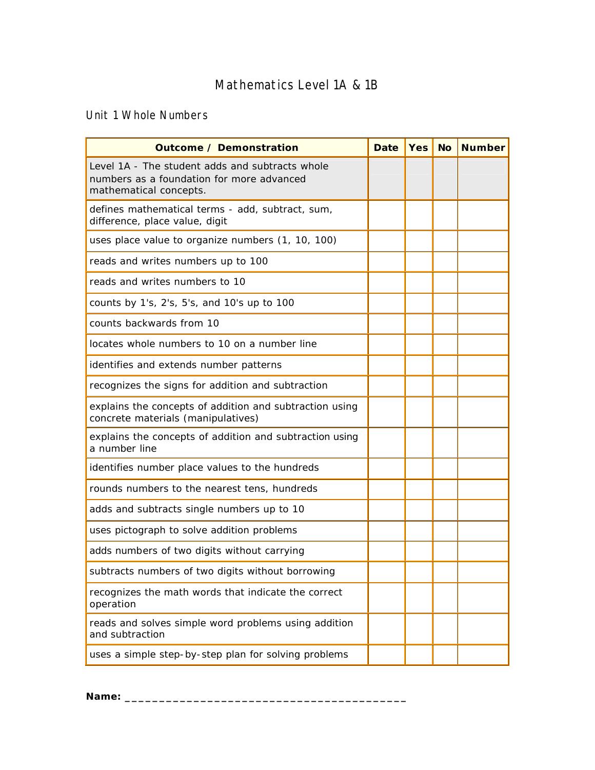# Mathematics Level 1A & 1B

Unit 1 Whole Numbers

| <b>Outcome / Demonstration</b>                                                                                         | <b>Date</b> | <b>Yes</b> | <b>No</b> | <b>Number</b> |
|------------------------------------------------------------------------------------------------------------------------|-------------|------------|-----------|---------------|
| Level 1A - The student adds and subtracts whole<br>numbers as a foundation for more advanced<br>mathematical concepts. |             |            |           |               |
| defines mathematical terms - add, subtract, sum,<br>difference, place value, digit                                     |             |            |           |               |
| uses place value to organize numbers (1, 10, 100)                                                                      |             |            |           |               |
| reads and writes numbers up to 100                                                                                     |             |            |           |               |
| reads and writes numbers to 10                                                                                         |             |            |           |               |
| counts by 1's, 2's, 5's, and 10's up to 100                                                                            |             |            |           |               |
| counts backwards from 10                                                                                               |             |            |           |               |
| locates whole numbers to 10 on a number line                                                                           |             |            |           |               |
| identifies and extends number patterns                                                                                 |             |            |           |               |
| recognizes the signs for addition and subtraction                                                                      |             |            |           |               |
| explains the concepts of addition and subtraction using<br>concrete materials (manipulatives)                          |             |            |           |               |
| explains the concepts of addition and subtraction using<br>a number line                                               |             |            |           |               |
| identifies number place values to the hundreds                                                                         |             |            |           |               |
| rounds numbers to the nearest tens, hundreds                                                                           |             |            |           |               |
| adds and subtracts single numbers up to 10                                                                             |             |            |           |               |
| uses pictograph to solve addition problems                                                                             |             |            |           |               |
| adds numbers of two digits without carrying                                                                            |             |            |           |               |
| subtracts numbers of two digits without borrowing                                                                      |             |            |           |               |
| recognizes the math words that indicate the correct<br>operation                                                       |             |            |           |               |
| reads and solves simple word problems using addition<br>and subtraction                                                |             |            |           |               |
| uses a simple step-by-step plan for solving problems                                                                   |             |            |           |               |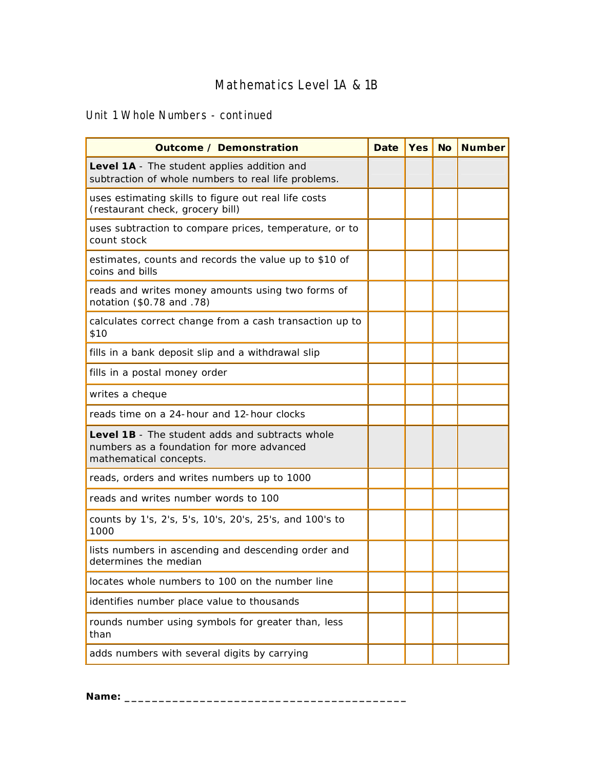# Mathematics Level 1A & 1B

### Unit 1 Whole Numbers - continued

| <b>Outcome / Demonstration</b>                                                                                                | <b>Date</b> | <b>Yes</b> | <b>No</b> | <b>Number</b> |
|-------------------------------------------------------------------------------------------------------------------------------|-------------|------------|-----------|---------------|
| Level 1A - The student applies addition and<br>subtraction of whole numbers to real life problems.                            |             |            |           |               |
| uses estimating skills to figure out real life costs<br>(restaurant check, grocery bill)                                      |             |            |           |               |
| uses subtraction to compare prices, temperature, or to<br>count stock                                                         |             |            |           |               |
| estimates, counts and records the value up to \$10 of<br>coins and bills                                                      |             |            |           |               |
| reads and writes money amounts using two forms of<br>notation (\$0.78 and .78)                                                |             |            |           |               |
| calculates correct change from a cash transaction up to<br>\$10                                                               |             |            |           |               |
| fills in a bank deposit slip and a withdrawal slip                                                                            |             |            |           |               |
| fills in a postal money order                                                                                                 |             |            |           |               |
| writes a cheque                                                                                                               |             |            |           |               |
| reads time on a 24-hour and 12-hour clocks                                                                                    |             |            |           |               |
| <b>Level 1B</b> - The student adds and subtracts whole<br>numbers as a foundation for more advanced<br>mathematical concepts. |             |            |           |               |
| reads, orders and writes numbers up to 1000                                                                                   |             |            |           |               |
| reads and writes number words to 100                                                                                          |             |            |           |               |
| counts by 1's, 2's, 5's, 10's, 20's, 25's, and 100's to<br>1000                                                               |             |            |           |               |
| lists numbers in ascending and descending order and<br>determines the median                                                  |             |            |           |               |
| locates whole numbers to 100 on the number line                                                                               |             |            |           |               |
| identifies number place value to thousands                                                                                    |             |            |           |               |
| rounds number using symbols for greater than, less<br>than                                                                    |             |            |           |               |
| adds numbers with several digits by carrying                                                                                  |             |            |           |               |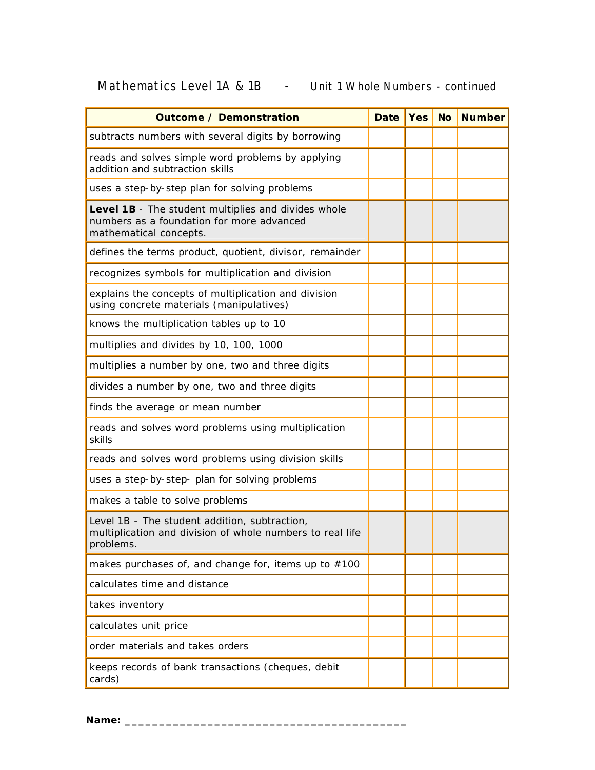# Mathematics Level 1A & 1B - Unit 1 Whole Numbers - continued

| <b>Outcome / Demonstration</b>                                                                                             | <b>Date</b> | <b>Yes</b> | <b>No</b> | <b>Number</b> |
|----------------------------------------------------------------------------------------------------------------------------|-------------|------------|-----------|---------------|
| subtracts numbers with several digits by borrowing                                                                         |             |            |           |               |
| reads and solves simple word problems by applying<br>addition and subtraction skills                                       |             |            |           |               |
| uses a step-by-step plan for solving problems                                                                              |             |            |           |               |
| Level 1B - The student multiplies and divides whole<br>numbers as a foundation for more advanced<br>mathematical concepts. |             |            |           |               |
| defines the terms product, quotient, divisor, remainder                                                                    |             |            |           |               |
| recognizes symbols for multiplication and division                                                                         |             |            |           |               |
| explains the concepts of multiplication and division<br>using concrete materials (manipulatives)                           |             |            |           |               |
| knows the multiplication tables up to 10                                                                                   |             |            |           |               |
| multiplies and divides by 10, 100, 1000                                                                                    |             |            |           |               |
| multiplies a number by one, two and three digits                                                                           |             |            |           |               |
| divides a number by one, two and three digits                                                                              |             |            |           |               |
| finds the average or mean number                                                                                           |             |            |           |               |
| reads and solves word problems using multiplication<br>skills                                                              |             |            |           |               |
| reads and solves word problems using division skills                                                                       |             |            |           |               |
| uses a step-by-step- plan for solving problems                                                                             |             |            |           |               |
| makes a table to solve problems                                                                                            |             |            |           |               |
| Level 1B - The student addition, subtraction,<br>multiplication and division of whole numbers to real life<br>problems.    |             |            |           |               |
| makes purchases of, and change for, items up to $#100$                                                                     |             |            |           |               |
| calculates time and distance                                                                                               |             |            |           |               |
| takes inventory                                                                                                            |             |            |           |               |
| calculates unit price                                                                                                      |             |            |           |               |
| order materials and takes orders                                                                                           |             |            |           |               |
| keeps records of bank transactions (cheques, debit<br>cards)                                                               |             |            |           |               |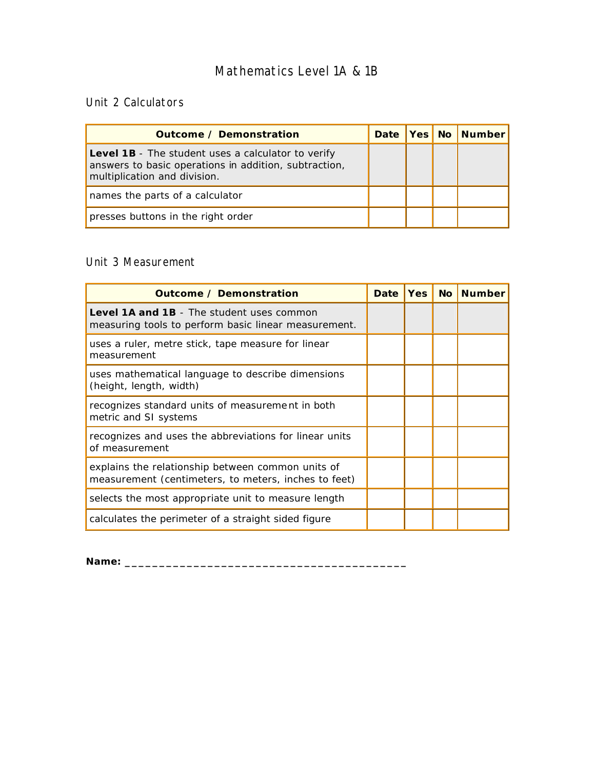# Mathematics Level 1A & 1B

#### Unit 2 Calculators

| <b>Outcome / Demonstration</b>                                                                                                                     |  | Date   Yes   No   Number |
|----------------------------------------------------------------------------------------------------------------------------------------------------|--|--------------------------|
| <b>Level 1B</b> - The student uses a calculator to verify<br>answers to basic operations in addition, subtraction,<br>multiplication and division. |  |                          |
| names the parts of a calculator                                                                                                                    |  |                          |
| presses buttons in the right order                                                                                                                 |  |                          |

#### Unit 3 Measurement

| <b>Outcome / Demonstration</b>                                                                            | <b>Date</b> | <b>Yes</b> | <b>No</b> | <b>Number</b> |
|-----------------------------------------------------------------------------------------------------------|-------------|------------|-----------|---------------|
| <b>Level 1A and 1B</b> - The student uses common<br>measuring tools to perform basic linear measurement.  |             |            |           |               |
| uses a ruler, metre stick, tape measure for linear<br>measurement                                         |             |            |           |               |
| uses mathematical language to describe dimensions<br>(height, length, width)                              |             |            |           |               |
| recognizes standard units of measurement in both<br>metric and SI systems                                 |             |            |           |               |
| recognizes and uses the abbreviations for linear units<br>of measurement                                  |             |            |           |               |
| explains the relationship between common units of<br>measurement (centimeters, to meters, inches to feet) |             |            |           |               |
| selects the most appropriate unit to measure length                                                       |             |            |           |               |
| calculates the perimeter of a straight sided figure                                                       |             |            |           |               |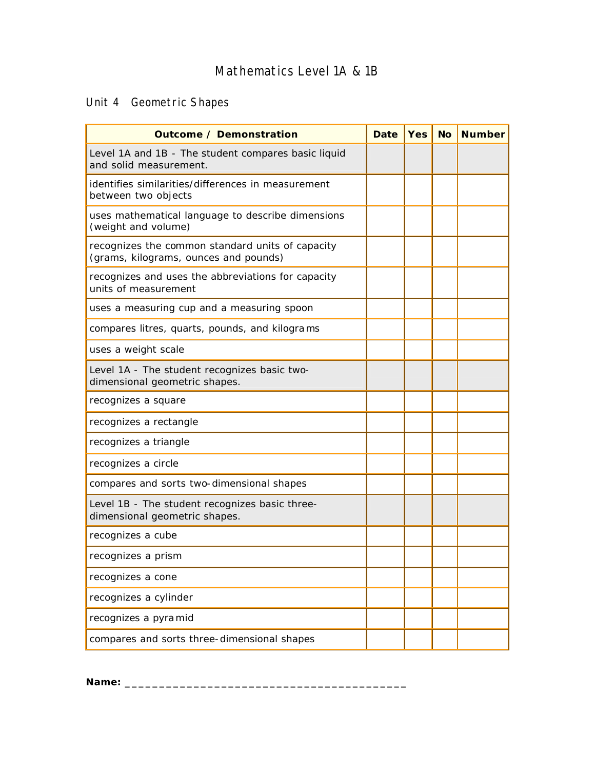# Mathematics Level 1A & 1B

# Unit 4 Geometric Shapes

| <b>Outcome / Demonstration</b>                                                            | <b>Date</b> | <b>Yes</b> | <b>No</b> | <b>Number</b> |
|-------------------------------------------------------------------------------------------|-------------|------------|-----------|---------------|
| Level 1A and 1B - The student compares basic liquid<br>and solid measurement.             |             |            |           |               |
| identifies similarities/differences in measurement<br>between two objects                 |             |            |           |               |
| uses mathematical language to describe dimensions<br>(weight and volume)                  |             |            |           |               |
| recognizes the common standard units of capacity<br>(grams, kilograms, ounces and pounds) |             |            |           |               |
| recognizes and uses the abbreviations for capacity<br>units of measurement                |             |            |           |               |
| uses a measuring cup and a measuring spoon                                                |             |            |           |               |
| compares litres, quarts, pounds, and kilograms                                            |             |            |           |               |
| uses a weight scale                                                                       |             |            |           |               |
| Level 1A - The student recognizes basic two-<br>dimensional geometric shapes.             |             |            |           |               |
| recognizes a square                                                                       |             |            |           |               |
| recognizes a rectangle                                                                    |             |            |           |               |
| recognizes a triangle                                                                     |             |            |           |               |
| recognizes a circle                                                                       |             |            |           |               |
| compares and sorts two-dimensional shapes                                                 |             |            |           |               |
| Level 1B - The student recognizes basic three-<br>dimensional geometric shapes.           |             |            |           |               |
| recognizes a cube                                                                         |             |            |           |               |
| recognizes a prism                                                                        |             |            |           |               |
| recognizes a cone                                                                         |             |            |           |               |
| recognizes a cylinder                                                                     |             |            |           |               |
| recognizes a pyramid                                                                      |             |            |           |               |
| compares and sorts three-dimensional shapes                                               |             |            |           |               |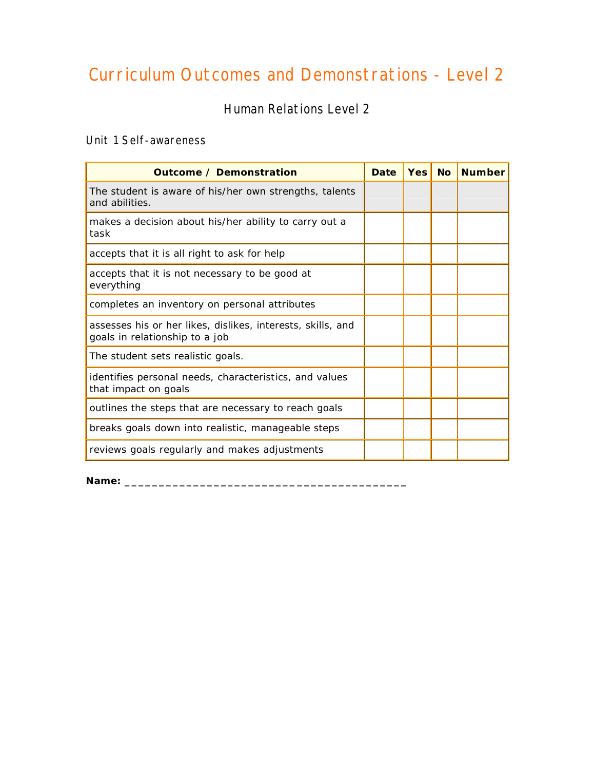# Curriculum Outcomes and Demonstrations - Level 2

Human Relations Level 2

#### Unit 1 Self-awareness

| <b>Outcome / Demonstration</b>                                                                | <b>Date</b> | Yes | <b>No</b> | <b>Number</b> |
|-----------------------------------------------------------------------------------------------|-------------|-----|-----------|---------------|
| The student is aware of his/her own strengths, talents<br>and abilities.                      |             |     |           |               |
| makes a decision about his/her ability to carry out a<br>task                                 |             |     |           |               |
| accepts that it is all right to ask for help                                                  |             |     |           |               |
| accepts that it is not necessary to be good at<br>everything                                  |             |     |           |               |
| completes an inventory on personal attributes                                                 |             |     |           |               |
| assesses his or her likes, dislikes, interests, skills, and<br>goals in relationship to a job |             |     |           |               |
| The student sets realistic goals.                                                             |             |     |           |               |
| identifies personal needs, characteristics, and values<br>that impact on goals                |             |     |           |               |
| outlines the steps that are necessary to reach goals                                          |             |     |           |               |
| breaks goals down into realistic, manageable steps                                            |             |     |           |               |
| reviews goals regularly and makes adjustments                                                 |             |     |           |               |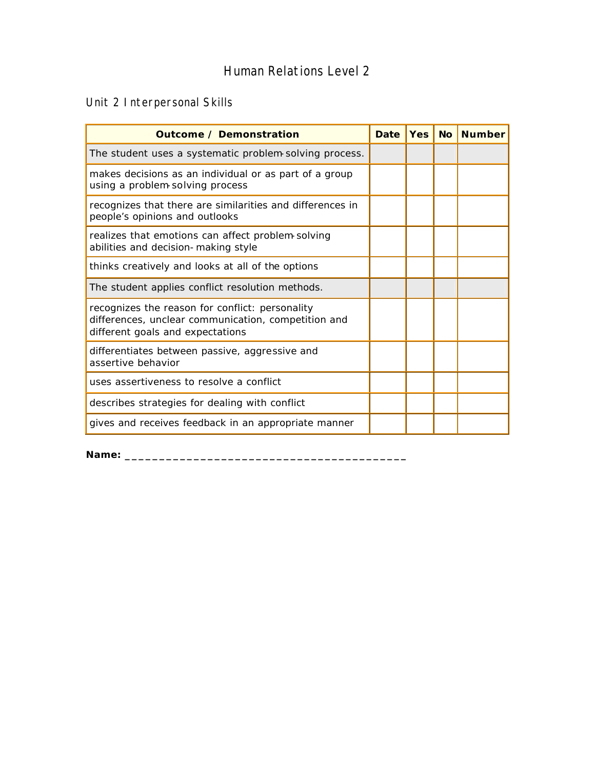## Human Relations Level 2

## Unit 2 Interpersonal Skills

| <b>Outcome / Demonstration</b>                                                                                                             | <b>Date</b> | Yes   No | <b>Number</b> |
|--------------------------------------------------------------------------------------------------------------------------------------------|-------------|----------|---------------|
| The student uses a systematic problem solving process.                                                                                     |             |          |               |
| makes decisions as an individual or as part of a group<br>using a problem-solving process                                                  |             |          |               |
| recognizes that there are similarities and differences in<br>people's opinions and outlooks                                                |             |          |               |
| realizes that emotions can affect problem-solving<br>abilities and decision-making style                                                   |             |          |               |
| thinks creatively and looks at all of the options                                                                                          |             |          |               |
| The student applies conflict resolution methods.                                                                                           |             |          |               |
| recognizes the reason for conflict: personality<br>differences, unclear communication, competition and<br>different goals and expectations |             |          |               |
| differentiates between passive, aggressive and<br>assertive behavior                                                                       |             |          |               |
| uses assertiveness to resolve a conflict                                                                                                   |             |          |               |
| describes strategies for dealing with conflict                                                                                             |             |          |               |
| gives and receives feedback in an appropriate manner                                                                                       |             |          |               |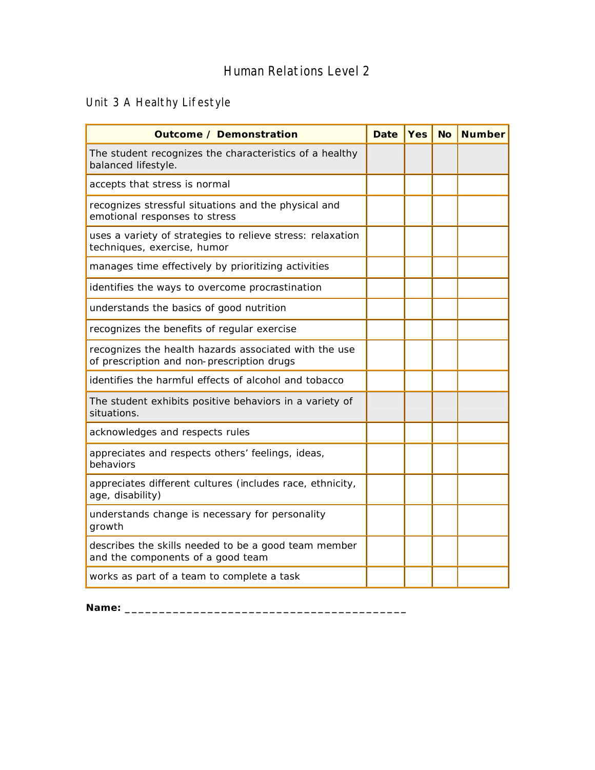## Human Relations Level 2

# Unit 3 A Healthy Lifestyle

| <b>Outcome / Demonstration</b>                                                                      | <b>Date</b> | <b>Yes</b> | <b>No</b> | <b>Number</b> |
|-----------------------------------------------------------------------------------------------------|-------------|------------|-----------|---------------|
| The student recognizes the characteristics of a healthy<br>balanced lifestyle.                      |             |            |           |               |
| accepts that stress is normal                                                                       |             |            |           |               |
| recognizes stressful situations and the physical and<br>emotional responses to stress               |             |            |           |               |
| uses a variety of strategies to relieve stress: relaxation<br>techniques, exercise, humor           |             |            |           |               |
| manages time effectively by prioritizing activities                                                 |             |            |           |               |
| identifies the ways to overcome procrastination                                                     |             |            |           |               |
| understands the basics of good nutrition                                                            |             |            |           |               |
| recognizes the benefits of regular exercise                                                         |             |            |           |               |
| recognizes the health hazards associated with the use<br>of prescription and non-prescription drugs |             |            |           |               |
| identifies the harmful effects of alcohol and tobacco                                               |             |            |           |               |
| The student exhibits positive behaviors in a variety of<br>situations.                              |             |            |           |               |
| acknowledges and respects rules                                                                     |             |            |           |               |
| appreciates and respects others' feelings, ideas,<br>behaviors                                      |             |            |           |               |
| appreciates different cultures (includes race, ethnicity,<br>age, disability)                       |             |            |           |               |
| understands change is necessary for personality<br>growth                                           |             |            |           |               |
| describes the skills needed to be a good team member<br>and the components of a good team           |             |            |           |               |
| works as part of a team to complete a task                                                          |             |            |           |               |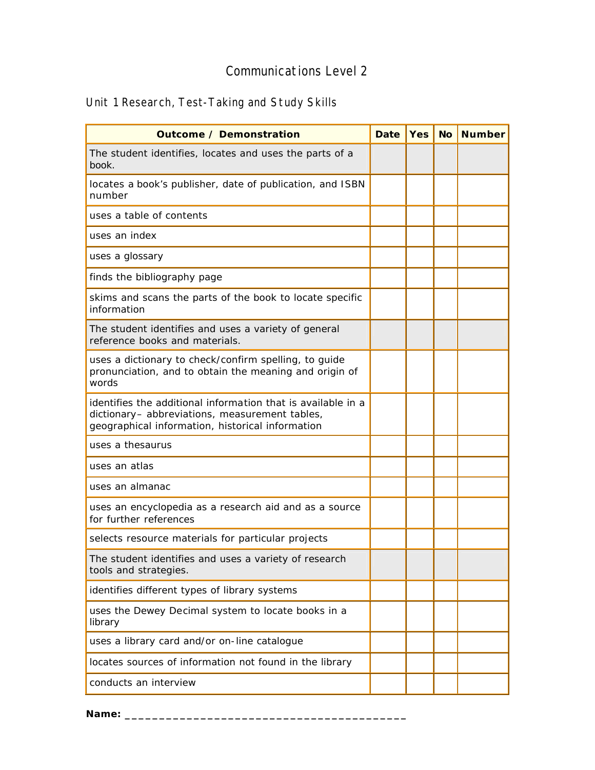# Unit 1 Research, Test-Taking and Study Skills

| <b>Outcome / Demonstration</b>                                                                                                                                     | <b>Date</b> | Yes | <b>No</b> | <b>Number</b> |
|--------------------------------------------------------------------------------------------------------------------------------------------------------------------|-------------|-----|-----------|---------------|
| The student identifies, locates and uses the parts of a<br>book.                                                                                                   |             |     |           |               |
| locates a book's publisher, date of publication, and ISBN<br>number                                                                                                |             |     |           |               |
| uses a table of contents                                                                                                                                           |             |     |           |               |
| uses an index                                                                                                                                                      |             |     |           |               |
| uses a glossary                                                                                                                                                    |             |     |           |               |
| finds the bibliography page                                                                                                                                        |             |     |           |               |
| skims and scans the parts of the book to locate specific<br>information                                                                                            |             |     |           |               |
| The student identifies and uses a variety of general<br>reference books and materials.                                                                             |             |     |           |               |
| uses a dictionary to check/confirm spelling, to guide<br>pronunciation, and to obtain the meaning and origin of<br>words                                           |             |     |           |               |
| identifies the additional information that is available in a<br>dictionary- abbreviations, measurement tables,<br>geographical information, historical information |             |     |           |               |
| uses a thesaurus                                                                                                                                                   |             |     |           |               |
| uses an atlas                                                                                                                                                      |             |     |           |               |
| uses an almanac                                                                                                                                                    |             |     |           |               |
| uses an encyclopedia as a research aid and as a source<br>for further references                                                                                   |             |     |           |               |
| selects resource materials for particular projects                                                                                                                 |             |     |           |               |
| The student identifies and uses a variety of research<br>tools and strategies.                                                                                     |             |     |           |               |
| identifies different types of library systems                                                                                                                      |             |     |           |               |
| uses the Dewey Decimal system to locate books in a<br>library                                                                                                      |             |     |           |               |
| uses a library card and/or on-line catalogue                                                                                                                       |             |     |           |               |
| locates sources of information not found in the library                                                                                                            |             |     |           |               |
| conducts an interview                                                                                                                                              |             |     |           |               |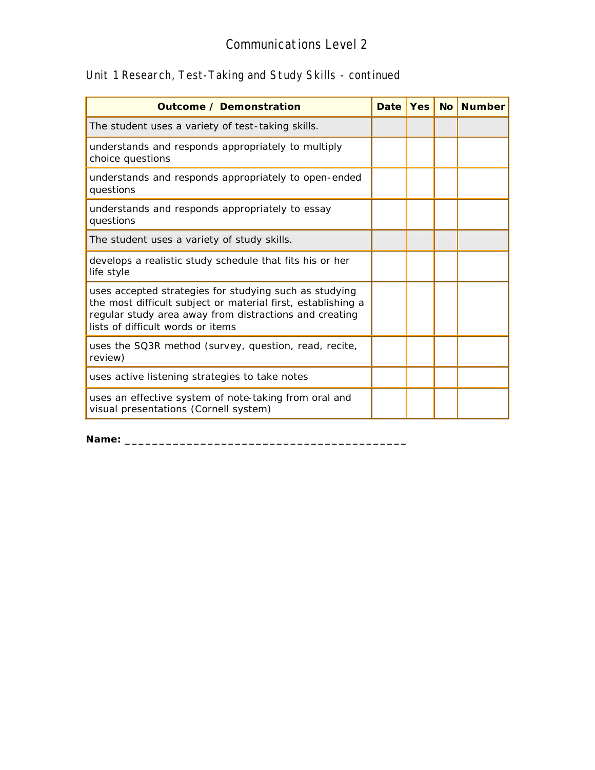# Unit 1 Research, Test-Taking and Study Skills - continued

| <b>Outcome / Demonstration</b>                                                                                                                                                                                        | <b>Date</b> |  | Yes   No   Number |
|-----------------------------------------------------------------------------------------------------------------------------------------------------------------------------------------------------------------------|-------------|--|-------------------|
| The student uses a variety of test-taking skills.                                                                                                                                                                     |             |  |                   |
| understands and responds appropriately to multiply<br>choice questions                                                                                                                                                |             |  |                   |
| understands and responds appropriately to open-ended<br>questions                                                                                                                                                     |             |  |                   |
| understands and responds appropriately to essay<br>questions                                                                                                                                                          |             |  |                   |
| The student uses a variety of study skills.                                                                                                                                                                           |             |  |                   |
| develops a realistic study schedule that fits his or her<br>life style                                                                                                                                                |             |  |                   |
| uses accepted strategies for studying such as studying<br>the most difficult subject or material first, establishing a<br>regular study area away from distractions and creating<br>lists of difficult words or items |             |  |                   |
| uses the SQ3R method (survey, question, read, recite,<br>review)                                                                                                                                                      |             |  |                   |
| uses active listening strategies to take notes                                                                                                                                                                        |             |  |                   |
| uses an effective system of note-taking from oral and<br>visual presentations (Cornell system)                                                                                                                        |             |  |                   |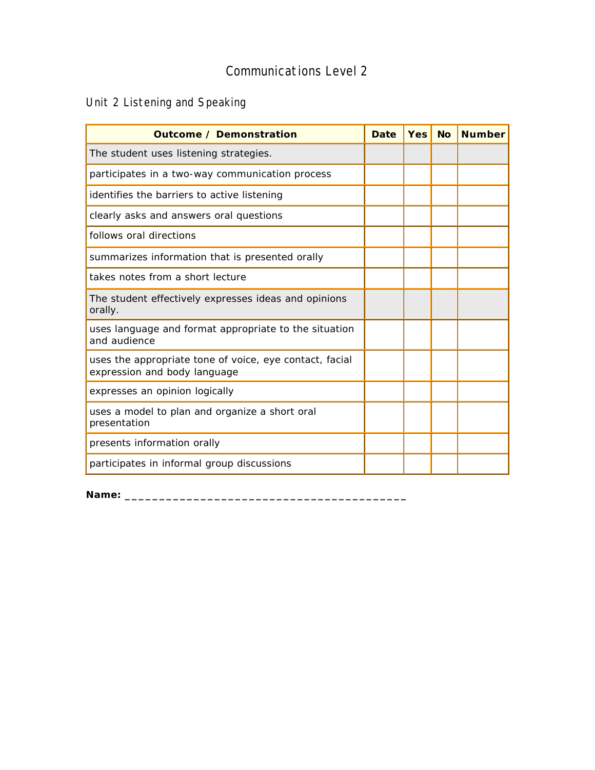# Unit 2 Listening and Speaking

| <b>Outcome / Demonstration</b>                                                          | <b>Date</b> | <b>Yes</b> | <b>No</b> | <b>Number</b> |
|-----------------------------------------------------------------------------------------|-------------|------------|-----------|---------------|
| The student uses listening strategies.                                                  |             |            |           |               |
| participates in a two-way communication process                                         |             |            |           |               |
| identifies the barriers to active listening                                             |             |            |           |               |
| clearly asks and answers oral questions                                                 |             |            |           |               |
| follows oral directions                                                                 |             |            |           |               |
| summarizes information that is presented orally                                         |             |            |           |               |
| takes notes from a short lecture                                                        |             |            |           |               |
| The student effectively expresses ideas and opinions<br>orally.                         |             |            |           |               |
| uses language and format appropriate to the situation<br>and audience                   |             |            |           |               |
| uses the appropriate tone of voice, eye contact, facial<br>expression and body language |             |            |           |               |
| expresses an opinion logically                                                          |             |            |           |               |
| uses a model to plan and organize a short oral<br>presentation                          |             |            |           |               |
| presents information orally                                                             |             |            |           |               |
| participates in informal group discussions                                              |             |            |           |               |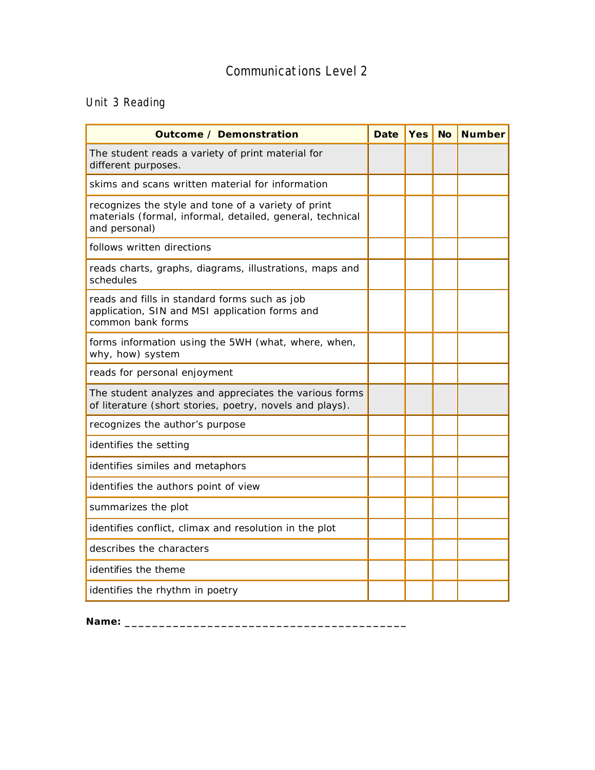## Unit 3 Reading

| <b>Outcome / Demonstration</b>                                                                                                    | <b>Date</b> | <b>Yes</b> | <b>No</b> | <b>Number</b> |
|-----------------------------------------------------------------------------------------------------------------------------------|-------------|------------|-----------|---------------|
| The student reads a variety of print material for<br>different purposes.                                                          |             |            |           |               |
| skims and scans written material for information                                                                                  |             |            |           |               |
| recognizes the style and tone of a variety of print<br>materials (formal, informal, detailed, general, technical<br>and personal) |             |            |           |               |
| follows written directions                                                                                                        |             |            |           |               |
| reads charts, graphs, diagrams, illustrations, maps and<br>schedules                                                              |             |            |           |               |
| reads and fills in standard forms such as job<br>application, SIN and MSI application forms and<br>common bank forms              |             |            |           |               |
| forms information using the 5WH (what, where, when,<br>why, how) system                                                           |             |            |           |               |
| reads for personal enjoyment                                                                                                      |             |            |           |               |
| The student analyzes and appreciates the various forms<br>of literature (short stories, poetry, novels and plays).                |             |            |           |               |
| recognizes the author's purpose                                                                                                   |             |            |           |               |
| identifies the setting                                                                                                            |             |            |           |               |
| identifies similes and metaphors                                                                                                  |             |            |           |               |
| identifies the authors point of view                                                                                              |             |            |           |               |
| summarizes the plot                                                                                                               |             |            |           |               |
| identifies conflict, climax and resolution in the plot                                                                            |             |            |           |               |
| describes the characters                                                                                                          |             |            |           |               |
| identifies the theme                                                                                                              |             |            |           |               |
| identifies the rhythm in poetry                                                                                                   |             |            |           |               |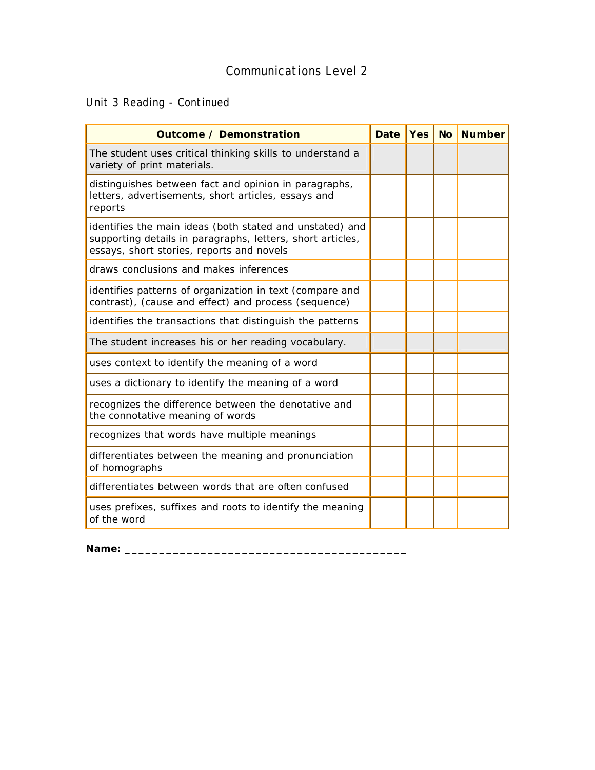Unit 3 Reading - Continued

| <b>Outcome / Demonstration</b>                                                                                                                                      | <b>Date</b> | <b>Yes</b> | <b>No</b> | <b>Number</b> |
|---------------------------------------------------------------------------------------------------------------------------------------------------------------------|-------------|------------|-----------|---------------|
| The student uses critical thinking skills to understand a<br>variety of print materials.                                                                            |             |            |           |               |
| distinguishes between fact and opinion in paragraphs,<br>letters, advertisements, short articles, essays and<br>reports                                             |             |            |           |               |
| identifies the main ideas (both stated and unstated) and<br>supporting details in paragraphs, letters, short articles,<br>essays, short stories, reports and novels |             |            |           |               |
| draws conclusions and makes inferences                                                                                                                              |             |            |           |               |
| identifies patterns of organization in text (compare and<br>contrast), (cause and effect) and process (sequence)                                                    |             |            |           |               |
| identifies the transactions that distinguish the patterns                                                                                                           |             |            |           |               |
| The student increases his or her reading vocabulary.                                                                                                                |             |            |           |               |
| uses context to identify the meaning of a word                                                                                                                      |             |            |           |               |
| uses a dictionary to identify the meaning of a word                                                                                                                 |             |            |           |               |
| recognizes the difference between the denotative and<br>the connotative meaning of words                                                                            |             |            |           |               |
| recognizes that words have multiple meanings                                                                                                                        |             |            |           |               |
| differentiates between the meaning and pronunciation<br>of homographs                                                                                               |             |            |           |               |
| differentiates between words that are often confused                                                                                                                |             |            |           |               |
| uses prefixes, suffixes and roots to identify the meaning<br>of the word                                                                                            |             |            |           |               |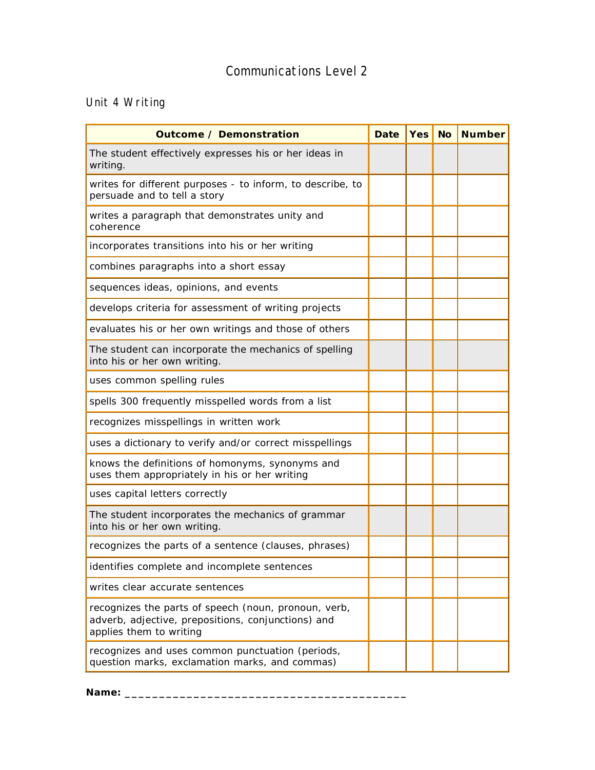## Unit 4 Writing

| <b>Outcome / Demonstration</b>                                                                                                        | <b>Date</b> | <b>Yes</b> | <b>No</b> | <b>Number</b> |
|---------------------------------------------------------------------------------------------------------------------------------------|-------------|------------|-----------|---------------|
| The student effectively expresses his or her ideas in<br>writing.                                                                     |             |            |           |               |
| writes for different purposes - to inform, to describe, to<br>persuade and to tell a story                                            |             |            |           |               |
| writes a paragraph that demonstrates unity and<br>coherence                                                                           |             |            |           |               |
| incorporates transitions into his or her writing                                                                                      |             |            |           |               |
| combines paragraphs into a short essay                                                                                                |             |            |           |               |
| sequences ideas, opinions, and events                                                                                                 |             |            |           |               |
| develops criteria for assessment of writing projects                                                                                  |             |            |           |               |
| evaluates his or her own writings and those of others                                                                                 |             |            |           |               |
| The student can incorporate the mechanics of spelling<br>into his or her own writing.                                                 |             |            |           |               |
| uses common spelling rules                                                                                                            |             |            |           |               |
| spells 300 frequently misspelled words from a list                                                                                    |             |            |           |               |
| recognizes misspellings in written work                                                                                               |             |            |           |               |
| uses a dictionary to verify and/or correct misspellings                                                                               |             |            |           |               |
| knows the definitions of homonyms, synonyms and<br>uses them appropriately in his or her writing                                      |             |            |           |               |
| uses capital letters correctly                                                                                                        |             |            |           |               |
| The student incorporates the mechanics of grammar<br>into his or her own writing.                                                     |             |            |           |               |
| recognizes the parts of a sentence (clauses, phrases)                                                                                 |             |            |           |               |
| identifies complete and incomplete sentences                                                                                          |             |            |           |               |
| writes clear accurate sentences                                                                                                       |             |            |           |               |
| recognizes the parts of speech (noun, pronoun, verb,<br>adverb, adjective, prepositions, conjunctions) and<br>applies them to writing |             |            |           |               |
| recognizes and uses common punctuation (periods,<br>question marks, exclamation marks, and commas)                                    |             |            |           |               |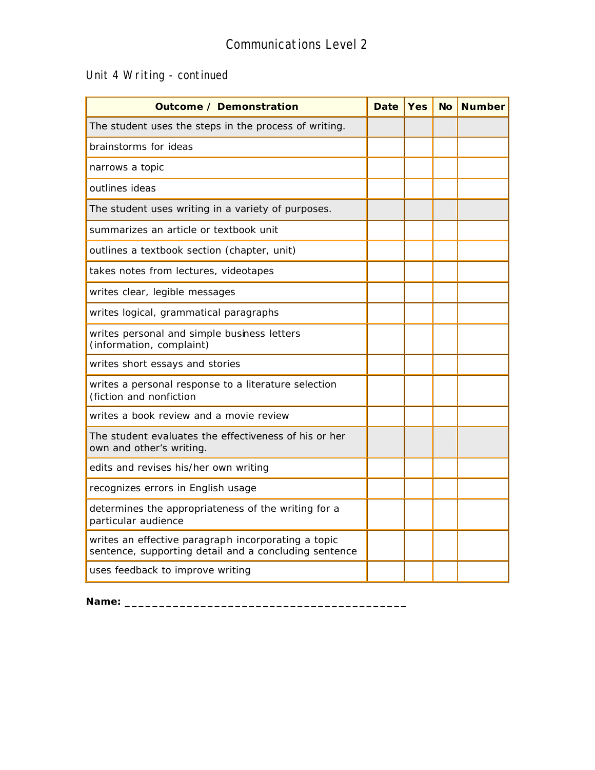## Unit 4 Writing - continued

| <b>Outcome / Demonstration</b>                                                                               | <b>Date</b> | <b>Yes</b> | <b>No</b> | <b>Number</b> |
|--------------------------------------------------------------------------------------------------------------|-------------|------------|-----------|---------------|
| The student uses the steps in the process of writing.                                                        |             |            |           |               |
| brainstorms for ideas                                                                                        |             |            |           |               |
| narrows a topic                                                                                              |             |            |           |               |
| outlines ideas                                                                                               |             |            |           |               |
| The student uses writing in a variety of purposes.                                                           |             |            |           |               |
| summarizes an article or textbook unit                                                                       |             |            |           |               |
| outlines a textbook section (chapter, unit)                                                                  |             |            |           |               |
| takes notes from lectures, videotapes                                                                        |             |            |           |               |
| writes clear, legible messages                                                                               |             |            |           |               |
| writes logical, grammatical paragraphs                                                                       |             |            |           |               |
| writes personal and simple business letters<br>(information, complaint)                                      |             |            |           |               |
| writes short essays and stories                                                                              |             |            |           |               |
| writes a personal response to a literature selection<br>(fiction and nonfiction                              |             |            |           |               |
| writes a book review and a movie review                                                                      |             |            |           |               |
| The student evaluates the effectiveness of his or her<br>own and other's writing.                            |             |            |           |               |
| edits and revises his/her own writing                                                                        |             |            |           |               |
| recognizes errors in English usage                                                                           |             |            |           |               |
| determines the appropriateness of the writing for a<br>particular audience                                   |             |            |           |               |
| writes an effective paragraph incorporating a topic<br>sentence, supporting detail and a concluding sentence |             |            |           |               |
| uses feedback to improve writing                                                                             |             |            |           |               |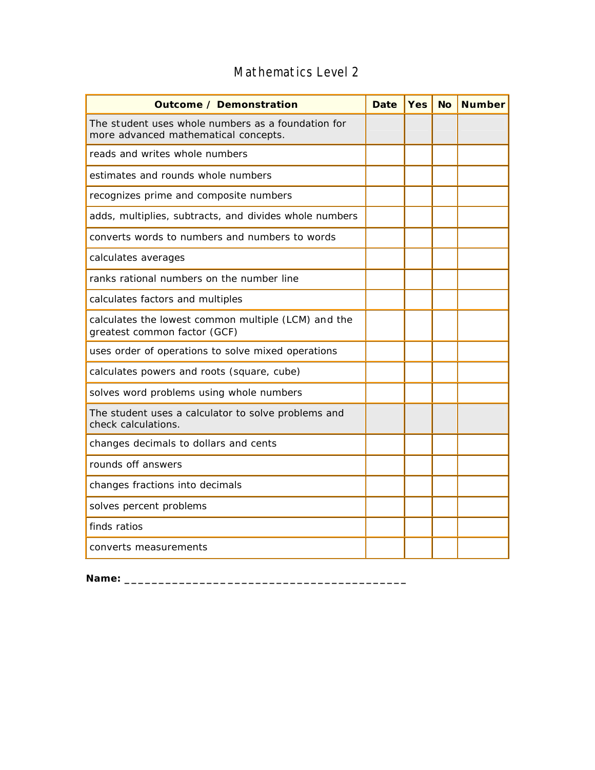| <b>Outcome / Demonstration</b>                                                             | <b>Date</b> | <b>Yes</b> | <b>No</b> | <b>Number</b> |
|--------------------------------------------------------------------------------------------|-------------|------------|-----------|---------------|
| The student uses whole numbers as a foundation for<br>more advanced mathematical concepts. |             |            |           |               |
| reads and writes whole numbers                                                             |             |            |           |               |
| estimates and rounds whole numbers                                                         |             |            |           |               |
| recognizes prime and composite numbers                                                     |             |            |           |               |
| adds, multiplies, subtracts, and divides whole numbers                                     |             |            |           |               |
| converts words to numbers and numbers to words                                             |             |            |           |               |
| calculates averages                                                                        |             |            |           |               |
| ranks rational numbers on the number line                                                  |             |            |           |               |
| calculates factors and multiples                                                           |             |            |           |               |
| calculates the lowest common multiple (LCM) and the<br>greatest common factor (GCF)        |             |            |           |               |
| uses order of operations to solve mixed operations                                         |             |            |           |               |
| calculates powers and roots (square, cube)                                                 |             |            |           |               |
| solves word problems using whole numbers                                                   |             |            |           |               |
| The student uses a calculator to solve problems and<br>check calculations.                 |             |            |           |               |
| changes decimals to dollars and cents                                                      |             |            |           |               |
| rounds off answers                                                                         |             |            |           |               |
| changes fractions into decimals                                                            |             |            |           |               |
| solves percent problems                                                                    |             |            |           |               |
| finds ratios                                                                               |             |            |           |               |
| converts measurements                                                                      |             |            |           |               |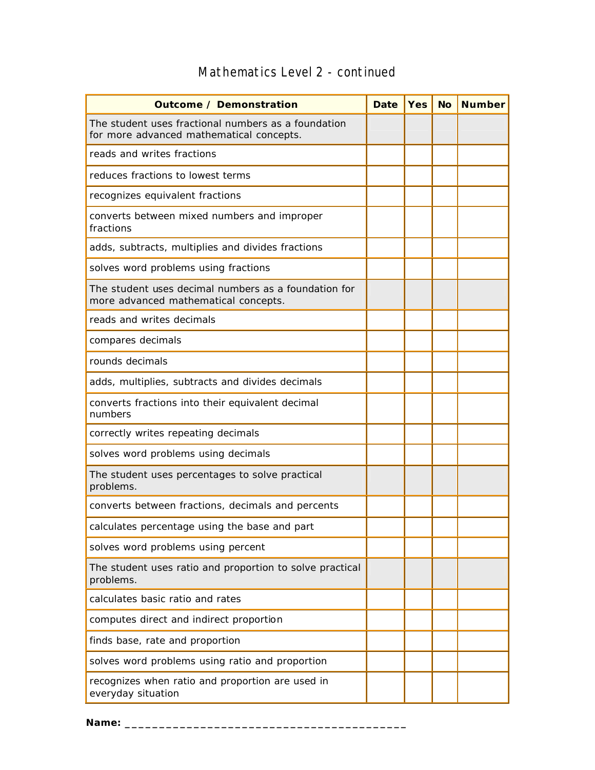| <b>Outcome / Demonstration</b>                                                                  | <b>Date</b> | <b>Yes</b> | <b>No</b> | <b>Number</b> |
|-------------------------------------------------------------------------------------------------|-------------|------------|-----------|---------------|
| The student uses fractional numbers as a foundation<br>for more advanced mathematical concepts. |             |            |           |               |
| reads and writes fractions                                                                      |             |            |           |               |
| reduces fractions to lowest terms                                                               |             |            |           |               |
| recognizes equivalent fractions                                                                 |             |            |           |               |
| converts between mixed numbers and improper<br>fractions                                        |             |            |           |               |
| adds, subtracts, multiplies and divides fractions                                               |             |            |           |               |
| solves word problems using fractions                                                            |             |            |           |               |
| The student uses decimal numbers as a foundation for<br>more advanced mathematical concepts.    |             |            |           |               |
| reads and writes decimals                                                                       |             |            |           |               |
| compares decimals                                                                               |             |            |           |               |
| rounds decimals                                                                                 |             |            |           |               |
| adds, multiplies, subtracts and divides decimals                                                |             |            |           |               |
| converts fractions into their equivalent decimal<br>numbers                                     |             |            |           |               |
| correctly writes repeating decimals                                                             |             |            |           |               |
| solves word problems using decimals                                                             |             |            |           |               |
| The student uses percentages to solve practical<br>problems.                                    |             |            |           |               |
| converts between fractions, decimals and percents                                               |             |            |           |               |
| calculates percentage using the base and part                                                   |             |            |           |               |
| solves word problems using percent                                                              |             |            |           |               |
| The student uses ratio and proportion to solve practical<br>problems.                           |             |            |           |               |
| calculates basic ratio and rates                                                                |             |            |           |               |
| computes direct and indirect proportion                                                         |             |            |           |               |
| finds base, rate and proportion                                                                 |             |            |           |               |
| solves word problems using ratio and proportion                                                 |             |            |           |               |
| recognizes when ratio and proportion are used in<br>everyday situation                          |             |            |           |               |

## Mathematics Level 2 - continued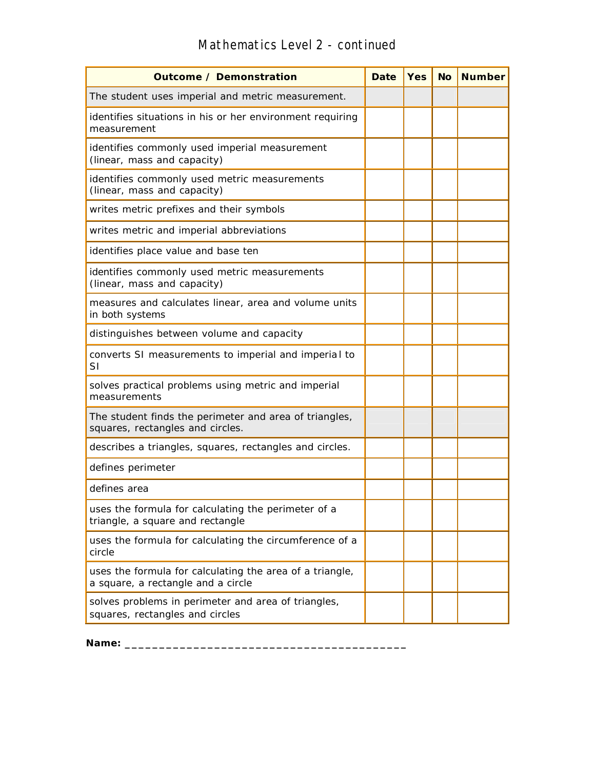## **Outcome / Demonstration Date Yes No Number** The student uses imperial and metric measurement. identifies situations in his or her environment requiring measurement identifies commonly used imperial measurement (linear, mass and capacity) identifies commonly used metric measurements (linear, mass and capacity) writes metric prefixes and their symbols writes metric and imperial abbreviations identifies place value and base ten identifies commonly used metric measurements (linear, mass and capacity) measures and calculates linear, area and volume units in both systems distinguishes between volume and capacity converts SI measurements to imperial and imperia l to SI solves practical problems using metric and imperial measurements The student finds the perimeter and area of triangles, squares, rectangles and circles. describes a triangles, squares, rectangles and circles. defines perimeter defines area uses the formula for calculating the perimeter of a triangle, a square and rectangle uses the formula for calculating the circumference of a circle uses the formula for calculating the area of a triangle, a square, a rectangle and a circle solves problems in perimeter and area of triangles, squares, rectangles and circles

#### Mathematics Level 2 - continued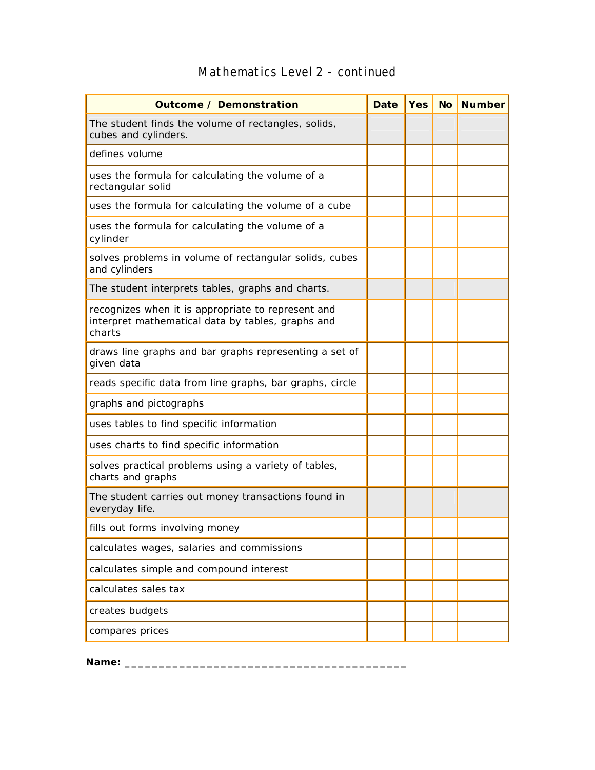| <b>Outcome / Demonstration</b>                                                                                    | <b>Date</b> | <b>Yes</b> | <b>No</b> | <b>Number</b> |
|-------------------------------------------------------------------------------------------------------------------|-------------|------------|-----------|---------------|
| The student finds the volume of rectangles, solids,<br>cubes and cylinders.                                       |             |            |           |               |
| defines volume                                                                                                    |             |            |           |               |
| uses the formula for calculating the volume of a<br>rectangular solid                                             |             |            |           |               |
| uses the formula for calculating the volume of a cube                                                             |             |            |           |               |
| uses the formula for calculating the volume of a<br>cylinder                                                      |             |            |           |               |
| solves problems in volume of rectangular solids, cubes<br>and cylinders                                           |             |            |           |               |
| The student interprets tables, graphs and charts.                                                                 |             |            |           |               |
| recognizes when it is appropriate to represent and<br>interpret mathematical data by tables, graphs and<br>charts |             |            |           |               |
| draws line graphs and bar graphs representing a set of<br>given data                                              |             |            |           |               |
| reads specific data from line graphs, bar graphs, circle                                                          |             |            |           |               |
| graphs and pictographs                                                                                            |             |            |           |               |
| uses tables to find specific information                                                                          |             |            |           |               |
| uses charts to find specific information                                                                          |             |            |           |               |
| solves practical problems using a variety of tables,<br>charts and graphs                                         |             |            |           |               |
| The student carries out money transactions found in<br>everyday life.                                             |             |            |           |               |
| fills out forms involving money                                                                                   |             |            |           |               |
| calculates wages, salaries and commissions                                                                        |             |            |           |               |
| calculates simple and compound interest                                                                           |             |            |           |               |
| calculates sales tax                                                                                              |             |            |           |               |
| creates budgets                                                                                                   |             |            |           |               |
| compares prices                                                                                                   |             |            |           |               |

## Mathematics Level 2 - continued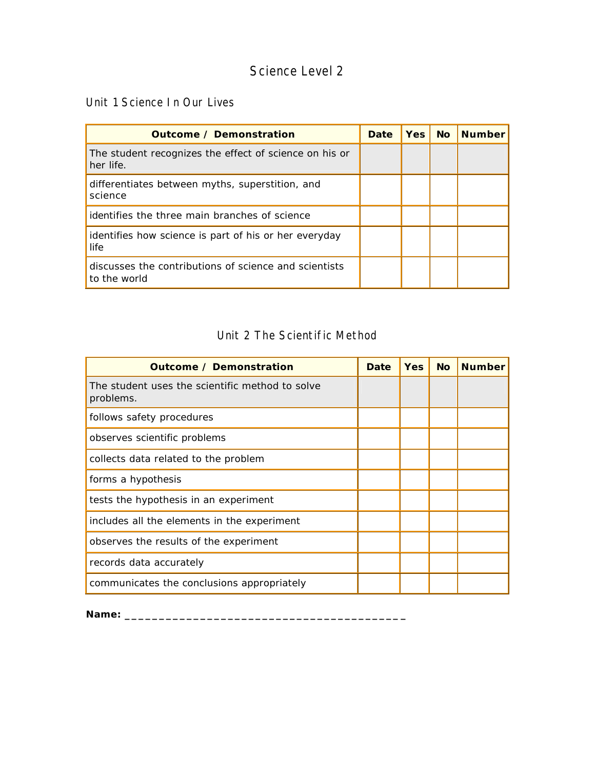#### Unit 1 Science In Our Lives

| <b>Outcome / Demonstration</b>                                        | Date | <b>Yes</b> | <b>No</b> | <b>Number</b> |
|-----------------------------------------------------------------------|------|------------|-----------|---------------|
| The student recognizes the effect of science on his or<br>her life.   |      |            |           |               |
| differentiates between myths, superstition, and<br>science            |      |            |           |               |
| identifies the three main branches of science                         |      |            |           |               |
| identifies how science is part of his or her everyday<br>life         |      |            |           |               |
| discusses the contributions of science and scientists<br>to the world |      |            |           |               |

#### Unit 2 The Scientific Method

| <b>Outcome / Demonstration</b>                               | <b>Date</b> | <b>Yes</b> | <b>No</b> | <b>Number</b> |
|--------------------------------------------------------------|-------------|------------|-----------|---------------|
| The student uses the scientific method to solve<br>problems. |             |            |           |               |
| follows safety procedures                                    |             |            |           |               |
| observes scientific problems                                 |             |            |           |               |
| collects data related to the problem                         |             |            |           |               |
| forms a hypothesis                                           |             |            |           |               |
| tests the hypothesis in an experiment                        |             |            |           |               |
| includes all the elements in the experiment                  |             |            |           |               |
| observes the results of the experiment                       |             |            |           |               |
| records data accurately                                      |             |            |           |               |
| communicates the conclusions appropriately                   |             |            |           |               |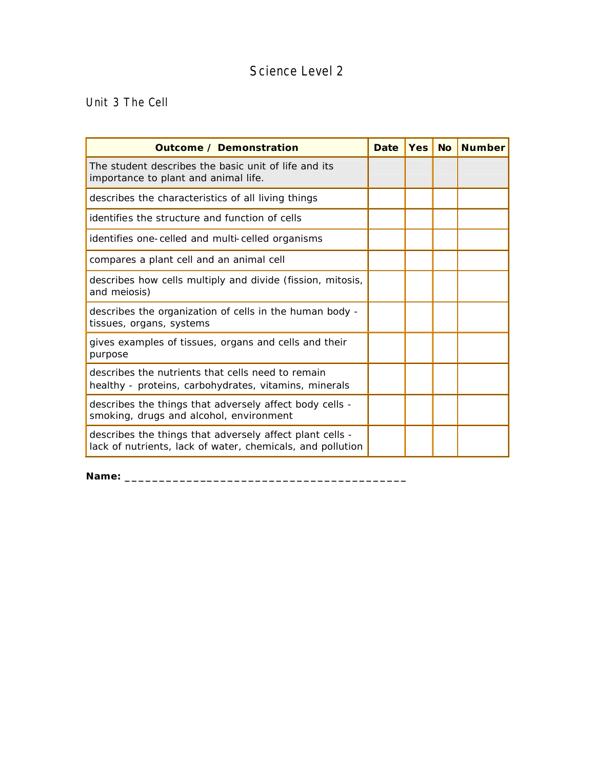Unit 3 The Cell

| <b>Outcome / Demonstration</b>                                                                                         | <b>Date</b> | <b>Yes</b> | <b>No</b> | <b>Number</b> |
|------------------------------------------------------------------------------------------------------------------------|-------------|------------|-----------|---------------|
| The student describes the basic unit of life and its<br>importance to plant and animal life.                           |             |            |           |               |
| describes the characteristics of all living things                                                                     |             |            |           |               |
| identifies the structure and function of cells                                                                         |             |            |           |               |
| identifies one-celled and multi-celled organisms                                                                       |             |            |           |               |
| compares a plant cell and an animal cell                                                                               |             |            |           |               |
| describes how cells multiply and divide (fission, mitosis,<br>and meiosis)                                             |             |            |           |               |
| describes the organization of cells in the human body -<br>tissues, organs, systems                                    |             |            |           |               |
| gives examples of tissues, organs and cells and their<br>purpose                                                       |             |            |           |               |
| describes the nutrients that cells need to remain<br>healthy - proteins, carbohydrates, vitamins, minerals             |             |            |           |               |
| describes the things that adversely affect body cells -<br>smoking, drugs and alcohol, environment                     |             |            |           |               |
| describes the things that adversely affect plant cells -<br>lack of nutrients, lack of water, chemicals, and pollution |             |            |           |               |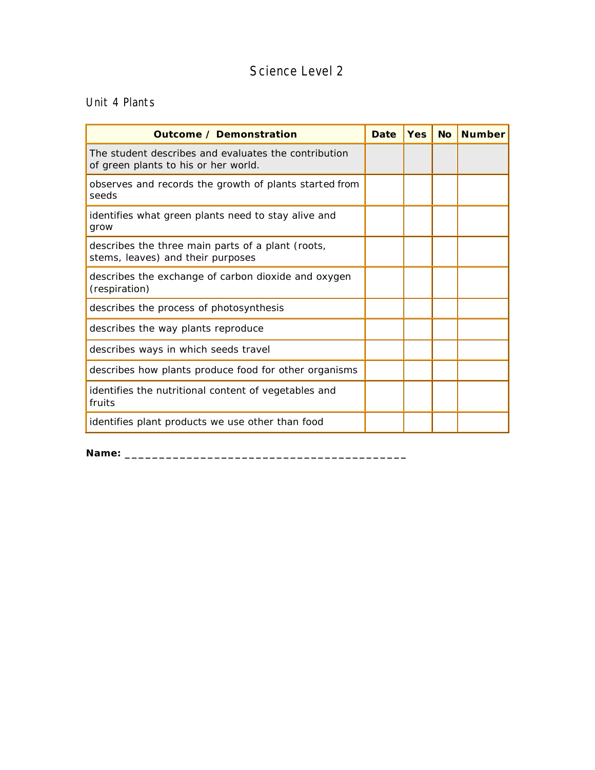#### Unit 4 Plants

| Outcome / Demonstration                                                                      | Date | <b>Yes</b> | <b>No</b> | <b>Number</b> |
|----------------------------------------------------------------------------------------------|------|------------|-----------|---------------|
| The student describes and evaluates the contribution<br>of green plants to his or her world. |      |            |           |               |
| observes and records the growth of plants started from<br>seeds                              |      |            |           |               |
| identifies what green plants need to stay alive and<br>grow                                  |      |            |           |               |
| describes the three main parts of a plant (roots,<br>stems, leaves) and their purposes       |      |            |           |               |
| describes the exchange of carbon dioxide and oxygen<br>(respiration)                         |      |            |           |               |
| describes the process of photosynthesis                                                      |      |            |           |               |
| describes the way plants reproduce                                                           |      |            |           |               |
| describes ways in which seeds travel                                                         |      |            |           |               |
| describes how plants produce food for other organisms                                        |      |            |           |               |
| identifies the nutritional content of vegetables and<br>fruits                               |      |            |           |               |
| identifies plant products we use other than food                                             |      |            |           |               |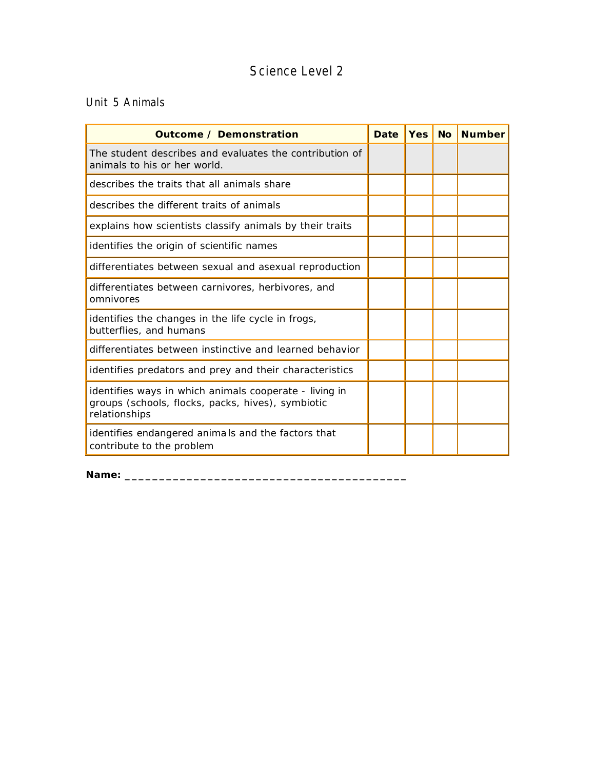#### Unit 5 Animals

| <b>Outcome / Demonstration</b>                                                                                               | Date | <b>Yes</b> | No Number |
|------------------------------------------------------------------------------------------------------------------------------|------|------------|-----------|
| The student describes and evaluates the contribution of<br>animals to his or her world.                                      |      |            |           |
| describes the traits that all animals share                                                                                  |      |            |           |
| describes the different traits of animals                                                                                    |      |            |           |
| explains how scientists classify animals by their traits                                                                     |      |            |           |
| identifies the origin of scientific names                                                                                    |      |            |           |
| differentiates between sexual and asexual reproduction                                                                       |      |            |           |
| differentiates between carnivores, herbivores, and<br>omnivores                                                              |      |            |           |
| identifies the changes in the life cycle in frogs,<br>butterflies, and humans                                                |      |            |           |
| differentiates between instinctive and learned behavior                                                                      |      |            |           |
| identifies predators and prey and their characteristics                                                                      |      |            |           |
| identifies ways in which animals cooperate - living in<br>groups (schools, flocks, packs, hives), symbiotic<br>relationships |      |            |           |
| identifies endangered animals and the factors that<br>contribute to the problem                                              |      |            |           |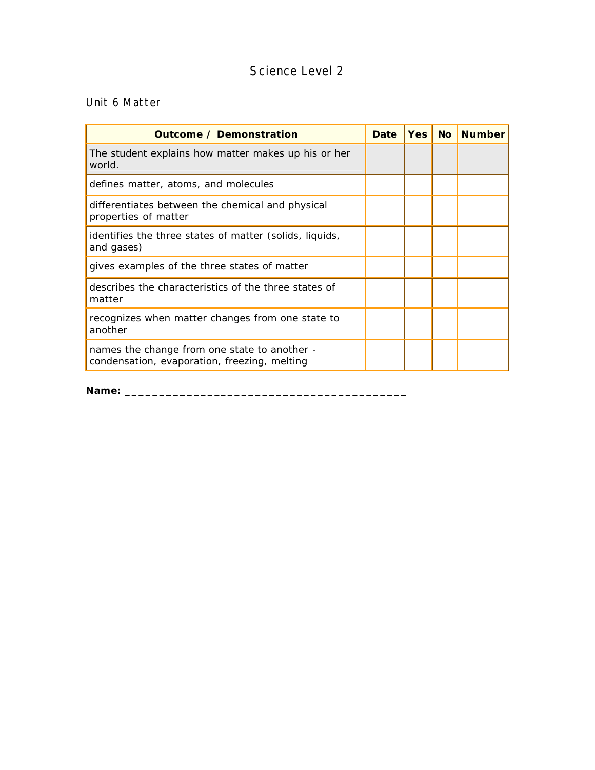#### Unit 6 Matter

| Outcome / Demonstration                                                                      | Date | <b>Yes</b> | <b>No</b> | <b>Number</b> |
|----------------------------------------------------------------------------------------------|------|------------|-----------|---------------|
| The student explains how matter makes up his or her<br>world.                                |      |            |           |               |
| defines matter, atoms, and molecules                                                         |      |            |           |               |
| differentiates between the chemical and physical<br>properties of matter                     |      |            |           |               |
| identifies the three states of matter (solids, liquids,<br>and gases)                        |      |            |           |               |
| gives examples of the three states of matter                                                 |      |            |           |               |
| describes the characteristics of the three states of<br>matter                               |      |            |           |               |
| recognizes when matter changes from one state to<br>another                                  |      |            |           |               |
| names the change from one state to another -<br>condensation, evaporation, freezing, melting |      |            |           |               |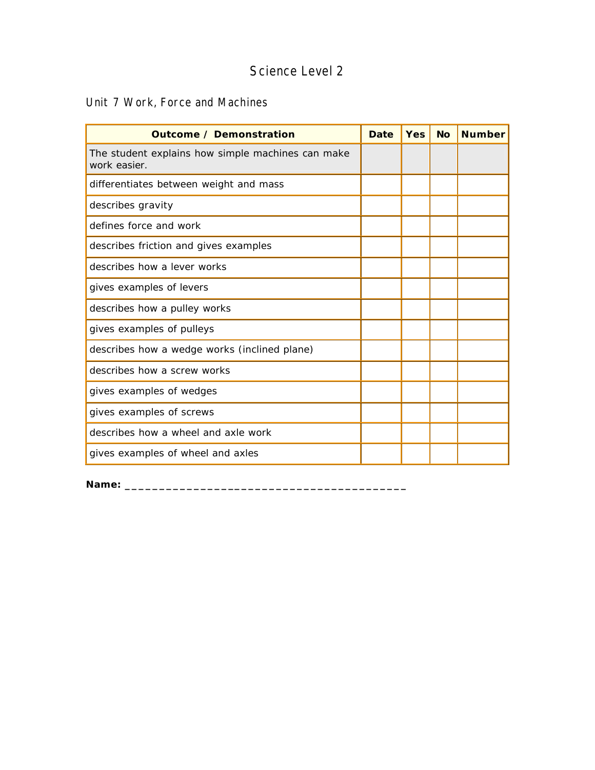#### Unit 7 Work, Force and Machines

| <b>Outcome / Demonstration</b>                                    | <b>Date</b> | Yes | <b>No</b> | <b>Number</b> |
|-------------------------------------------------------------------|-------------|-----|-----------|---------------|
| The student explains how simple machines can make<br>work easier. |             |     |           |               |
| differentiates between weight and mass                            |             |     |           |               |
| describes gravity                                                 |             |     |           |               |
| defines force and work                                            |             |     |           |               |
| describes friction and gives examples                             |             |     |           |               |
| describes how a lever works                                       |             |     |           |               |
| gives examples of levers                                          |             |     |           |               |
| describes how a pulley works                                      |             |     |           |               |
| gives examples of pulleys                                         |             |     |           |               |
| describes how a wedge works (inclined plane)                      |             |     |           |               |
| describes how a screw works                                       |             |     |           |               |
| gives examples of wedges                                          |             |     |           |               |
| gives examples of screws                                          |             |     |           |               |
| describes how a wheel and axle work                               |             |     |           |               |
| gives examples of wheel and axles                                 |             |     |           |               |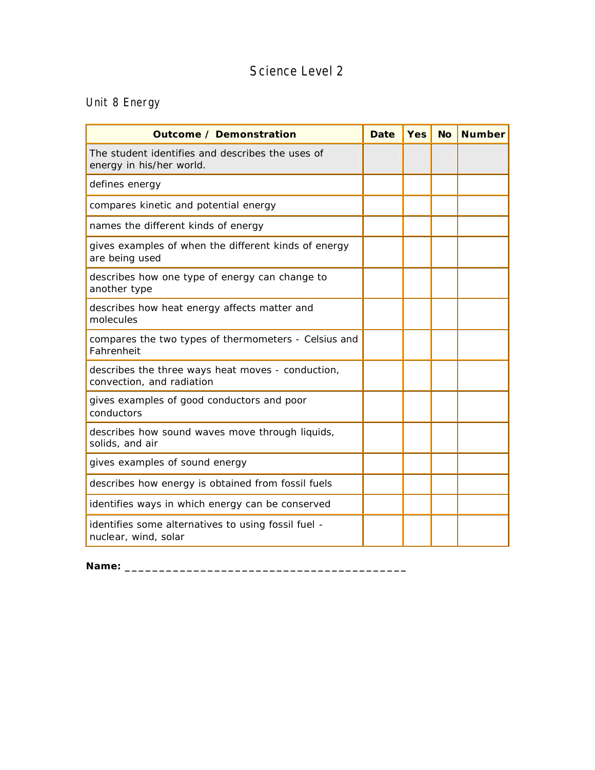## Unit 8 Energy

| <b>Outcome / Demonstration</b>                                                 | <b>Date</b> | <b>Yes</b> | <b>No</b> | <b>Number</b> |
|--------------------------------------------------------------------------------|-------------|------------|-----------|---------------|
| The student identifies and describes the uses of<br>energy in his/her world.   |             |            |           |               |
| defines energy                                                                 |             |            |           |               |
| compares kinetic and potential energy                                          |             |            |           |               |
| names the different kinds of energy                                            |             |            |           |               |
| gives examples of when the different kinds of energy<br>are being used         |             |            |           |               |
| describes how one type of energy can change to<br>another type                 |             |            |           |               |
| describes how heat energy affects matter and<br>molecules                      |             |            |           |               |
| compares the two types of thermometers - Celsius and<br>Fahrenheit             |             |            |           |               |
| describes the three ways heat moves - conduction,<br>convection, and radiation |             |            |           |               |
| gives examples of good conductors and poor<br>conductors                       |             |            |           |               |
| describes how sound waves move through liquids,<br>solids, and air             |             |            |           |               |
| gives examples of sound energy                                                 |             |            |           |               |
| describes how energy is obtained from fossil fuels                             |             |            |           |               |
| identifies ways in which energy can be conserved                               |             |            |           |               |
| identifies some alternatives to using fossil fuel -<br>nuclear, wind, solar    |             |            |           |               |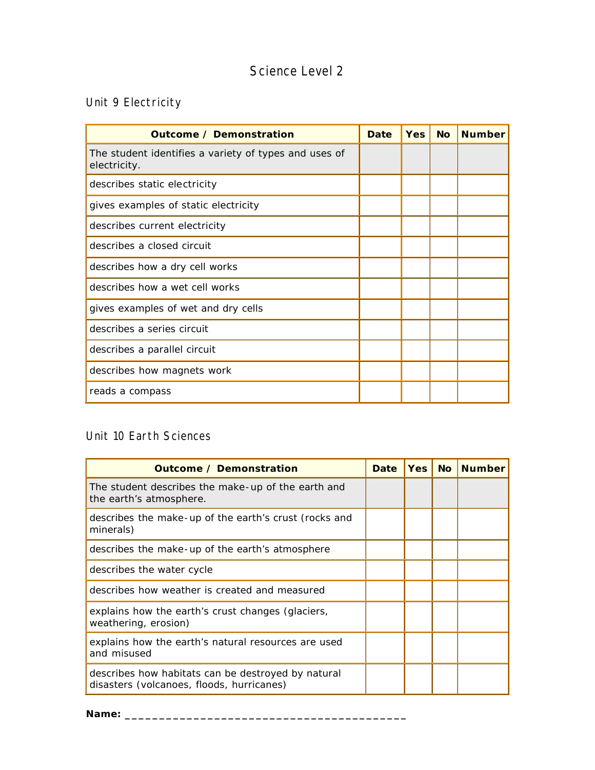# Unit 9 Electricity

| <b>Outcome / Demonstration</b>                                        | Date | <b>Yes</b> | <b>No</b> | <b>Number</b> |
|-----------------------------------------------------------------------|------|------------|-----------|---------------|
| The student identifies a variety of types and uses of<br>electricity. |      |            |           |               |
| describes static electricity                                          |      |            |           |               |
| gives examples of static electricity                                  |      |            |           |               |
| describes current electricity                                         |      |            |           |               |
| describes a closed circuit                                            |      |            |           |               |
| describes how a dry cell works                                        |      |            |           |               |
| describes how a wet cell works                                        |      |            |           |               |
| gives examples of wet and dry cells                                   |      |            |           |               |
| describes a series circuit                                            |      |            |           |               |
| describes a parallel circuit                                          |      |            |           |               |
| describes how magnets work                                            |      |            |           |               |
| reads a compass                                                       |      |            |           |               |

## Unit 10 Earth Sciences

| Outcome / Demonstration                                                                         | <b>Date</b> | <b>Yes</b> | <b>No</b> | <b>Number</b> |
|-------------------------------------------------------------------------------------------------|-------------|------------|-----------|---------------|
| The student describes the make-up of the earth and<br>the earth's atmosphere.                   |             |            |           |               |
| describes the make-up of the earth's crust (rocks and<br>minerals)                              |             |            |           |               |
| describes the make-up of the earth's atmosphere                                                 |             |            |           |               |
| describes the water cycle                                                                       |             |            |           |               |
| describes how weather is created and measured                                                   |             |            |           |               |
| explains how the earth's crust changes (glaciers,<br>weathering, erosion)                       |             |            |           |               |
| explains how the earth's natural resources are used<br>and misused                              |             |            |           |               |
| describes how habitats can be destroyed by natural<br>disasters (volcanoes, floods, hurricanes) |             |            |           |               |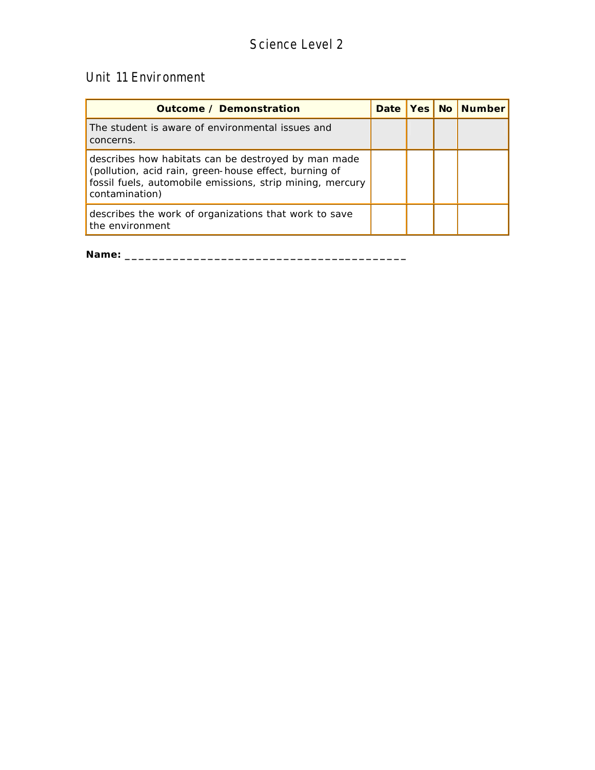#### Unit 11 Environment

| Outcome / Demonstration                                                                                                                                                                     |  | Date   Yes   No   Number |
|---------------------------------------------------------------------------------------------------------------------------------------------------------------------------------------------|--|--------------------------|
| The student is aware of environmental issues and<br>concerns.                                                                                                                               |  |                          |
| describes how habitats can be destroyed by man made<br>(pollution, acid rain, green-house effect, burning of<br>fossil fuels, automobile emissions, strip mining, mercury<br>contamination) |  |                          |
| describes the work of organizations that work to save<br>the environment                                                                                                                    |  |                          |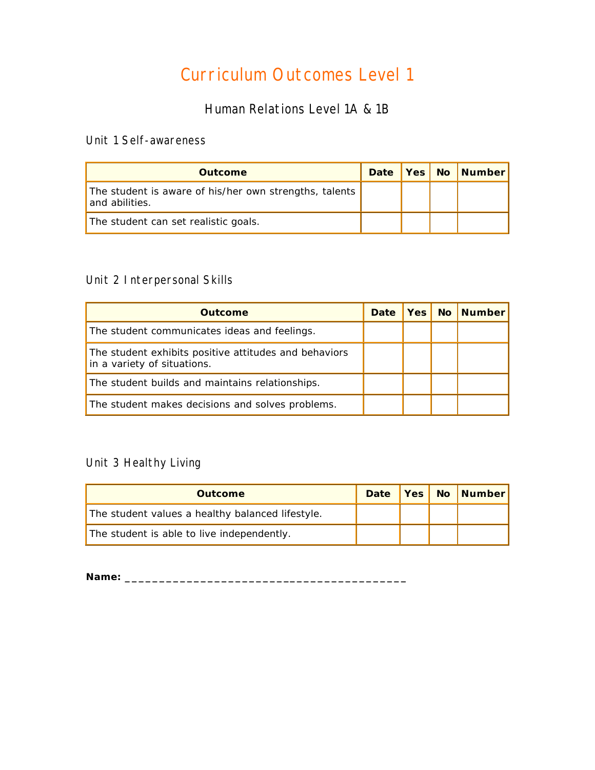# Curriculum Outcomes Level 1

## Human Relations Level 1A & 1B

#### Unit 1 Self-awareness

| <b>Outcome</b>                                                           |  | Date   Yes   No   Number |
|--------------------------------------------------------------------------|--|--------------------------|
| The student is aware of his/her own strengths, talents<br>and abilities. |  |                          |
| The student can set realistic goals.                                     |  |                          |

#### Unit 2 Interpersonal Skills

| Outcome                                                                              | Date | Yes <sub>l</sub> | <b>No</b> | <b>Number</b> |
|--------------------------------------------------------------------------------------|------|------------------|-----------|---------------|
| The student communicates ideas and feelings.                                         |      |                  |           |               |
| The student exhibits positive attitudes and behaviors<br>in a variety of situations. |      |                  |           |               |
| The student builds and maintains relationships.                                      |      |                  |           |               |
| The student makes decisions and solves problems.                                     |      |                  |           |               |

## Unit 3 Healthy Living

| <b>Outcome</b>                                   | <b>Date</b> |  | Yes No Number |
|--------------------------------------------------|-------------|--|---------------|
| The student values a healthy balanced lifestyle. |             |  |               |
| The student is able to live independently.       |             |  |               |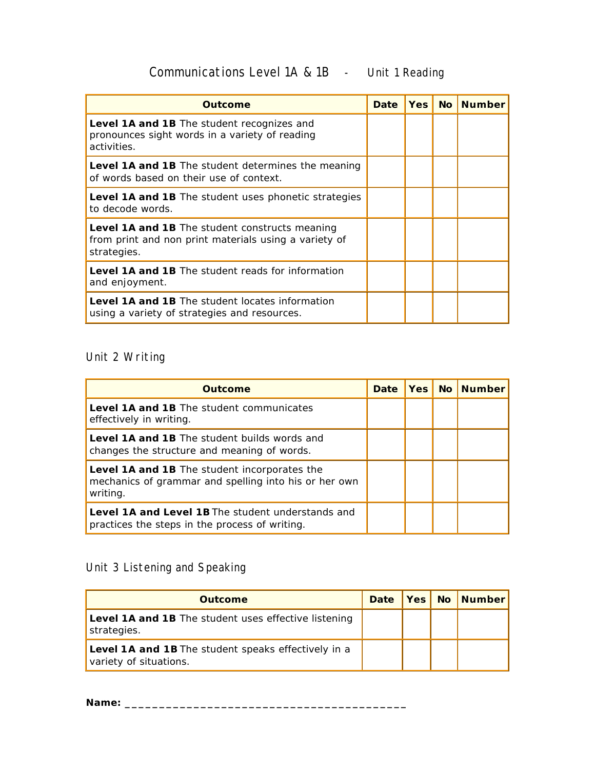# Communications Level 1A & 1B - Unit 1 Reading

| Outcome                                                                                                                       | <b>Date</b> | <b>Yes</b> | No Number |
|-------------------------------------------------------------------------------------------------------------------------------|-------------|------------|-----------|
| Level 1A and 1B The student recognizes and<br>pronounces sight words in a variety of reading<br>activities.                   |             |            |           |
| <b>Level 1A and 1B</b> The student determines the meaning<br>of words based on their use of context.                          |             |            |           |
| <b>Level 1A and 1B</b> The student uses phonetic strategies<br>to decode words.                                               |             |            |           |
| <b>Level 1A and 1B</b> The student constructs meaning<br>from print and non print materials using a variety of<br>strategies. |             |            |           |
| <b>Level 1A and 1B</b> The student reads for information<br>and enjoyment.                                                    |             |            |           |
| <b>Level 1A and 1B</b> The student locates information<br>using a variety of strategies and resources.                        |             |            |           |

## Unit 2 Writing

| <b>Outcome</b>                                                                                                    | <b>Date</b> | Yes   No | <b>Number</b> |
|-------------------------------------------------------------------------------------------------------------------|-------------|----------|---------------|
| <b>Level 1A and 1B</b> The student communicates<br>effectively in writing.                                        |             |          |               |
| <b>Level 1A and 1B</b> The student builds words and<br>changes the structure and meaning of words.                |             |          |               |
| Level 1A and 1B The student incorporates the<br>mechanics of grammar and spelling into his or her own<br>writing. |             |          |               |
| <b>Level 1A and Level 1B</b> The student understands and<br>practices the steps in the process of writing.        |             |          |               |

# Unit 3 Listening and Speaking

| <b>Outcome</b>                                                                |  | Date   Yes   No   Number |
|-------------------------------------------------------------------------------|--|--------------------------|
| Level 1A and 1B The student uses effective listening<br>strategies.           |  |                          |
| Level 1A and 1B The student speaks effectively in a<br>variety of situations. |  |                          |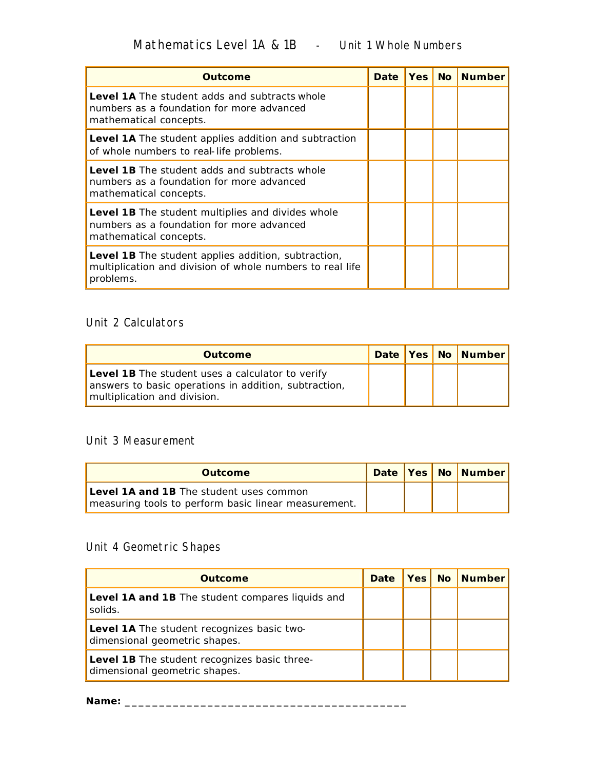| Outcome                                                                                                                         | <b>Date</b> | <b>Yes</b> | <b>No</b> | <b>Number</b> |
|---------------------------------------------------------------------------------------------------------------------------------|-------------|------------|-----------|---------------|
| <b>Level 1A</b> The student adds and subtracts whole<br>numbers as a foundation for more advanced<br>mathematical concepts.     |             |            |           |               |
| Level 1A The student applies addition and subtraction<br>of whole numbers to real-life problems.                                |             |            |           |               |
| <b>Level 1B</b> The student adds and subtracts whole<br>numbers as a foundation for more advanced<br>mathematical concepts.     |             |            |           |               |
| <b>Level 1B</b> The student multiplies and divides whole<br>numbers as a foundation for more advanced<br>mathematical concepts. |             |            |           |               |
| Level 1B The student applies addition, subtraction,<br>multiplication and division of whole numbers to real life<br>problems.   |             |            |           |               |

#### Unit 2 Calculators

| <b>Outcome</b>                                                                                                                            |  | Date Yes No Number |
|-------------------------------------------------------------------------------------------------------------------------------------------|--|--------------------|
| Level 1B The student uses a calculator to verify<br>answers to basic operations in addition, subtraction,<br>multiplication and division. |  |                    |

#### Unit 3 Measurement

| <b>Outcome</b>                                                                                         |  | Date Yes No Number |
|--------------------------------------------------------------------------------------------------------|--|--------------------|
| <b>Level 1A and 1B</b> The student uses common<br>measuring tools to perform basic linear measurement. |  |                    |

## Unit 4 Geometric Shapes

| <b>Outcome</b>                                                                | <b>Date</b> | <b>Yes</b> No | <b>Number</b> |
|-------------------------------------------------------------------------------|-------------|---------------|---------------|
| Level 1A and 1B The student compares liquids and<br>solids.                   |             |               |               |
| Level 1A The student recognizes basic two-<br>dimensional geometric shapes.   |             |               |               |
| Level 1B The student recognizes basic three-<br>dimensional geometric shapes. |             |               |               |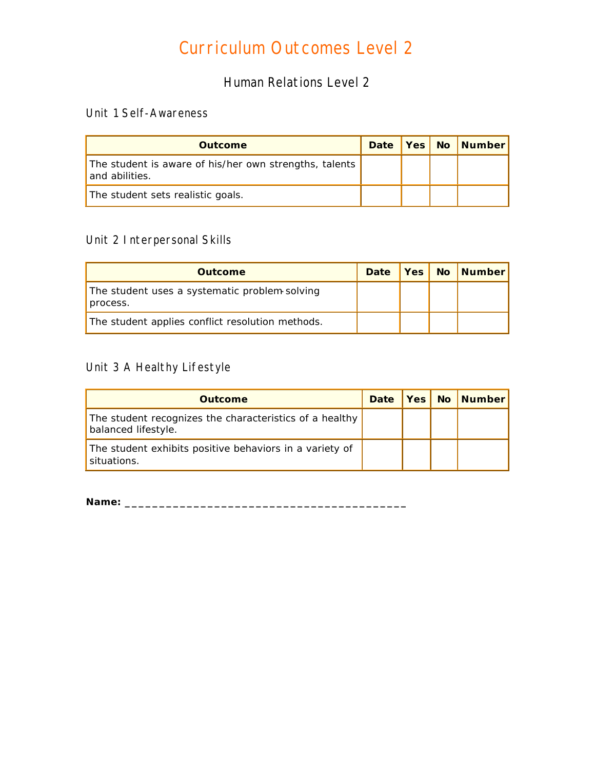# Curriculum Outcomes Level 2

Human Relations Level 2

#### Unit 1 Self-Awareness

| <b>Outcome</b>                                                           | Date |  | <b>Yes No Number</b> |
|--------------------------------------------------------------------------|------|--|----------------------|
| The student is aware of his/her own strengths, talents<br>and abilities. |      |  |                      |
| The student sets realistic goals.                                        |      |  |                      |

#### Unit 2 Interpersonal Skills

| <b>Outcome</b>                                            | Date |  | <b>Yes No Number</b> |
|-----------------------------------------------------------|------|--|----------------------|
| The student uses a systematic problem solving<br>process. |      |  |                      |
| The student applies conflict resolution methods.          |      |  |                      |

## Unit 3 A Healthy Lifestyle

| <b>Outcome</b>                                                                 | Date |  | <b>Yes No Number</b> |
|--------------------------------------------------------------------------------|------|--|----------------------|
| The student recognizes the characteristics of a healthy<br>balanced lifestyle. |      |  |                      |
| The student exhibits positive behaviors in a variety of<br>situations.         |      |  |                      |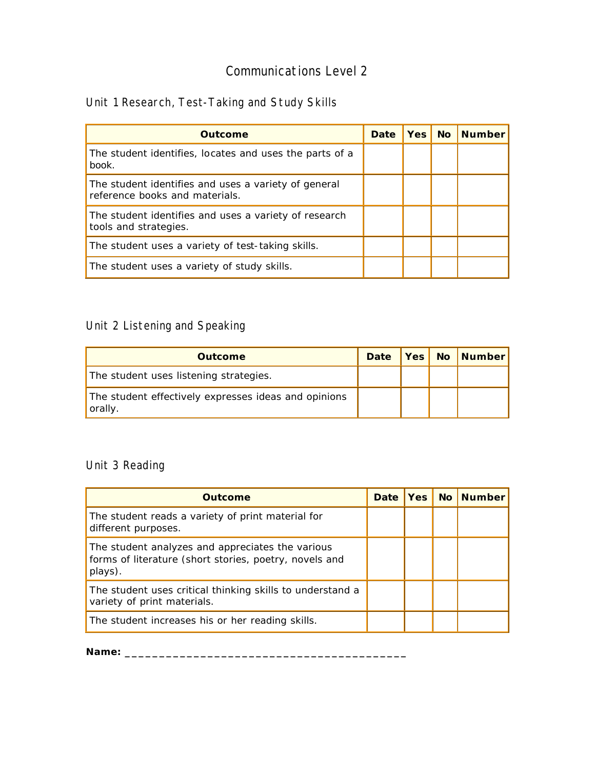## Unit 1 Research, Test-Taking and Study Skills

| Outcome                                                                                | Date | Yes I | <b>No</b> | <b>Number</b> |
|----------------------------------------------------------------------------------------|------|-------|-----------|---------------|
| The student identifies, locates and uses the parts of a<br>book.                       |      |       |           |               |
| The student identifies and uses a variety of general<br>reference books and materials. |      |       |           |               |
| The student identifies and uses a variety of research<br>tools and strategies.         |      |       |           |               |
| The student uses a variety of test-taking skills.                                      |      |       |           |               |
| The student uses a variety of study skills.                                            |      |       |           |               |

## Unit 2 Listening and Speaking

| <b>Outcome</b>                                                  | <b>Date</b> |  | Yes No Number |
|-----------------------------------------------------------------|-------------|--|---------------|
| The student uses listening strategies.                          |             |  |               |
| The student effectively expresses ideas and opinions<br>orally. |             |  |               |

#### Unit 3 Reading

| Outcome                                                                                                               | <b>Date</b> | Yes | No Number |
|-----------------------------------------------------------------------------------------------------------------------|-------------|-----|-----------|
| The student reads a variety of print material for<br>different purposes.                                              |             |     |           |
| The student analyzes and appreciates the various<br>forms of literature (short stories, poetry, novels and<br>plays). |             |     |           |
| The student uses critical thinking skills to understand a<br>variety of print materials.                              |             |     |           |
| The student increases his or her reading skills.                                                                      |             |     |           |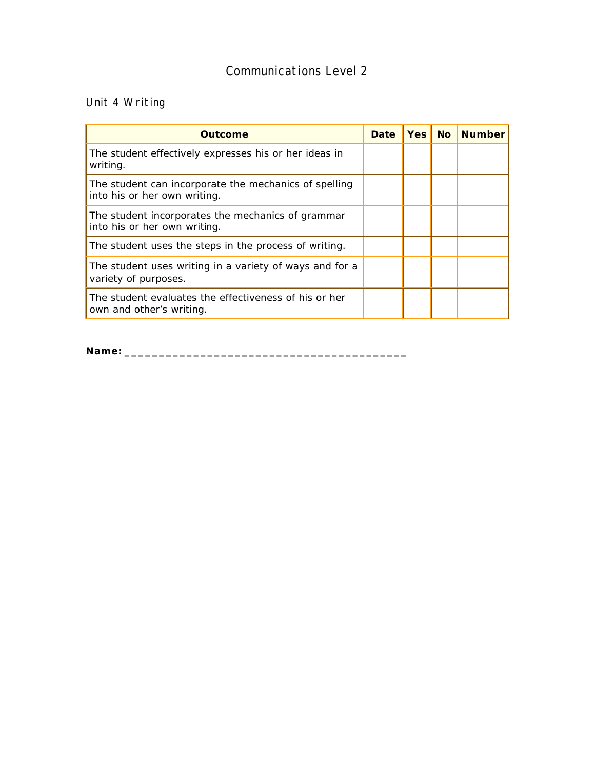## Unit 4 Writing

| Outcome                                                                               | Date | Yes I | <b>No</b> | <b>Number</b> |
|---------------------------------------------------------------------------------------|------|-------|-----------|---------------|
| The student effectively expresses his or her ideas in<br>writing.                     |      |       |           |               |
| The student can incorporate the mechanics of spelling<br>into his or her own writing. |      |       |           |               |
| The student incorporates the mechanics of grammar<br>into his or her own writing.     |      |       |           |               |
| The student uses the steps in the process of writing.                                 |      |       |           |               |
| The student uses writing in a variety of ways and for a<br>variety of purposes.       |      |       |           |               |
| The student evaluates the effectiveness of his or her<br>own and other's writing.     |      |       |           |               |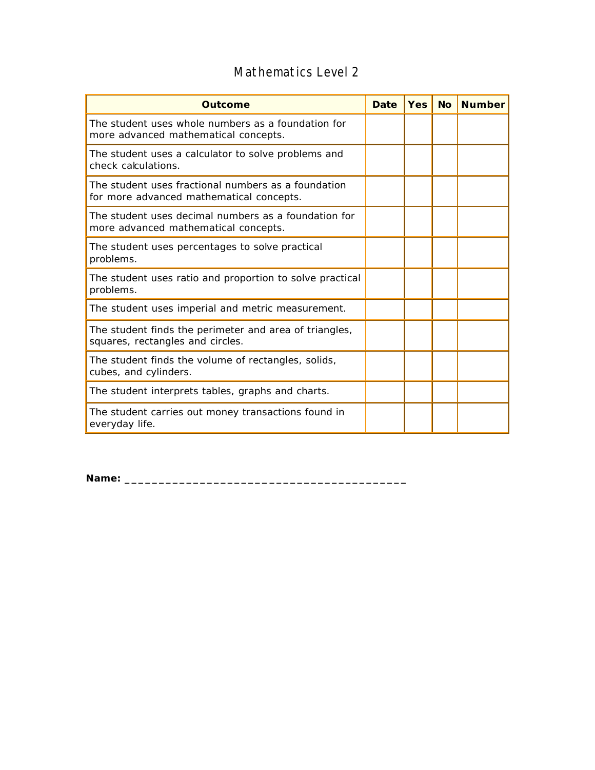## Mathematics Level 2

| Outcome                                                                                         | <b>Date</b> | <b>Yes</b> | <b>No</b> | <b>Number</b> |
|-------------------------------------------------------------------------------------------------|-------------|------------|-----------|---------------|
| The student uses whole numbers as a foundation for<br>more advanced mathematical concepts.      |             |            |           |               |
| The student uses a calculator to solve problems and<br>check calculations.                      |             |            |           |               |
| The student uses fractional numbers as a foundation<br>for more advanced mathematical concepts. |             |            |           |               |
| The student uses decimal numbers as a foundation for<br>more advanced mathematical concepts.    |             |            |           |               |
| The student uses percentages to solve practical<br>problems.                                    |             |            |           |               |
| The student uses ratio and proportion to solve practical<br>problems.                           |             |            |           |               |
| The student uses imperial and metric measurement.                                               |             |            |           |               |
| The student finds the perimeter and area of triangles,<br>squares, rectangles and circles.      |             |            |           |               |
| The student finds the volume of rectangles, solids,<br>cubes, and cylinders.                    |             |            |           |               |
| The student interprets tables, graphs and charts.                                               |             |            |           |               |
| The student carries out money transactions found in<br>everyday life.                           |             |            |           |               |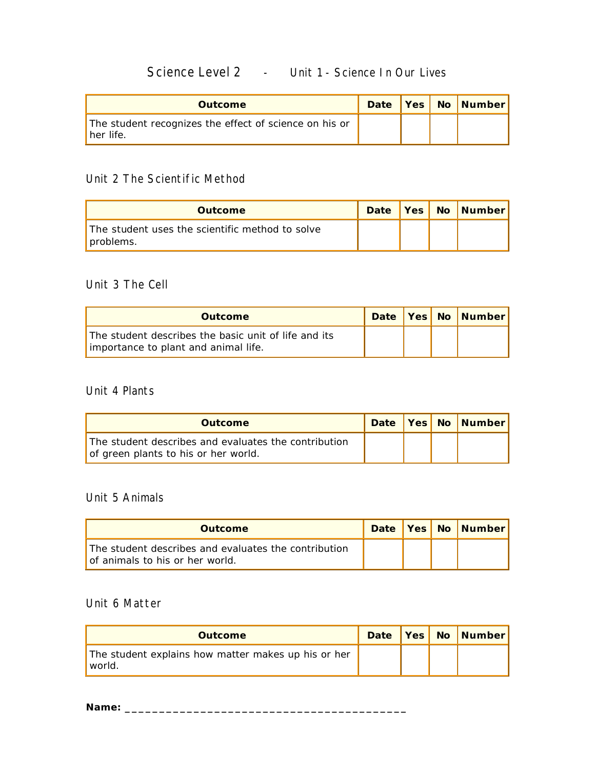## Science Level 2 - Unit 1 - Science In Our Lives

| <b>Outcome</b>                                                      |  | Date   Yes   No   Number |
|---------------------------------------------------------------------|--|--------------------------|
| The student recognizes the effect of science on his or<br>her life. |  |                          |

#### Unit 2 The Scientific Method

| <b>Outcome</b>                                               | Date |  | Yes No Number |
|--------------------------------------------------------------|------|--|---------------|
| The student uses the scientific method to solve<br>problems. |      |  |               |

#### Unit 3 The Cell

| <b>Outcome</b>                                                                               |  | Date   Yes   No   Number |
|----------------------------------------------------------------------------------------------|--|--------------------------|
| The student describes the basic unit of life and its<br>importance to plant and animal life. |  |                          |

#### Unit 4 Plants

| <b>Outcome</b>                                                                               |  | Date   Yes   No   Number |
|----------------------------------------------------------------------------------------------|--|--------------------------|
| The student describes and evaluates the contribution<br>of green plants to his or her world. |  |                          |

#### Unit 5 Animals

| <b>Outcome</b>                                                                          |  | Date   Yes   No   Number |
|-----------------------------------------------------------------------------------------|--|--------------------------|
| The student describes and evaluates the contribution<br>of animals to his or her world. |  |                          |

#### Unit 6 Matter

| <b>Outcome</b>                                                  |  | Date   Yes   No   Number |
|-----------------------------------------------------------------|--|--------------------------|
| The student explains how matter makes up his or her<br>' world. |  |                          |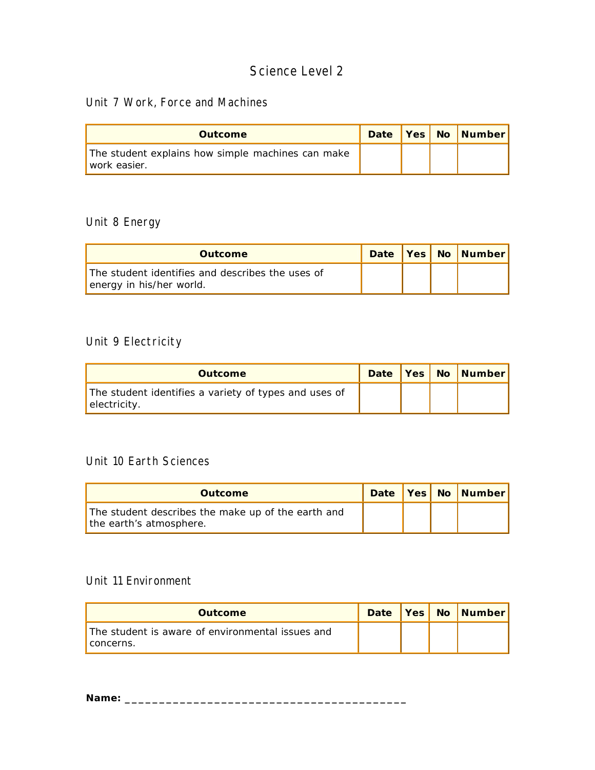#### Unit 7 Work, Force and Machines

| <b>Outcome</b>                                                    |  | Date Yes No Number |
|-------------------------------------------------------------------|--|--------------------|
| The student explains how simple machines can make<br>work easier. |  |                    |

## Unit 8 Energy

| <b>Outcome</b>                                                               |  | Date   Yes   No   Number |
|------------------------------------------------------------------------------|--|--------------------------|
| The student identifies and describes the uses of<br>energy in his/her world. |  |                          |

#### Unit 9 Electricity

| <b>Outcome</b>                                                        |  | Date Yes No Number |
|-----------------------------------------------------------------------|--|--------------------|
| The student identifies a variety of types and uses of<br>electricity. |  |                    |

#### Unit 10 Earth Sciences

| <b>Outcome</b>                                                                |  | Date   Yes   No   Number |
|-------------------------------------------------------------------------------|--|--------------------------|
| The student describes the make up of the earth and<br>the earth's atmosphere. |  |                          |

#### Unit 11 Environment

| <b>Outcome</b>                                                  |  | Date   Yes   No   Number |
|-----------------------------------------------------------------|--|--------------------------|
| The student is aware of environmental issues and<br>l concerns. |  |                          |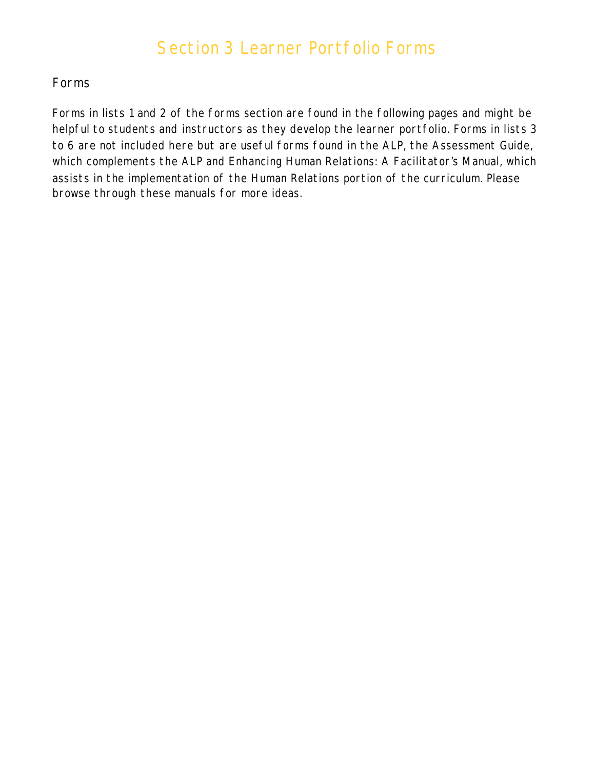# Section 3 Learner Portfolio Forms

#### Forms

Forms in lists 1 and 2 of the forms section are found in the following pages and might be helpful to students and instructors as they develop the learner portfolio. Forms in lists 3 to 6 are not included here but are useful forms found in the ALP, the Assessment Guide, which complements the ALP and Enhancing Human Relations: A Facilitator's Manual, which assists in the implementation of the Human Relations portion of the curriculum. Please browse through these manuals for more ideas.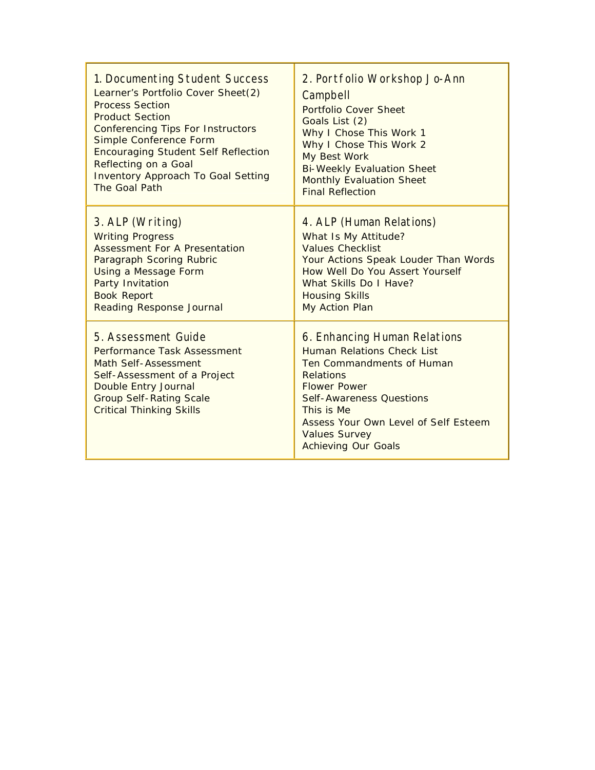| 1. Documenting Student Success                                                                                                                                                                                 | 2. Portfolio Workshop Jo-Ann                                                                                                                                                                                                                                                      |
|----------------------------------------------------------------------------------------------------------------------------------------------------------------------------------------------------------------|-----------------------------------------------------------------------------------------------------------------------------------------------------------------------------------------------------------------------------------------------------------------------------------|
| Learner's Portfolio Cover Sheet(2)                                                                                                                                                                             | Campbell                                                                                                                                                                                                                                                                          |
| <b>Process Section</b>                                                                                                                                                                                         | Portfolio Cover Sheet                                                                                                                                                                                                                                                             |
| <b>Product Section</b>                                                                                                                                                                                         | Goals List (2)                                                                                                                                                                                                                                                                    |
| <b>Conferencing Tips For Instructors</b>                                                                                                                                                                       | Why I Chose This Work 1                                                                                                                                                                                                                                                           |
| Simple Conference Form                                                                                                                                                                                         | Why I Chose This Work 2                                                                                                                                                                                                                                                           |
| <b>Encouraging Student Self Reflection</b>                                                                                                                                                                     | My Best Work                                                                                                                                                                                                                                                                      |
| <b>Reflecting on a Goal</b>                                                                                                                                                                                    | <b>Bi-Weekly Evaluation Sheet</b>                                                                                                                                                                                                                                                 |
| <b>Inventory Approach To Goal Setting</b>                                                                                                                                                                      | <b>Monthly Evaluation Sheet</b>                                                                                                                                                                                                                                                   |
| The Goal Path                                                                                                                                                                                                  | <b>Final Reflection</b>                                                                                                                                                                                                                                                           |
| 3. ALP (Writing)                                                                                                                                                                                               | 4. ALP (Human Relations)                                                                                                                                                                                                                                                          |
| <b>Writing Progress</b>                                                                                                                                                                                        | What Is My Attitude?                                                                                                                                                                                                                                                              |
| <b>Assessment For A Presentation</b>                                                                                                                                                                           | <b>Values Checklist</b>                                                                                                                                                                                                                                                           |
| Paragraph Scoring Rubric                                                                                                                                                                                       | Your Actions Speak Louder Than Words                                                                                                                                                                                                                                              |
| Using a Message Form                                                                                                                                                                                           | How Well Do You Assert Yourself                                                                                                                                                                                                                                                   |
| Party Invitation                                                                                                                                                                                               | What Skills Do I Have?                                                                                                                                                                                                                                                            |
| <b>Book Report</b>                                                                                                                                                                                             | <b>Housing Skills</b>                                                                                                                                                                                                                                                             |
| <b>Reading Response Journal</b>                                                                                                                                                                                | My Action Plan                                                                                                                                                                                                                                                                    |
| 5. Assessment Guide<br>Performance Task Assessment<br><b>Math Self-Assessment</b><br>Self-Assessment of a Project<br>Double Entry Journal<br><b>Group Self-Rating Scale</b><br><b>Critical Thinking Skills</b> | 6. Enhancing Human Relations<br><b>Human Relations Check List</b><br>Ten Commandments of Human<br><b>Relations</b><br><b>Flower Power</b><br>Self-Awareness Questions<br>This is Me<br>Assess Your Own Level of Self Esteem<br><b>Values Survey</b><br><b>Achieving Our Goals</b> |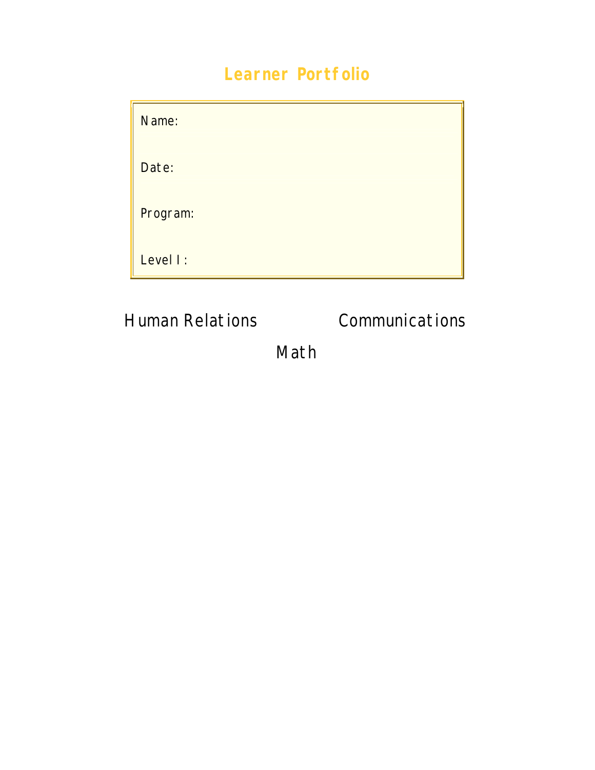# **Learner Portfolio**

| Name:    |
|----------|
| Date:    |
| Program: |
| Level I: |

Human Relations Communications

Math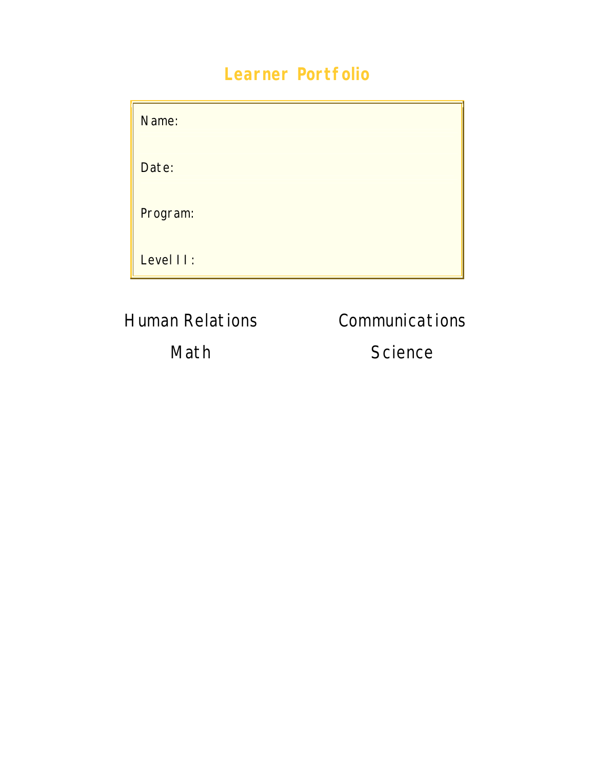# **Learner Portfolio**

| Name:     |  |
|-----------|--|
| Date:     |  |
| Program:  |  |
| Level II: |  |

Human Relations Communications

Math Science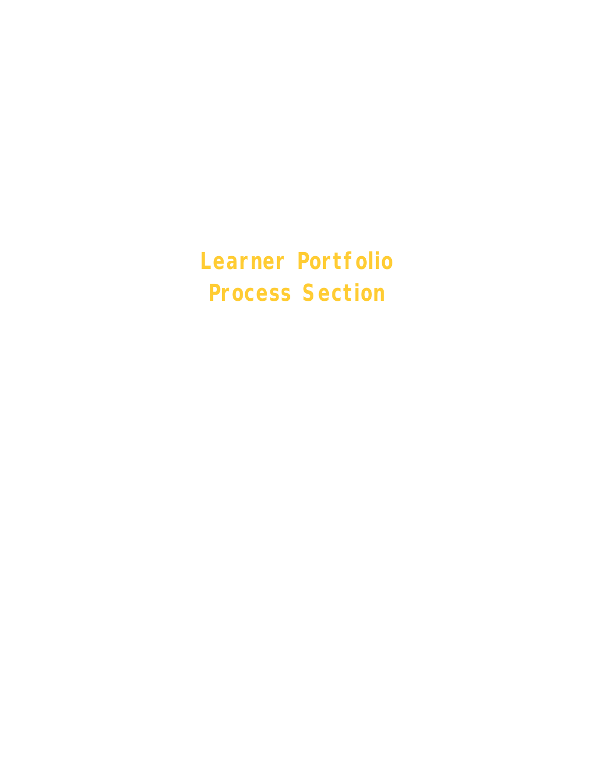**Learner Portfolio Process Section**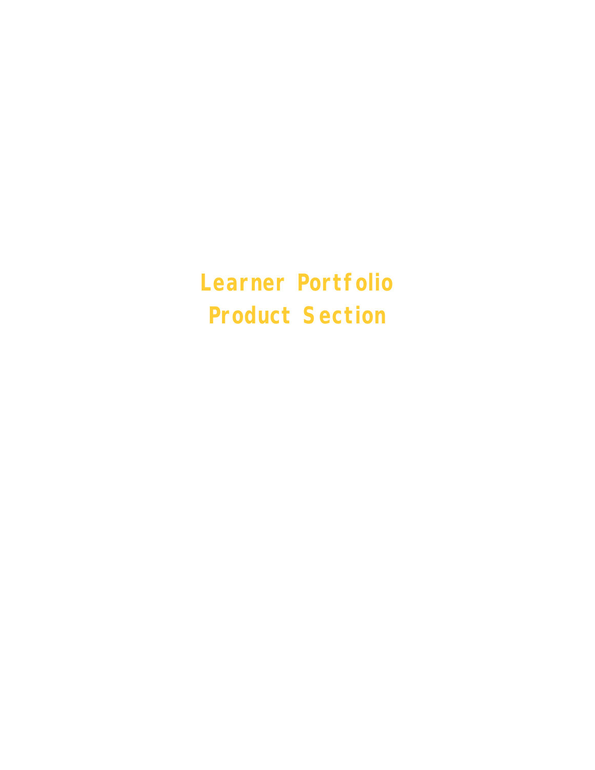**Learner Portfolio Product Section**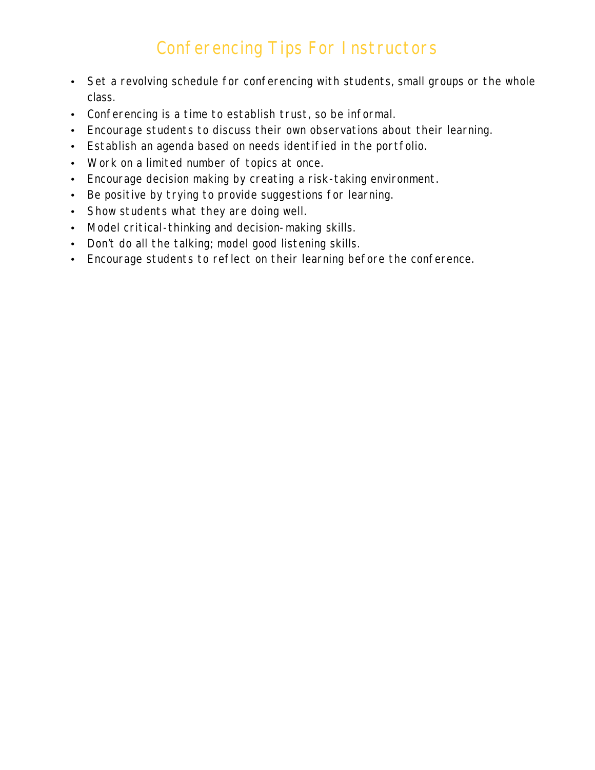## Conferencing Tips For Instructors

- Set a revolving schedule for conferencing with students, small groups or the whole class.
- Conferencing is a time to establish trust, so be informal.
- Encourage students to discuss their own observations about their learning.
- Establish an agenda based on needs identified in the portfolio.
- Work on a limited number of topics at once.
- Encourage decision making by creating a risk-taking environment.
- Be positive by trying to provide suggestions for learning.
- Show students what they are doing well.
- Model critical-thinking and decision-making skills.
- Don't do all the talking; model good listening skills.
- Encourage students to reflect on their learning before the conference.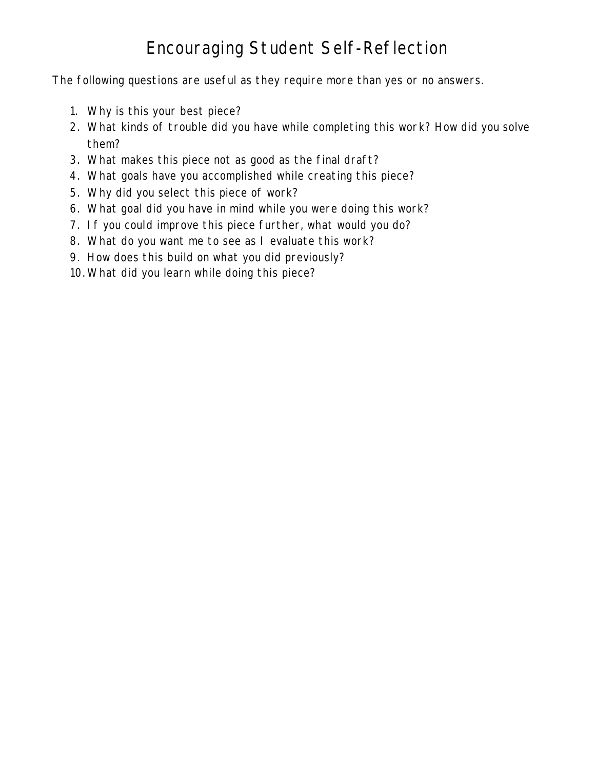# Encouraging Student Self-Reflection

The following questions are useful as they require more than yes or no answers.

- 1. Why is this your best piece?
- 2. What kinds of trouble did you have while completing this work? How did you solve them?
- 3. What makes this piece not as good as the final draft?
- 4. What goals have you accomplished while creating this piece?
- 5. Why did you select this piece of work?
- 6. What goal did you have in mind while you were doing this work?
- 7. If you could improve this piece further, what would you do?
- 8. What do you want me to see as I evaluate this work?
- 9. How does this build on what you did previously?
- 10. What did you learn while doing this piece?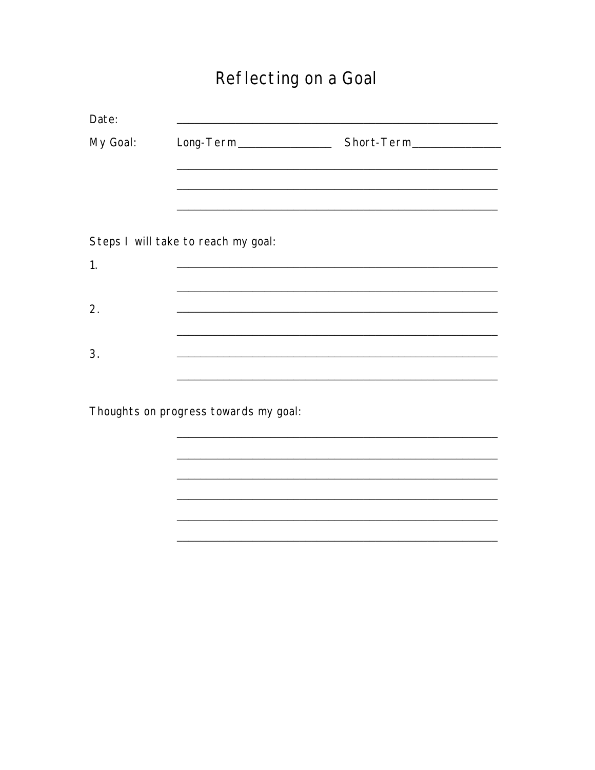# Reflecting on a Goal

<u> 1989 - Jan James James, martin amerikan bahasa (j. 1989)</u>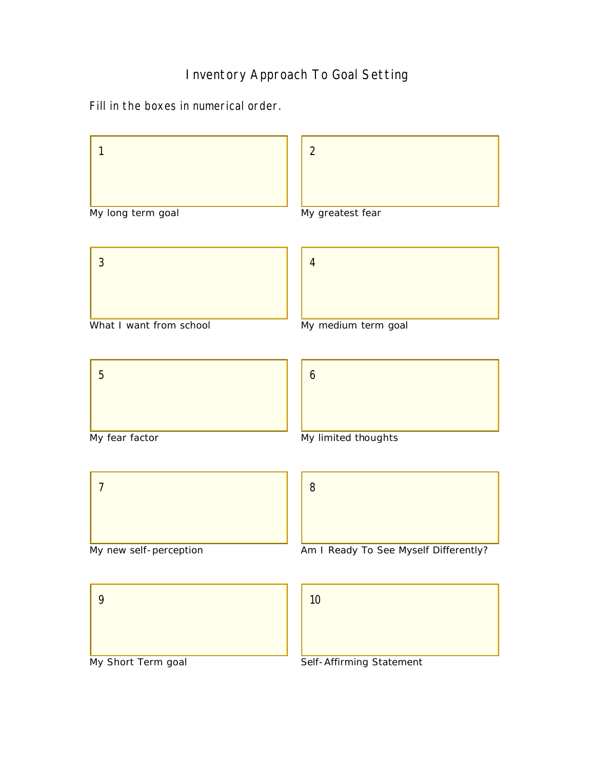#### Inventory Approach To Goal Setting

Fill in the boxes in numerical order.



My Short Term goal

Self-Affirming Statement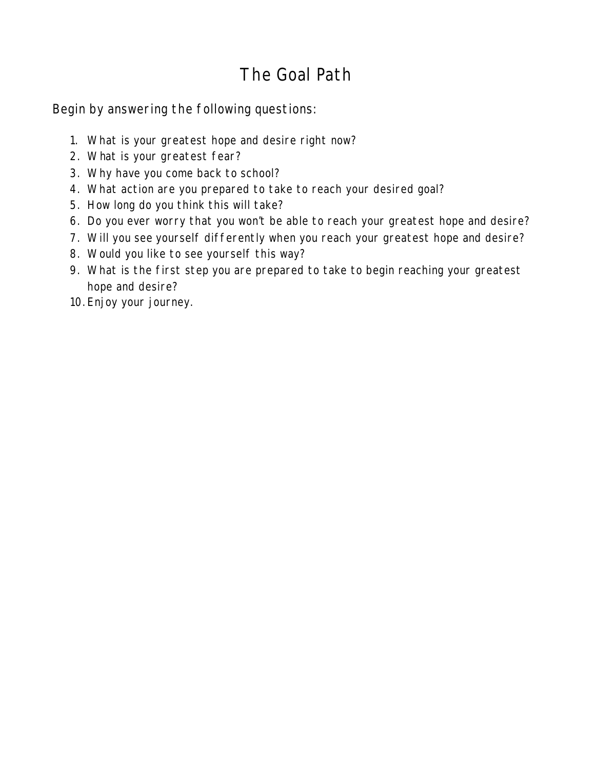## The Goal Path

Begin by answering the following questions:

- 1. What is your greatest hope and desire right now?
- 2. What is your greatest fear?
- 3. Why have you come back to school?
- 4. What action are you prepared to take to reach your desired goal?
- 5. How long do you think this will take?
- 6. Do you ever worry that you won't be able to reach your greatest hope and desire?
- 7. Will you see yourself differently when you reach your greatest hope and desire?
- 8. Would you like to see yourself this way?
- 9. What is the first step you are prepared to take to begin reaching your greatest hope and desire?
- 10. Enjoy your journey.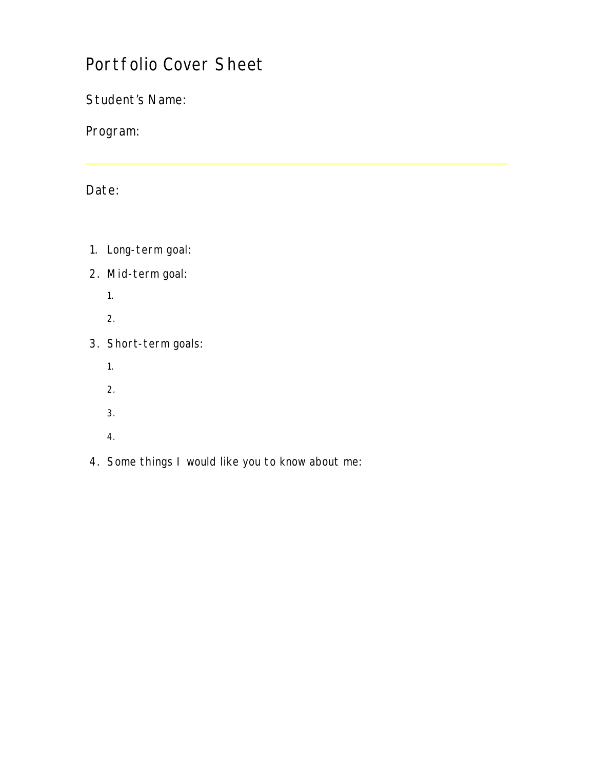## Portfolio Cover Sheet

Student's Name:

Program:

#### Date:

- 1. Long-term goal:
- 2. Mid-term goal:
	- 1.
	- 2.
- 3. Short-term goals:
	- 1.
	- 2.
	- 3.
	- 4.
- 4. Some things I would like you to know about me: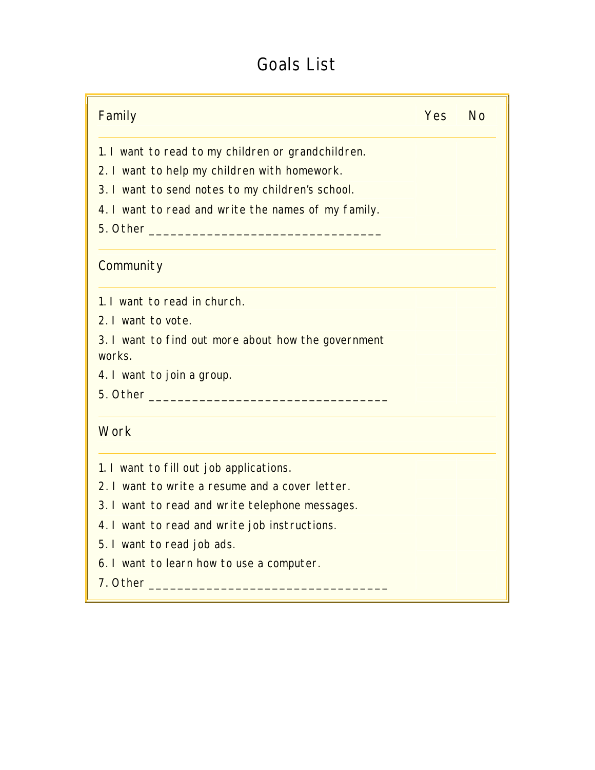## Goals List

| Family                                                                                                                                                                                                                         | <b>Yes</b> | <b>No</b> |
|--------------------------------------------------------------------------------------------------------------------------------------------------------------------------------------------------------------------------------|------------|-----------|
| 1. I want to read to my children or grandchildren.                                                                                                                                                                             |            |           |
| 2. I want to help my children with homework.                                                                                                                                                                                   |            |           |
| 3. I want to send notes to my children's school.                                                                                                                                                                               |            |           |
| 4. I want to read and write the names of my family.                                                                                                                                                                            |            |           |
|                                                                                                                                                                                                                                |            |           |
| Community                                                                                                                                                                                                                      |            |           |
| 1. I want to read in church.                                                                                                                                                                                                   |            |           |
| 2. I want to vote.                                                                                                                                                                                                             |            |           |
| 3. I want to find out more about how the government<br>works.                                                                                                                                                                  |            |           |
| 4. I want to join a group.                                                                                                                                                                                                     |            |           |
| 5. Other and the contract of the contract of the contract of the contract of the contract of the contract of the contract of the contract of the contract of the contract of the contract of the contract of the contract of t |            |           |
| Work                                                                                                                                                                                                                           |            |           |
| 1. I want to fill out job applications.                                                                                                                                                                                        |            |           |
| 2. I want to write a resume and a cover letter.                                                                                                                                                                                |            |           |
| 3. I want to read and write telephone messages.                                                                                                                                                                                |            |           |
| 4. I want to read and write job instructions.                                                                                                                                                                                  |            |           |
| 5. I want to read job ads.                                                                                                                                                                                                     |            |           |
| 6. I want to learn how to use a computer.                                                                                                                                                                                      |            |           |
|                                                                                                                                                                                                                                |            |           |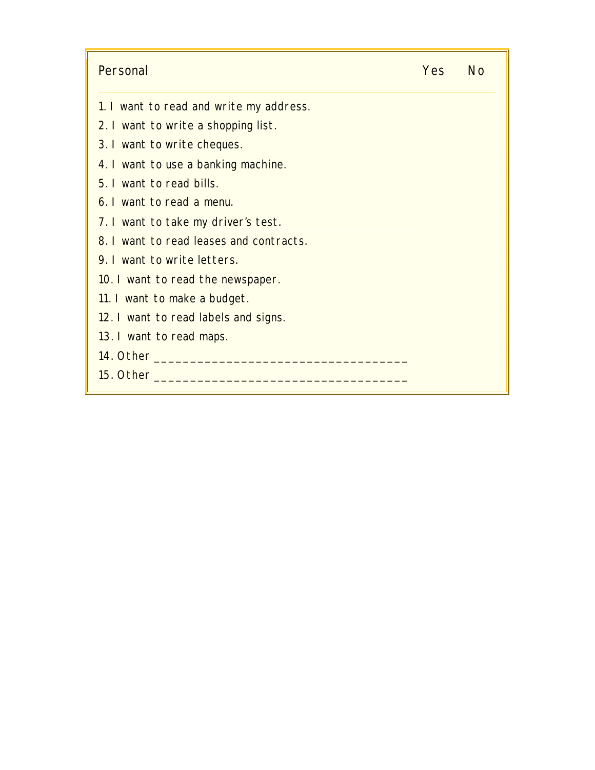| Personal                                | Yes | - No |
|-----------------------------------------|-----|------|
| 1. I want to read and write my address. |     |      |
| 2. I want to write a shopping list.     |     |      |
| 3. I want to write cheques.             |     |      |
| 4. I want to use a banking machine.     |     |      |
| 5. I want to read bills.                |     |      |
| 6. I want to read a menu.               |     |      |
| 7. I want to take my driver's test.     |     |      |
| 8. I want to read leases and contracts. |     |      |
| 9. I want to write letters.             |     |      |
| 10. I want to read the newspaper.       |     |      |
| 11. I want to make a budget.            |     |      |
| 12. I want to read labels and signs.    |     |      |
| 13. I want to read maps.                |     |      |
|                                         |     |      |
| 15. Other the settle of the set         |     |      |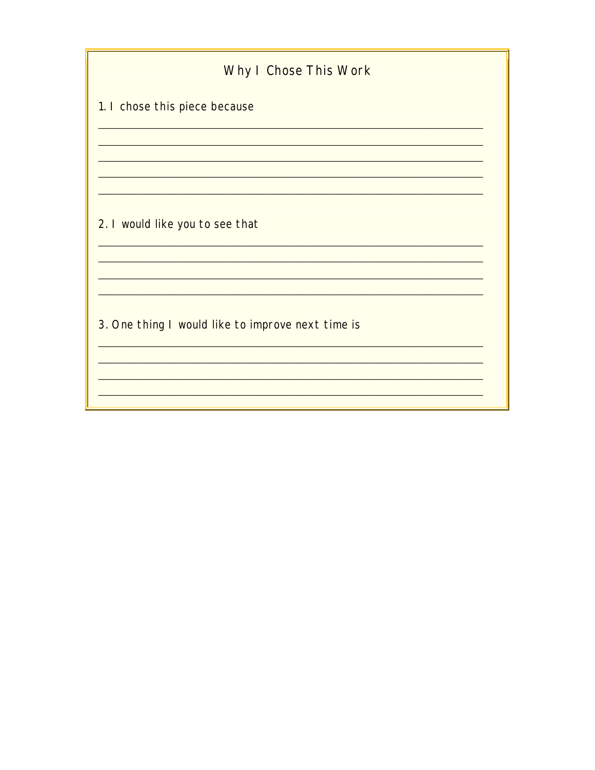| Why I Chose This Work                             |
|---------------------------------------------------|
| 1. I chose this piece because                     |
|                                                   |
|                                                   |
| 2. I would like you to see that                   |
|                                                   |
| 3. One thing I would like to improve next time is |
|                                                   |
|                                                   |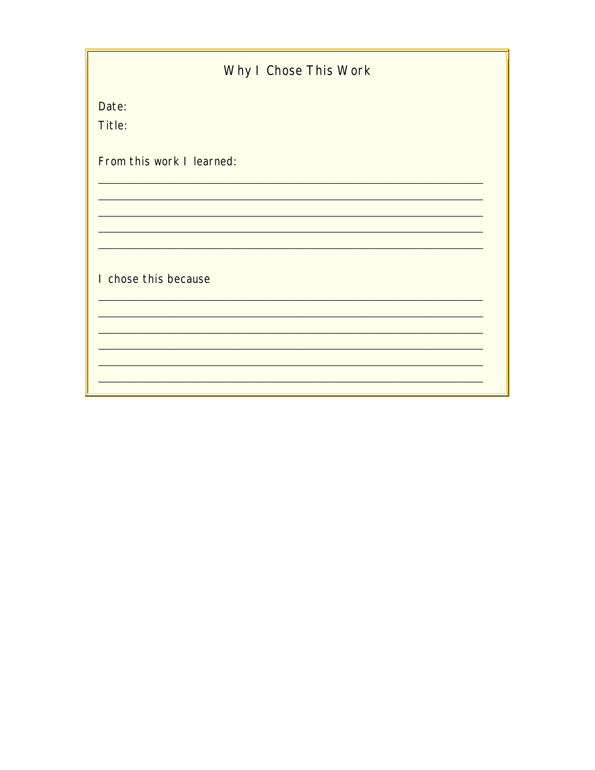| Why I Chose This Work     |  |
|---------------------------|--|
| Date:                     |  |
| Title:                    |  |
| From this work I learned: |  |
|                           |  |
|                           |  |
|                           |  |
| I chose this because      |  |
|                           |  |
|                           |  |
|                           |  |
|                           |  |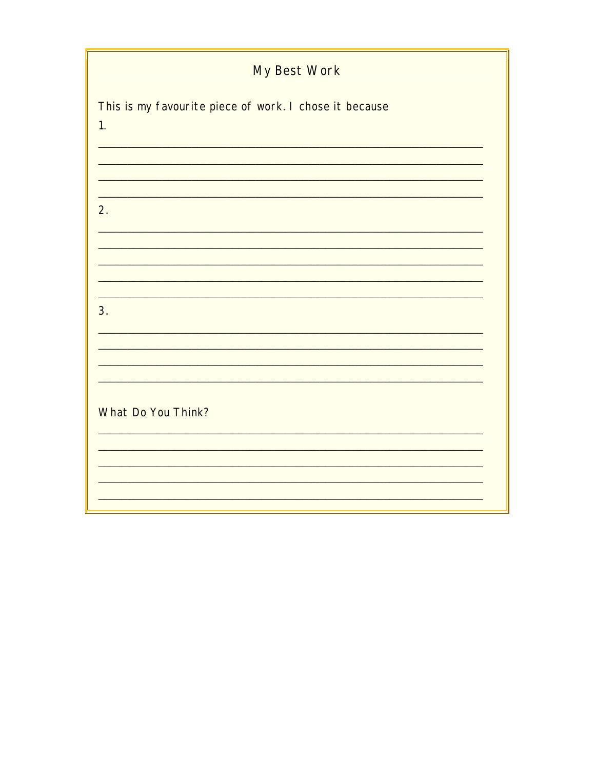| My Best Work                                           |
|--------------------------------------------------------|
| This is my favourite piece of work. I chose it because |
| $\overline{1}$ .                                       |
|                                                        |
| 2.                                                     |
|                                                        |
|                                                        |
| 3.                                                     |
|                                                        |
|                                                        |
| What Do You Think?                                     |
|                                                        |
|                                                        |
|                                                        |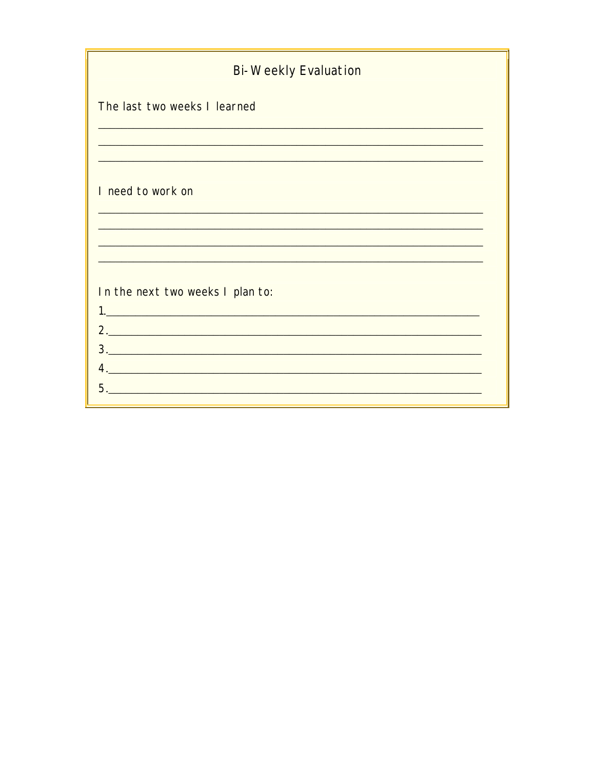| <b>Bi-Weekly Evaluation</b>      |
|----------------------------------|
| The last two weeks I learned     |
|                                  |
| I need to work on                |
|                                  |
|                                  |
| In the next two weeks I plan to: |
|                                  |
|                                  |
|                                  |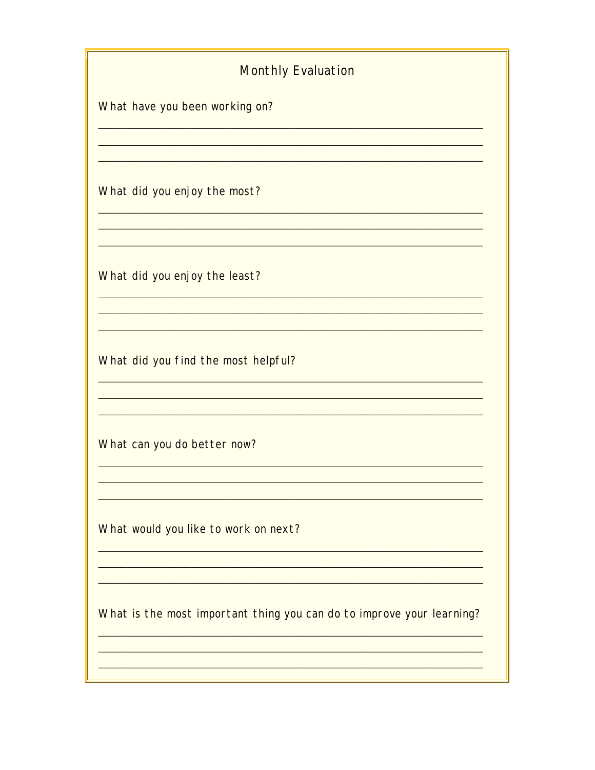# **Monthly Evaluation** What have you been working on? <u> 1989 - Johann Barn, mars eta bainar eta bainar eta baina eta baina eta baina eta baina eta baina eta baina e</u> What did you enjoy the most? What did you enjoy the least? What did you find the most helpful? <u> 1989 - Johann Stoff, Amerikaansk politiker († 1908)</u> <u> 1989 - Johann John Stone, mars eta bainar eta baina eta baina eta baina eta baina eta baina eta baina eta ba</u> What can you do better now? What would you like to work on next? What is the most important thing you can do to improve your learning?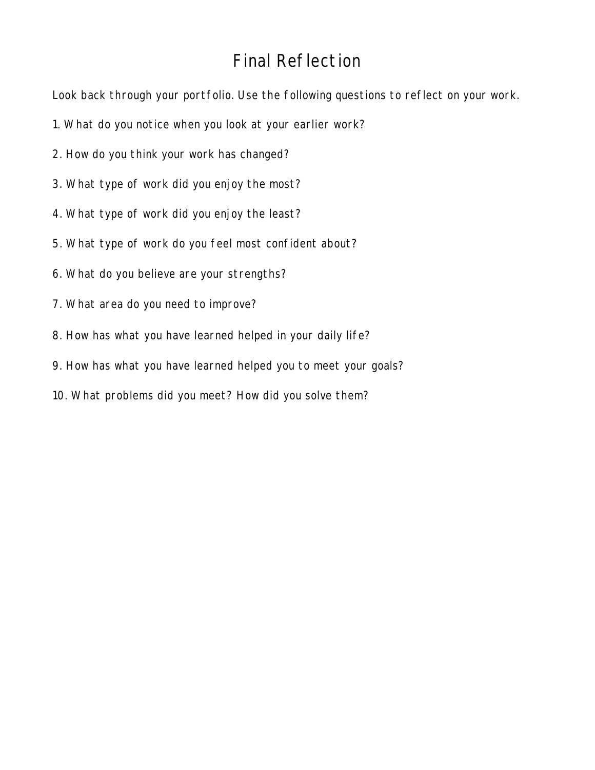#### Final Reflection

Look back through your portfolio. Use the following questions to reflect on your work.

- 1. What do you notice when you look at your earlier work?
- 2. How do you think your work has changed?
- 3. What type of work did you enjoy the most?
- 4. What type of work did you enjoy the least?
- 5. What type of work do you feel most confident about?
- 6. What do you believe are your strengths?
- 7. What area do you need to improve?
- 8. How has what you have learned helped in your daily life?
- 9. How has what you have learned helped you to meet your goals?
- 10. What problems did you meet? How did you solve them?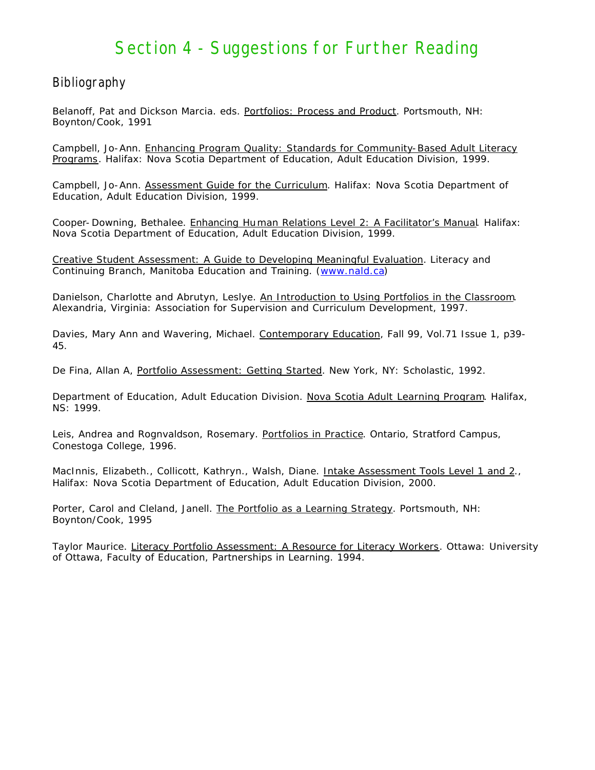#### Section 4 - Suggestions for Further Reading

#### Bibliography

Belanoff, Pat and Dickson Marcia. eds. Portfolios: Process and Product. Portsmouth, NH: Boynton/Cook, 1991

Campbell, Jo-Ann. Enhancing Program Quality: Standards for Community-Based Adult Literacy Programs. Halifax: Nova Scotia Department of Education, Adult Education Division, 1999.

Campbell, Jo-Ann. Assessment Guide for the Curriculum. Halifax: Nova Scotia Department of Education, Adult Education Division, 1999.

Cooper- Downing, Bethalee. Enhancing Human Relations Level 2: A Facilitator's Manual. Halifax: Nova Scotia Department of Education, Adult Education Division, 1999.

Creative Student Assessment: A Guide to Developing Meaningful Evaluation. Literacy and Continuing Branch, Manitoba Education and Training. [\(www.nald.ca\)](http://www.nald.ca)

Danielson, Charlotte and Abrutyn, Leslye. An Introduction to Using Portfolios in the Classroom. Alexandria, Virginia: Association for Supervision and Curriculum Development, 1997.

Davies, Mary Ann and Wavering, Michael. Contemporary Education, Fall 99, Vol.71 Issue 1, p39-45.

De Fina, Allan A, Portfolio Assessment: Getting Started. New York, NY: Scholastic, 1992.

Department of Education, Adult Education Division. Nova Scotia Adult Learning Program. Halifax, NS: 1999.

Leis, Andrea and Rognvaldson, Rosemary. Portfolios in Practice. Ontario, Stratford Campus, Conestoga College, 1996.

MacInnis, Elizabeth., Collicott, Kathryn., Walsh, Diane. Intake Assessment Tools Level 1 and 2., Halifax: Nova Scotia Department of Education, Adult Education Division, 2000.

Porter, Carol and Cleland, Janell. The Portfolio as a Learning Strategy. Portsmouth, NH: Boynton/Cook, 1995

Taylor Maurice. Literacy Portfolio Assessment: A Resource for Literacy Workers. Ottawa: University of Ottawa, Faculty of Education, Partnerships in Learning. 1994.